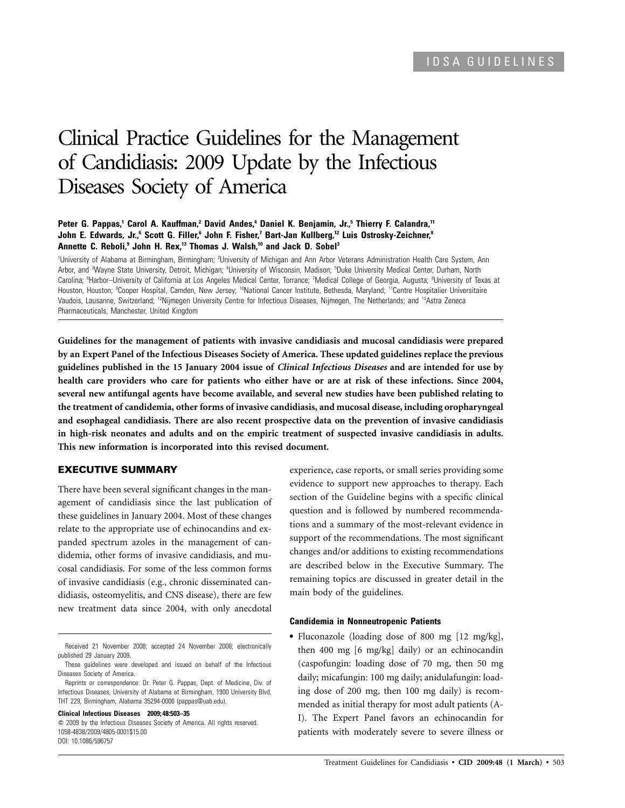# Clinical Practice Guidelines for the Management of Candidiasis: 2009 Update by the Infectious Diseases Society of America

## Peter G. Pappas,<sup>1</sup> Carol A. Kauffman,<sup>2</sup> David Andes,<sup>4</sup> Daniel K. Benjamin, Jr.,<sup>5</sup> Thierry F. Calandra,<sup>11</sup> **John E. Edwards, Jr.,6 Scott G. Filler,6 John F. Fisher,7 Bart-Jan Kullberg,12 Luis Ostrosky-Zeichner,8 Annette C. Reboli,9 John H. Rex,13 Thomas J. Walsh,10 and Jack D. Sobel3**

<sup>1</sup>University of Alabama at Birmingham, Birmingham; <sup>2</sup>University of Michigan and Ann Arbor Veterans Administration Health Care System, Ann Arbor, and <sup>3</sup>Wayne State University, Detroit, Michigan; <sup>4</sup>University of Wisconsin, Madison; <sup>5</sup>Duke University Medical Center, Durham, North Carolina; <sup>6</sup>Harbor–University of California at Los Angeles Medical Center, Torrance; 7Medical College of Georgia, Augusta; <sup>8</sup>University of Texas at Houston, Houston; <sup>9</sup>Cooper Hospital, Camden, New Jersey; <sup>10</sup>National Cancer Institute, Bethesda, Maryland; <sup>11</sup>Centre Hospitalier Universitaire Vaudois, Lausanne, Switzerland; 12Nijmegen University Centre for Infectious Diseases, Nijmegen, The Netherlands; and 13Astra Zeneca Pharmaceuticals, Manchester, United Kingdom

**Guidelines for the management of patients with invasive candidiasis and mucosal candidiasis were prepared by an Expert Panel of the Infectious Diseases Society of America. These updated guidelines replace the previous guidelines published in the 15 January 2004 issue of** *Clinical Infectious Diseases* **and are intended for use by health care providers who care for patients who either have or are at risk of these infections. Since 2004, several new antifungal agents have become available, and several new studies have been published relating to the treatment of candidemia, other forms of invasive candidiasis, and mucosal disease, including oropharyngeal and esophageal candidiasis. There are also recent prospective data on the prevention of invasive candidiasis in high-risk neonates and adults and on the empiric treatment of suspected invasive candidiasis in adults. This new information is incorporated into this revised document.**

#### **EXECUTIVE SUMMARY**

There have been several significant changes in the management of candidiasis since the last publication of these guidelines in January 2004. Most of these changes relate to the appropriate use of echinocandins and expanded spectrum azoles in the management of candidemia, other forms of invasive candidiasis, and mucosal candidiasis. For some of the less common forms of invasive candidiasis (e.g., chronic disseminated candidiasis, osteomyelitis, and CNS disease), there are few new treatment data since 2004, with only anecdotal

**Clinical Infectious Diseases 2009; 48:503–35**

experience, case reports, or small series providing some evidence to support new approaches to therapy. Each section of the Guideline begins with a specific clinical question and is followed by numbered recommendations and a summary of the most-relevant evidence in support of the recommendations. The most significant changes and/or additions to existing recommendations are described below in the Executive Summary. The remaining topics are discussed in greater detail in the main body of the guidelines.

#### **Candidemia in Nonneutropenic Patients**

• Fluconazole (loading dose of 800 mg [12 mg/kg], then 400 mg [6 mg/kg] daily) or an echinocandin (caspofungin: loading dose of 70 mg, then 50 mg daily; micafungin: 100 mg daily; anidulafungin: loading dose of 200 mg, then 100 mg daily) is recommended as initial therapy for most adult patients (A-I). The Expert Panel favors an echinocandin for patients with moderately severe to severe illness or

Received 21 November 2008; accepted 24 November 2008; electronically published 29 January 2009.

These guidelines were developed and issued on behalf of the Infectious Diseases Society of America.

Reprints or correspondence: Dr. Peter G. Pappas, Dept. of Medicine, Div. of Infectious Diseases, University of Alabama at Birmingham, 1900 University Blvd, THT 229, Birmingham, Alabama 35294-0006 (pappas@uab.edu).

 $\degree$  2009 by the Infectious Diseases Society of America. All rights reserved. 1058-4838/2009/4805-0001\$15.00 DOI: 10.1086/596757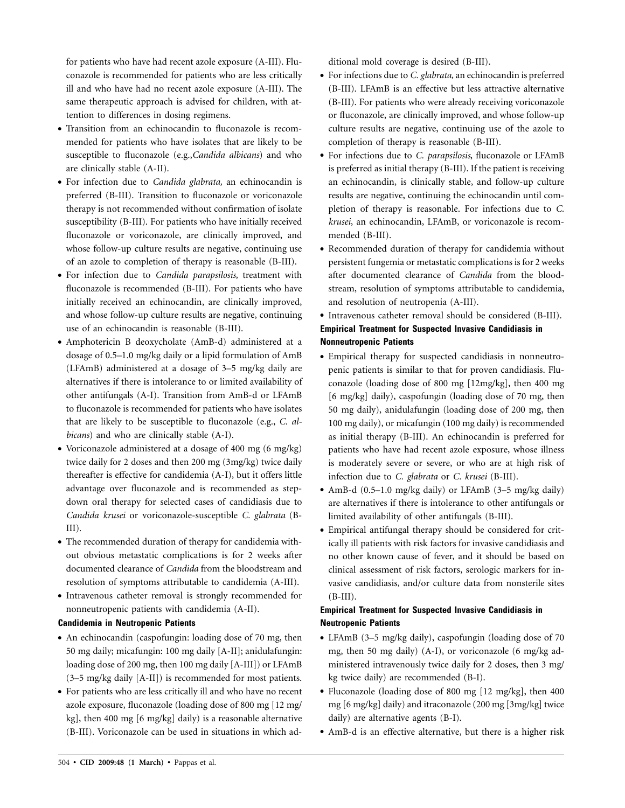for patients who have had recent azole exposure (A-III). Fluconazole is recommended for patients who are less critically ill and who have had no recent azole exposure (A-III). The same therapeutic approach is advised for children, with attention to differences in dosing regimens.

- Transition from an echinocandin to fluconazole is recommended for patients who have isolates that are likely to be susceptible to fluconazole (e.g.,*Candida albicans*) and who are clinically stable (A-II).
- For infection due to *Candida glabrata,* an echinocandin is preferred (B-III). Transition to fluconazole or voriconazole therapy is not recommended without confirmation of isolate susceptibility (B-III). For patients who have initially received fluconazole or voriconazole, are clinically improved, and whose follow-up culture results are negative, continuing use of an azole to completion of therapy is reasonable (B-III).
- For infection due to *Candida parapsilosis,* treatment with fluconazole is recommended (B-III). For patients who have initially received an echinocandin, are clinically improved, and whose follow-up culture results are negative, continuing use of an echinocandin is reasonable (B-III).
- Amphotericin B deoxycholate (AmB-d) administered at a dosage of 0.5–1.0 mg/kg daily or a lipid formulation of AmB (LFAmB) administered at a dosage of 3–5 mg/kg daily are alternatives if there is intolerance to or limited availability of other antifungals (A-I). Transition from AmB-d or LFAmB to fluconazole is recommended for patients who have isolates that are likely to be susceptible to fluconazole (e.g., *C. albicans*) and who are clinically stable (A-I).
- Voriconazole administered at a dosage of 400 mg (6 mg/kg) twice daily for 2 doses and then 200 mg (3mg/kg) twice daily thereafter is effective for candidemia (A-I), but it offers little advantage over fluconazole and is recommended as stepdown oral therapy for selected cases of candidiasis due to *Candida krusei* or voriconazole-susceptible *C. glabrata* (B-III).
- The recommended duration of therapy for candidemia without obvious metastatic complications is for 2 weeks after documented clearance of *Candida* from the bloodstream and resolution of symptoms attributable to candidemia (A-III).
- Intravenous catheter removal is strongly recommended for nonneutropenic patients with candidemia (A-II).

# **Candidemia in Neutropenic Patients**

- An echinocandin (caspofungin: loading dose of 70 mg, then 50 mg daily; micafungin: 100 mg daily [A-II]; anidulafungin: loading dose of 200 mg, then 100 mg daily [A-III]) or LFAmB (3–5 mg/kg daily [A-II]) is recommended for most patients.
- For patients who are less critically ill and who have no recent azole exposure, fluconazole (loading dose of 800 mg [12 mg/ kg], then 400 mg [6 mg/kg] daily) is a reasonable alternative (B-III). Voriconazole can be used in situations in which ad-

ditional mold coverage is desired (B-III).

- For infections due to *C. glabrata,* an echinocandin is preferred (B-III). LFAmB is an effective but less attractive alternative (B-III). For patients who were already receiving voriconazole or fluconazole, are clinically improved, and whose follow-up culture results are negative, continuing use of the azole to completion of therapy is reasonable (B-III).
- For infections due to *C. parapsilosis*, fluconazole or LFAmB is preferred as initial therapy (B-III). If the patient is receiving an echinocandin, is clinically stable, and follow-up culture results are negative, continuing the echinocandin until completion of therapy is reasonable. For infections due to *C. krusei*, an echinocandin, LFAmB, or voriconazole is recommended (B-III).
- Recommended duration of therapy for candidemia without persistent fungemia or metastatic complications is for 2 weeks after documented clearance of *Candida* from the bloodstream, resolution of symptoms attributable to candidemia, and resolution of neutropenia (A-III).
- Intravenous catheter removal should be considered (B-III). **Empirical Treatment for Suspected Invasive Candidiasis in Nonneutropenic Patients**
- Empirical therapy for suspected candidiasis in nonneutropenic patients is similar to that for proven candidiasis. Fluconazole (loading dose of 800 mg [12mg/kg], then 400 mg [6 mg/kg] daily), caspofungin (loading dose of 70 mg, then 50 mg daily), anidulafungin (loading dose of 200 mg, then 100 mg daily), or micafungin (100 mg daily) is recommended as initial therapy (B-III). An echinocandin is preferred for patients who have had recent azole exposure, whose illness is moderately severe or severe, or who are at high risk of infection due to *C. glabrata* or *C. krusei* (B-III).
- AmB-d (0.5–1.0 mg/kg daily) or LFAmB (3–5 mg/kg daily) are alternatives if there is intolerance to other antifungals or limited availability of other antifungals (B-III).
- Empirical antifungal therapy should be considered for critically ill patients with risk factors for invasive candidiasis and no other known cause of fever, and it should be based on clinical assessment of risk factors, serologic markers for invasive candidiasis, and/or culture data from nonsterile sites  $(B-III)$ .

# **Empirical Treatment for Suspected Invasive Candidiasis in Neutropenic Patients**

- LFAmB (3–5 mg/kg daily), caspofungin (loading dose of 70 mg, then 50 mg daily) (A-I), or voriconazole (6 mg/kg administered intravenously twice daily for 2 doses, then 3 mg/ kg twice daily) are recommended (B-I).
- Fluconazole (loading dose of 800 mg [12 mg/kg], then 400 mg [6 mg/kg] daily) and itraconazole (200 mg [3mg/kg] twice daily) are alternative agents (B-I).
- AmB-d is an effective alternative, but there is a higher risk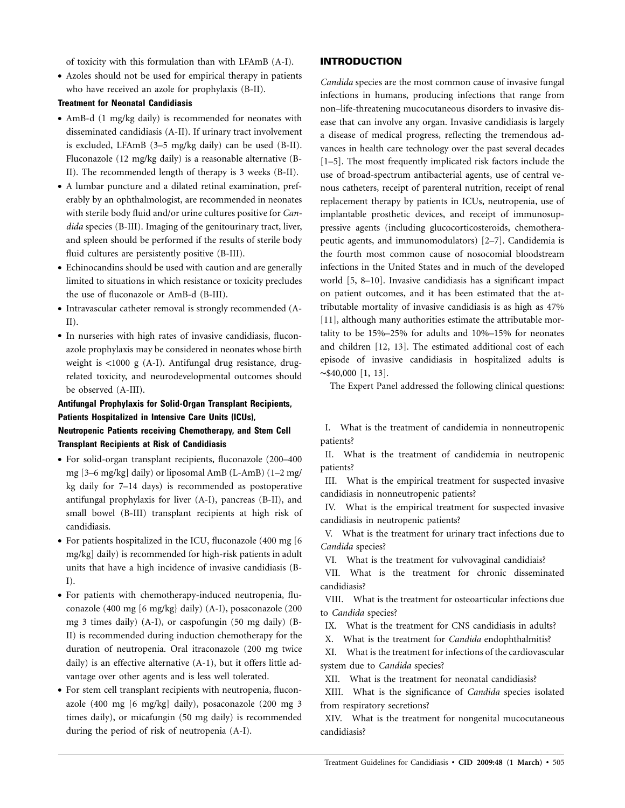of toxicity with this formulation than with LFAmB (A-I).

• Azoles should not be used for empirical therapy in patients who have received an azole for prophylaxis (B-II).

# **Treatment for Neonatal Candidiasis**

- AmB-d (1 mg/kg daily) is recommended for neonates with disseminated candidiasis (A-II). If urinary tract involvement is excluded, LFAmB (3–5 mg/kg daily) can be used (B-II). Fluconazole (12 mg/kg daily) is a reasonable alternative (B-II). The recommended length of therapy is 3 weeks (B-II).
- A lumbar puncture and a dilated retinal examination, preferably by an ophthalmologist, are recommended in neonates with sterile body fluid and/or urine cultures positive for *Candida* species (B-III). Imaging of the genitourinary tract, liver, and spleen should be performed if the results of sterile body fluid cultures are persistently positive (B-III).
- Echinocandins should be used with caution and are generally limited to situations in which resistance or toxicity precludes the use of fluconazole or AmB-d (B-III).
- Intravascular catheter removal is strongly recommended (A- $II$ ).
- In nurseries with high rates of invasive candidiasis, fluconazole prophylaxis may be considered in neonates whose birth weight is <1000 g (A-I). Antifungal drug resistance, drugrelated toxicity, and neurodevelopmental outcomes should be observed (A-III).

# **Antifungal Prophylaxis for Solid-Organ Transplant Recipients, Patients Hospitalized in Intensive Care Units (ICUs), Neutropenic Patients receiving Chemotherapy, and Stem Cell Transplant Recipients at Risk of Candidiasis**

- For solid-organ transplant recipients, fluconazole (200–400 mg [3–6 mg/kg] daily) or liposomal AmB (L-AmB) (1–2 mg/ kg daily for 7–14 days) is recommended as postoperative antifungal prophylaxis for liver (A-I), pancreas (B-II), and small bowel (B-III) transplant recipients at high risk of candidiasis.
- For patients hospitalized in the ICU, fluconazole (400 mg [6 mg/kg] daily) is recommended for high-risk patients in adult units that have a high incidence of invasive candidiasis (B-I).
- For patients with chemotherapy-induced neutropenia, fluconazole (400 mg [6 mg/kg} daily) (A-I), posaconazole (200 mg 3 times daily) (A-I), or caspofungin (50 mg daily) (B-II) is recommended during induction chemotherapy for the duration of neutropenia. Oral itraconazole (200 mg twice daily) is an effective alternative (A-1), but it offers little advantage over other agents and is less well tolerated.
- For stem cell transplant recipients with neutropenia, fluconazole (400 mg [6 mg/kg] daily), posaconazole (200 mg 3 times daily), or micafungin (50 mg daily) is recommended during the period of risk of neutropenia (A-I).

## **INTRODUCTION**

*Candida* species are the most common cause of invasive fungal infections in humans, producing infections that range from non–life-threatening mucocutaneous disorders to invasive disease that can involve any organ. Invasive candidiasis is largely a disease of medical progress, reflecting the tremendous advances in health care technology over the past several decades [1–5]. The most frequently implicated risk factors include the use of broad-spectrum antibacterial agents, use of central venous catheters, receipt of parenteral nutrition, receipt of renal replacement therapy by patients in ICUs, neutropenia, use of implantable prosthetic devices, and receipt of immunosuppressive agents (including glucocorticosteroids, chemotherapeutic agents, and immunomodulators) [2–7]. Candidemia is the fourth most common cause of nosocomial bloodstream infections in the United States and in much of the developed world [5, 8–10]. Invasive candidiasis has a significant impact on patient outcomes, and it has been estimated that the attributable mortality of invasive candidiasis is as high as 47% [11], although many authorities estimate the attributable mortality to be 15%–25% for adults and 10%–15% for neonates and children [12, 13]. The estimated additional cost of each episode of invasive candidiasis in hospitalized adults is  $~\sim$ \$40,000 [1, 13].

The Expert Panel addressed the following clinical questions:

I. What is the treatment of candidemia in nonneutropenic patients?

II. What is the treatment of candidemia in neutropenic patients?

III. What is the empirical treatment for suspected invasive candidiasis in nonneutropenic patients?

IV. What is the empirical treatment for suspected invasive candidiasis in neutropenic patients?

V. What is the treatment for urinary tract infections due to *Candida* species?

VI. What is the treatment for vulvovaginal candidiais?

VII. What is the treatment for chronic disseminated candidiasis?

VIII. What is the treatment for osteoarticular infections due to *Candida* species?

IX. What is the treatment for CNS candidiasis in adults?

X. What is the treatment for *Candida* endophthalmitis?

XI. What is the treatment for infections of the cardiovascular system due to *Candida* species?

XII. What is the treatment for neonatal candidiasis?

XIII. What is the significance of *Candida* species isolated from respiratory secretions?

XIV. What is the treatment for nongenital mucocutaneous candidiasis?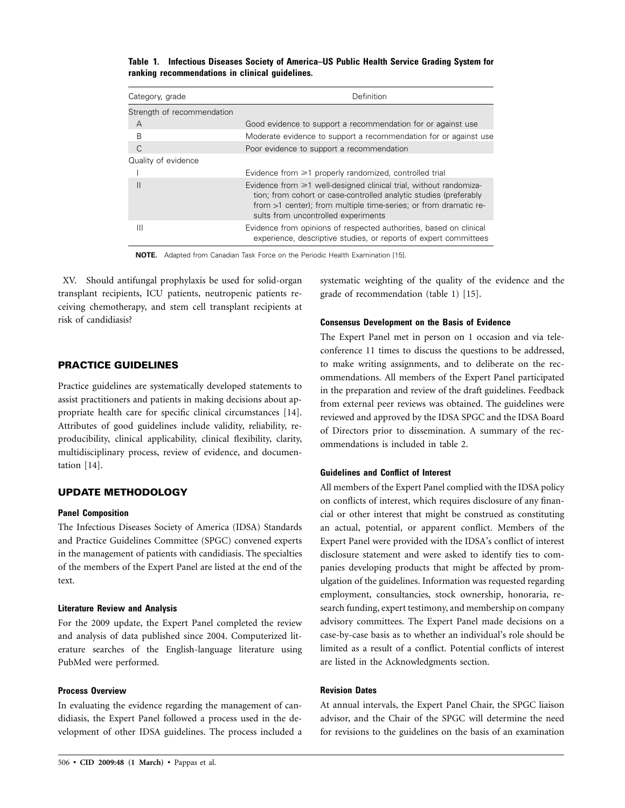**Table 1. Infectious Diseases Society of America–US Public Health Service Grading System for ranking recommendations in clinical guidelines.**

| Category, grade            | Definition                                                                                                                                                                                                                                        |  |  |  |
|----------------------------|---------------------------------------------------------------------------------------------------------------------------------------------------------------------------------------------------------------------------------------------------|--|--|--|
| Strength of recommendation |                                                                                                                                                                                                                                                   |  |  |  |
| A                          | Good evidence to support a recommendation for or against use                                                                                                                                                                                      |  |  |  |
| B                          | Moderate evidence to support a recommendation for or against use                                                                                                                                                                                  |  |  |  |
| C                          | Poor evidence to support a recommendation                                                                                                                                                                                                         |  |  |  |
| Quality of evidence        |                                                                                                                                                                                                                                                   |  |  |  |
|                            | Evidence from $\geq 1$ properly randomized, controlled trial                                                                                                                                                                                      |  |  |  |
| Ш                          | Evidence from ≥1 well-designed clinical trial, without randomiza-<br>tion; from cohort or case-controlled analytic studies (preferably<br>from >1 center); from multiple time-series; or from dramatic re-<br>sults from uncontrolled experiments |  |  |  |
| $\mathsf{III}$             | Evidence from opinions of respected authorities, based on clinical<br>experience, descriptive studies, or reports of expert committees                                                                                                            |  |  |  |

**NOTE.** Adapted from Canadian Task Force on the Periodic Health Examination [15].

XV. Should antifungal prophylaxis be used for solid-organ transplant recipients, ICU patients, neutropenic patients receiving chemotherapy, and stem cell transplant recipients at risk of candidiasis?

# **PRACTICE GUIDELINES**

Practice guidelines are systematically developed statements to assist practitioners and patients in making decisions about appropriate health care for specific clinical circumstances [14]. Attributes of good guidelines include validity, reliability, reproducibility, clinical applicability, clinical flexibility, clarity, multidisciplinary process, review of evidence, and documentation [14].

### **UPDATE METHODOLOGY**

#### **Panel Composition**

The Infectious Diseases Society of America (IDSA) Standards and Practice Guidelines Committee (SPGC) convened experts in the management of patients with candidiasis. The specialties of the members of the Expert Panel are listed at the end of the text.

#### **Literature Review and Analysis**

For the 2009 update, the Expert Panel completed the review and analysis of data published since 2004. Computerized literature searches of the English-language literature using PubMed were performed.

# **Process Overview**

In evaluating the evidence regarding the management of candidiasis, the Expert Panel followed a process used in the development of other IDSA guidelines. The process included a systematic weighting of the quality of the evidence and the grade of recommendation (table 1) [15].

#### **Consensus Development on the Basis of Evidence**

The Expert Panel met in person on 1 occasion and via teleconference 11 times to discuss the questions to be addressed, to make writing assignments, and to deliberate on the recommendations. All members of the Expert Panel participated in the preparation and review of the draft guidelines. Feedback from external peer reviews was obtained. The guidelines were reviewed and approved by the IDSA SPGC and the IDSA Board of Directors prior to dissemination. A summary of the recommendations is included in table 2.

# **Guidelines and Conflict of Interest**

All members of the Expert Panel complied with the IDSA policy on conflicts of interest, which requires disclosure of any financial or other interest that might be construed as constituting an actual, potential, or apparent conflict. Members of the Expert Panel were provided with the IDSA's conflict of interest disclosure statement and were asked to identify ties to companies developing products that might be affected by promulgation of the guidelines. Information was requested regarding employment, consultancies, stock ownership, honoraria, research funding, expert testimony, and membership on company advisory committees. The Expert Panel made decisions on a case-by-case basis as to whether an individual's role should be limited as a result of a conflict. Potential conflicts of interest are listed in the Acknowledgments section.

## **Revision Dates**

At annual intervals, the Expert Panel Chair, the SPGC liaison advisor, and the Chair of the SPGC will determine the need for revisions to the guidelines on the basis of an examination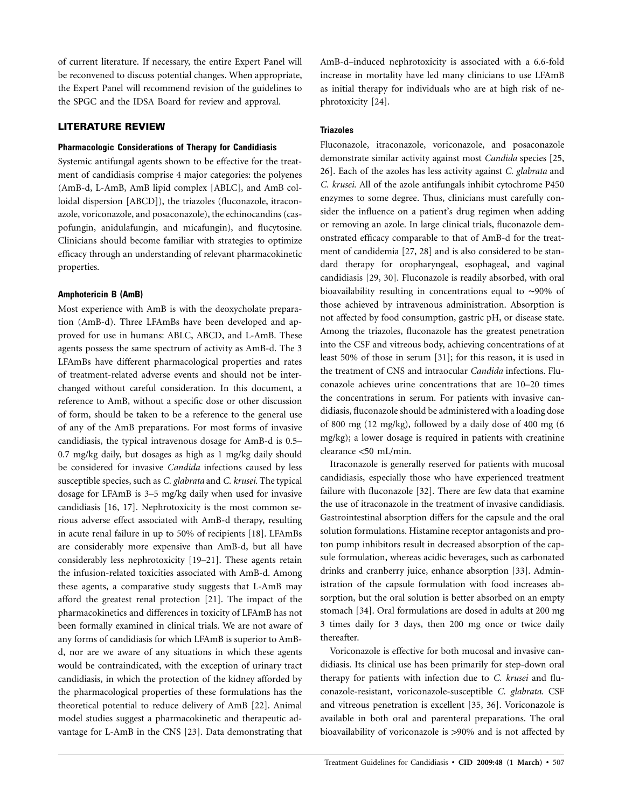of current literature. If necessary, the entire Expert Panel will be reconvened to discuss potential changes. When appropriate, the Expert Panel will recommend revision of the guidelines to the SPGC and the IDSA Board for review and approval.

# **LITERATURE REVIEW**

#### **Pharmacologic Considerations of Therapy for Candidiasis**

Systemic antifungal agents shown to be effective for the treatment of candidiasis comprise 4 major categories: the polyenes (AmB-d, L-AmB, AmB lipid complex [ABLC], and AmB colloidal dispersion [ABCD]), the triazoles (fluconazole, itraconazole, voriconazole, and posaconazole), the echinocandins (caspofungin, anidulafungin, and micafungin), and flucytosine. Clinicians should become familiar with strategies to optimize efficacy through an understanding of relevant pharmacokinetic properties.

## **Amphotericin B (AmB)**

Most experience with AmB is with the deoxycholate preparation (AmB-d). Three LFAmBs have been developed and approved for use in humans: ABLC, ABCD, and L-AmB. These agents possess the same spectrum of activity as AmB-d. The 3 LFAmBs have different pharmacological properties and rates of treatment-related adverse events and should not be interchanged without careful consideration. In this document, a reference to AmB, without a specific dose or other discussion of form, should be taken to be a reference to the general use of any of the AmB preparations. For most forms of invasive candidiasis, the typical intravenous dosage for AmB-d is 0.5– 0.7 mg/kg daily, but dosages as high as 1 mg/kg daily should be considered for invasive *Candida* infections caused by less susceptible species, such as *C. glabrata* and *C. krusei.* The typical dosage for LFAmB is 3–5 mg/kg daily when used for invasive candidiasis [16, 17]. Nephrotoxicity is the most common serious adverse effect associated with AmB-d therapy, resulting in acute renal failure in up to 50% of recipients [18]. LFAmBs are considerably more expensive than AmB-d, but all have considerably less nephrotoxicity [19–21]. These agents retain the infusion-related toxicities associated with AmB-d. Among these agents, a comparative study suggests that L-AmB may afford the greatest renal protection [21]. The impact of the pharmacokinetics and differences in toxicity of LFAmB has not been formally examined in clinical trials. We are not aware of any forms of candidiasis for which LFAmB is superior to AmBd, nor are we aware of any situations in which these agents would be contraindicated, with the exception of urinary tract candidiasis, in which the protection of the kidney afforded by the pharmacological properties of these formulations has the theoretical potential to reduce delivery of AmB [22]. Animal model studies suggest a pharmacokinetic and therapeutic advantage for L-AmB in the CNS [23]. Data demonstrating that AmB-d–induced nephrotoxicity is associated with a 6.6-fold increase in mortality have led many clinicians to use LFAmB as initial therapy for individuals who are at high risk of nephrotoxicity [24].

## **Triazoles**

Fluconazole, itraconazole, voriconazole, and posaconazole demonstrate similar activity against most *Candida* species [25, 26]. Each of the azoles has less activity against *C. glabrata* and *C. krusei.* All of the azole antifungals inhibit cytochrome P450 enzymes to some degree. Thus, clinicians must carefully consider the influence on a patient's drug regimen when adding or removing an azole. In large clinical trials, fluconazole demonstrated efficacy comparable to that of AmB-d for the treatment of candidemia [27, 28] and is also considered to be standard therapy for oropharyngeal, esophageal, and vaginal candidiasis [29, 30]. Fluconazole is readily absorbed, with oral bioavailability resulting in concentrations equal to ∼90% of those achieved by intravenous administration. Absorption is not affected by food consumption, gastric pH, or disease state. Among the triazoles, fluconazole has the greatest penetration into the CSF and vitreous body, achieving concentrations of at least 50% of those in serum [31]; for this reason, it is used in the treatment of CNS and intraocular *Candida* infections. Fluconazole achieves urine concentrations that are 10–20 times the concentrations in serum. For patients with invasive candidiasis, fluconazole should be administered with a loading dose of 800 mg (12 mg/kg), followed by a daily dose of 400 mg (6 mg/kg); a lower dosage is required in patients with creatinine clearance <50 mL/min.

Itraconazole is generally reserved for patients with mucosal candidiasis, especially those who have experienced treatment failure with fluconazole [32]. There are few data that examine the use of itraconazole in the treatment of invasive candidiasis. Gastrointestinal absorption differs for the capsule and the oral solution formulations. Histamine receptor antagonists and proton pump inhibitors result in decreased absorption of the capsule formulation, whereas acidic beverages, such as carbonated drinks and cranberry juice, enhance absorption [33]. Administration of the capsule formulation with food increases absorption, but the oral solution is better absorbed on an empty stomach [34]. Oral formulations are dosed in adults at 200 mg 3 times daily for 3 days, then 200 mg once or twice daily thereafter.

Voriconazole is effective for both mucosal and invasive candidiasis. Its clinical use has been primarily for step-down oral therapy for patients with infection due to *C. krusei* and fluconazole-resistant, voriconazole-susceptible *C. glabrata.* CSF and vitreous penetration is excellent [35, 36]. Voriconazole is available in both oral and parenteral preparations. The oral bioavailability of voriconazole is >90% and is not affected by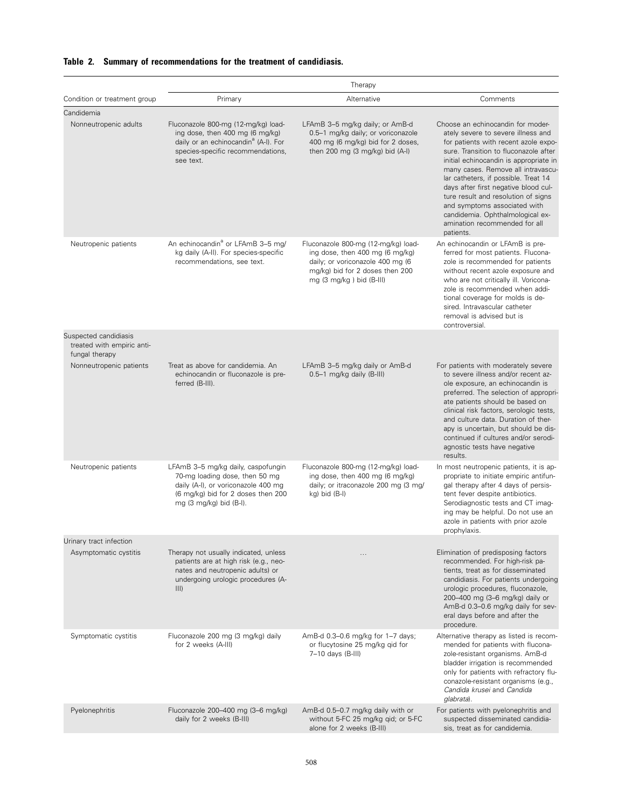# **Table 2. Summary of recommendations for the treatment of candidiasis.**

|                                                                       | Therapy                                                                                                                                                                      |                                                                                                                                                                           |                                                                                                                                                                                                                                                                                                                                                                                                                                                                                   |  |
|-----------------------------------------------------------------------|------------------------------------------------------------------------------------------------------------------------------------------------------------------------------|---------------------------------------------------------------------------------------------------------------------------------------------------------------------------|-----------------------------------------------------------------------------------------------------------------------------------------------------------------------------------------------------------------------------------------------------------------------------------------------------------------------------------------------------------------------------------------------------------------------------------------------------------------------------------|--|
| Condition or treatment group                                          | Primary                                                                                                                                                                      | Alternative                                                                                                                                                               | Comments                                                                                                                                                                                                                                                                                                                                                                                                                                                                          |  |
| Candidemia                                                            |                                                                                                                                                                              |                                                                                                                                                                           |                                                                                                                                                                                                                                                                                                                                                                                                                                                                                   |  |
| Nonneutropenic adults                                                 | Fluconazole 800-mg (12-mg/kg) load-<br>ing dose, then 400 mg (6 mg/kg)<br>daily or an echinocandin <sup>a</sup> (A-I). For<br>species-specific recommendations,<br>see text. | LFAmB 3-5 mg/kg daily; or AmB-d<br>0.5-1 mg/kg daily; or voriconazole<br>400 mg (6 mg/kg) bid for 2 doses,<br>then 200 mg $(3 \text{ mg/kg})$ bid $(A-I)$                 | Choose an echinocandin for moder-<br>ately severe to severe illness and<br>for patients with recent azole expo-<br>sure. Transition to fluconazole after<br>initial echinocandin is appropriate in<br>many cases. Remove all intravascu-<br>lar catheters, if possible. Treat 14<br>days after first negative blood cul-<br>ture result and resolution of signs<br>and symptoms associated with<br>candidemia. Ophthalmological ex-<br>amination recommended for all<br>patients. |  |
| Neutropenic patients                                                  | An echinocandin <sup>ª</sup> or LFAmB 3-5 mg/<br>kg daily (A-II). For species-specific<br>recommendations, see text.                                                         | Fluconazole 800-mg (12-mg/kg) load-<br>ing dose, then 400 mg (6 mg/kg)<br>daily; or voriconazole 400 mg (6<br>mg/kg) bid for 2 doses then 200<br>mg (3 mg/kg) bid (B-III) | An echinocandin or LFAmB is pre-<br>ferred for most patients. Flucona-<br>zole is recommended for patients<br>without recent azole exposure and<br>who are not critically ill. Voricona-<br>zole is recommended when addi-<br>tional coverage for molds is de-<br>sired. Intravascular catheter<br>removal is advised but is<br>controversial.                                                                                                                                    |  |
| Suspected candidiasis<br>treated with empiric anti-<br>fungal therapy |                                                                                                                                                                              |                                                                                                                                                                           |                                                                                                                                                                                                                                                                                                                                                                                                                                                                                   |  |
| Nonneutropenic patients                                               | Treat as above for candidemia. An<br>echinocandin or fluconazole is pre-<br>ferred (B-III).                                                                                  | LFAmB 3-5 mg/kg daily or AmB-d<br>0.5-1 mg/kg daily (B-III)                                                                                                               | For patients with moderately severe<br>to severe illness and/or recent az-<br>ole exposure, an echinocandin is<br>preferred. The selection of appropri-<br>ate patients should be based on<br>clinical risk factors, serologic tests,<br>and culture data. Duration of ther-<br>apy is uncertain, but should be dis-<br>continued if cultures and/or serodi-<br>agnostic tests have negative<br>results.                                                                          |  |
| Neutropenic patients                                                  | LFAmB 3-5 mg/kg daily, caspofungin<br>70-mg loading dose, then 50 mg<br>daily (A-I), or voriconazole 400 mg<br>(6 mg/kg) bid for 2 doses then 200<br>mg (3 mg/kg) bid (B-I). | Fluconazole 800-mg (12-mg/kg) load-<br>ing dose, then 400 mg (6 mg/kg)<br>daily; or itraconazole 200 mg (3 mg/<br>kg) bid (B-I)                                           | In most neutropenic patients, it is ap-<br>propriate to initiate empiric antifun-<br>gal therapy after 4 days of persis-<br>tent fever despite antibiotics.<br>Serodiagnostic tests and CT imag-<br>ing may be helpful. Do not use an<br>azole in patients with prior azole<br>prophylaxis.                                                                                                                                                                                       |  |
| Urinary tract infection<br>Asymptomatic cystitis                      | Therapy not usually indicated, unless<br>patients are at high risk (e.g., neo-<br>nates and neutropenic adults) or<br>undergoing urologic procedures (A-<br>III)             | .                                                                                                                                                                         | Elimination of predisposing factors<br>recommended. For high-risk pa-<br>tients, treat as for disseminated<br>candidiasis. For patients undergoing<br>urologic procedures, fluconazole,<br>200-400 mg (3-6 mg/kg) daily or<br>AmB-d 0.3-0.6 mg/kg daily for sev-<br>eral days before and after the<br>procedure.                                                                                                                                                                  |  |
| Symptomatic cystitis                                                  | Fluconazole 200 mg (3 mg/kg) daily<br>for 2 weeks (A-III)                                                                                                                    | AmB-d 0.3-0.6 mg/kg for 1-7 days;<br>or flucytosine 25 mg/kg qid for<br>7-10 days (B-III)                                                                                 | Alternative therapy as listed is recom-<br>mended for patients with flucona-<br>zole-resistant organisms. AmB-d<br>bladder irrigation is recommended<br>only for patients with refractory flu-<br>conazole-resistant organisms (e.g.,<br>Candida krusei and Candida<br>glabrata).                                                                                                                                                                                                 |  |
| Pyelonephritis                                                        | Fluconazole 200-400 mg (3-6 mg/kg)<br>daily for 2 weeks (B-III)                                                                                                              | AmB-d 0.5-0.7 mg/kg daily with or<br>without 5-FC 25 mg/kg gid; or 5-FC<br>alone for 2 weeks (B-III)                                                                      | For patients with pyelonephritis and<br>suspected disseminated candidia-<br>sis, treat as for candidemia.                                                                                                                                                                                                                                                                                                                                                                         |  |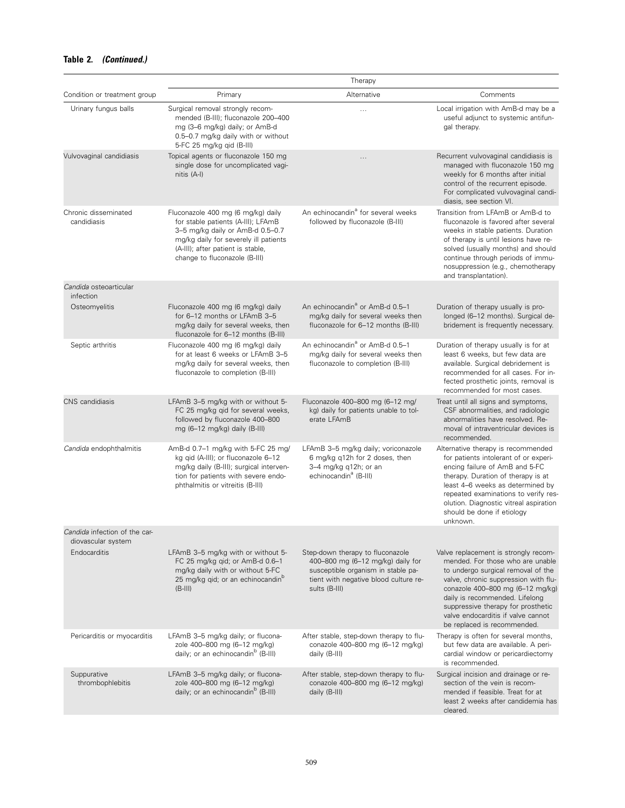# **Table 2.** *(Continued.)*

|                                     | Therapy                                                                                                                                                                                                                     |                                                                                                                                                                       |                                                                                                                                                                                                                                                                                                                                         |  |  |
|-------------------------------------|-----------------------------------------------------------------------------------------------------------------------------------------------------------------------------------------------------------------------------|-----------------------------------------------------------------------------------------------------------------------------------------------------------------------|-----------------------------------------------------------------------------------------------------------------------------------------------------------------------------------------------------------------------------------------------------------------------------------------------------------------------------------------|--|--|
| Condition or treatment group        | Primary                                                                                                                                                                                                                     | Alternative                                                                                                                                                           | Comments                                                                                                                                                                                                                                                                                                                                |  |  |
| Urinary fungus balls                | Surgical removal strongly recom-<br>mended (B-III); fluconazole 200-400<br>mg (3-6 mg/kg) daily; or AmB-d<br>0.5-0.7 mg/kg daily with or without<br>5-FC 25 mg/kg qid (B-III)                                               | $\cdots$                                                                                                                                                              | Local irrigation with AmB-d may be a<br>useful adjunct to systemic antifun-<br>gal therapy.                                                                                                                                                                                                                                             |  |  |
| Vulvovaginal candidiasis            | Topical agents or fluconazole 150 mg<br>single dose for uncomplicated vagi-<br>nitis (A-I)                                                                                                                                  | .                                                                                                                                                                     | Recurrent vulvovaginal candidiasis is<br>managed with fluconazole 150 mg<br>weekly for 6 months after initial<br>control of the recurrent episode.<br>For complicated vulvovaginal candi-<br>diasis, see section VI.                                                                                                                    |  |  |
| Chronic disseminated<br>candidiasis | Fluconazole 400 mg (6 mg/kg) daily<br>for stable patients (A-III); LFAmB<br>3-5 mg/kg daily or AmB-d 0.5-0.7<br>mg/kg daily for severely ill patients<br>(A-III); after patient is stable,<br>change to fluconazole (B-III) | An echinocandin <sup>a</sup> for several weeks<br>followed by fluconazole (B-III)                                                                                     | Transition from LFAmB or AmB-d to<br>fluconazole is favored after several<br>weeks in stable patients. Duration<br>of therapy is until lesions have re-<br>solved (usually months) and should<br>continue through periods of immu-<br>nosuppression (e.g., chemotherapy<br>and transplantation).                                        |  |  |
| Candida osteoarticular<br>infection |                                                                                                                                                                                                                             |                                                                                                                                                                       |                                                                                                                                                                                                                                                                                                                                         |  |  |
| Osteomyelitis                       | Fluconazole 400 mg (6 mg/kg) daily<br>for 6-12 months or LFAmB 3-5<br>mg/kg daily for several weeks, then<br>fluconazole for 6-12 months (B-III)                                                                            | An echinocandin <sup>a</sup> or AmB-d 0.5-1<br>mg/kg daily for several weeks then<br>fluconazole for 6-12 months (B-III)                                              | Duration of therapy usually is pro-<br>longed (6-12 months). Surgical de-<br>bridement is frequently necessary.                                                                                                                                                                                                                         |  |  |
| Septic arthritis                    | Fluconazole 400 mg (6 mg/kg) daily<br>for at least 6 weeks or LFAmB 3-5<br>mg/kg daily for several weeks, then<br>fluconazole to completion (B-III)                                                                         | An echinocandin <sup>a</sup> or AmB-d 0.5-1<br>mg/kg daily for several weeks then<br>fluconazole to completion (B-III)                                                | Duration of therapy usually is for at<br>least 6 weeks, but few data are<br>available. Surgical debridement is<br>recommended for all cases. For in-<br>fected prosthetic joints, removal is<br>recommended for most cases.                                                                                                             |  |  |
| CNS candidiasis                     | LFAmB 3-5 mg/kg with or without 5-<br>FC 25 mg/kg gid for several weeks,<br>followed by fluconazole 400-800<br>mg (6-12 mg/kg) daily (B-III)                                                                                | Fluconazole 400-800 mg (6-12 mg/<br>kg) daily for patients unable to tol-<br>erate LFAmB                                                                              | Treat until all signs and symptoms,<br>CSF abnormalities, and radiologic<br>abnormalities have resolved. Re-<br>moval of intraventricular devices is<br>recommended.                                                                                                                                                                    |  |  |
| Candida endophthalmitis             | AmB-d 0.7-1 mg/kg with 5-FC 25 mg/<br>kg qid (A-III); or fluconazole 6-12<br>mg/kg daily (B-III); surgical interven-<br>tion for patients with severe endo-<br>phthalmitis or vitreitis (B-III)                             | LFAmB 3-5 mg/kg daily; voriconazole<br>6 mg/kg q12h for 2 doses, then<br>3-4 mg/kg q12h; or an<br>echinocandin <sup>a</sup> (B-III)                                   | Alternative therapy is recommended<br>for patients intolerant of or experi-<br>encing failure of AmB and 5-FC<br>therapy. Duration of therapy is at<br>least 4-6 weeks as determined by<br>repeated examinations to verify res-<br>olution. Diagnostic vitreal aspiration<br>should be done if etiology<br>unknown.                     |  |  |
| Candida infection of the car-       |                                                                                                                                                                                                                             |                                                                                                                                                                       |                                                                                                                                                                                                                                                                                                                                         |  |  |
| diovascular system<br>Endocarditis  | LFAmB 3-5 mg/kg with or without 5-<br>FC 25 mg/kg qid; or AmB-d 0.6-1<br>mg/kg daily with or without 5-FC<br>25 mg/kg qid; or an echinocandin <sup>b</sup><br>$(B-III)$                                                     | Step-down therapy to fluconazole<br>400-800 mg (6-12 mg/kg) daily for<br>susceptible organism in stable pa-<br>tient with negative blood culture re-<br>sults (B-III) | Valve replacement is strongly recom-<br>mended. For those who are unable<br>to undergo surgical removal of the<br>valve, chronic suppression with flu-<br>conazole 400-800 mg (6-12 mg/kg)<br>daily is recommended. Lifelong<br>suppressive therapy for prosthetic<br>valve endocarditis if valve cannot<br>be replaced is recommended. |  |  |
| Pericarditis or myocarditis         | LFAmB 3-5 mg/kg daily; or flucona-<br>zole 400-800 mg (6-12 mg/kg)<br>daily; or an echinocandin <sup>b</sup> (B-III)                                                                                                        | After stable, step-down therapy to flu-<br>conazole 400-800 mg (6-12 mg/kg)<br>daily (B-III)                                                                          | Therapy is often for several months,<br>but few data are available. A peri-<br>cardial window or pericardiectomy<br>is recommended.                                                                                                                                                                                                     |  |  |
| Suppurative<br>thrombophlebitis     | LFAmB 3-5 mg/kg daily; or flucona-<br>zole 400-800 mg (6-12 mg/kg)<br>daily; or an echinocandin <sup>b</sup> (B-III)                                                                                                        | After stable, step-down therapy to flu-<br>conazole 400-800 mg (6-12 mg/kg)<br>daily (B-III)                                                                          | Surgical incision and drainage or re-<br>section of the vein is recom-<br>mended if feasible. Treat for at<br>least 2 weeks after candidemia has<br>cleared.                                                                                                                                                                            |  |  |
|                                     |                                                                                                                                                                                                                             |                                                                                                                                                                       |                                                                                                                                                                                                                                                                                                                                         |  |  |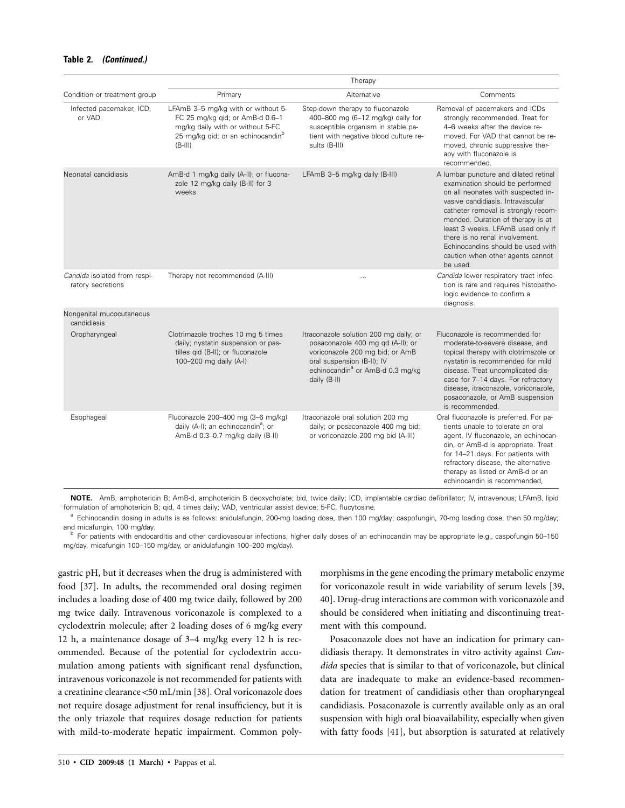#### **Table 2.** *(Continued.)*

|                                                   | Therapy                                                                                                                                                                 |                                                                                                                                                                                                              |                                                                                                                                                                                                                                                                                                                                                                                             |  |  |  |
|---------------------------------------------------|-------------------------------------------------------------------------------------------------------------------------------------------------------------------------|--------------------------------------------------------------------------------------------------------------------------------------------------------------------------------------------------------------|---------------------------------------------------------------------------------------------------------------------------------------------------------------------------------------------------------------------------------------------------------------------------------------------------------------------------------------------------------------------------------------------|--|--|--|
| Condition or treatment group                      | Primary                                                                                                                                                                 | Alternative                                                                                                                                                                                                  | Comments                                                                                                                                                                                                                                                                                                                                                                                    |  |  |  |
| Infected pacemaker, ICD,<br>or VAD                | LFAmB 3-5 mg/kg with or without 5-<br>FC 25 mg/kg qid; or AmB-d 0.6-1<br>mg/kg daily with or without 5-FC<br>25 mg/kg gid; or an echinocandin <sup>b</sup><br>$(B-III)$ | Step-down therapy to fluconazole<br>400-800 mg (6-12 mg/kg) daily for<br>susceptible organism in stable pa-<br>tient with negative blood culture re-<br>sults (B-III)                                        | Removal of pacemakers and ICDs<br>strongly recommended. Treat for<br>4-6 weeks after the device re-<br>moved. For VAD that cannot be re-<br>moved, chronic suppressive ther-<br>apy with fluconazole is<br>recommended.                                                                                                                                                                     |  |  |  |
| Neonatal candidiasis                              | AmB-d 1 mg/kg daily (A-II); or flucona-<br>zole 12 mg/kg daily (B-II) for 3<br>weeks                                                                                    | LFAmB 3-5 mg/kg daily (B-III)                                                                                                                                                                                | A lumbar puncture and dilated retinal<br>examination should be performed<br>on all neonates with suspected in-<br>vasive candidiasis. Intravascular<br>catheter removal is strongly recom-<br>mended. Duration of therapy is at<br>least 3 weeks. LFAmB used only if<br>there is no renal involvement.<br>Echinocandins should be used with<br>caution when other agents cannot<br>be used. |  |  |  |
| Candida isolated from respi-<br>ratory secretions | Therapy not recommended (A-III)                                                                                                                                         | $\ddotsc$                                                                                                                                                                                                    | Candida lower respiratory tract infec-<br>tion is rare and requires histopatho-<br>logic evidence to confirm a<br>diagnosis.                                                                                                                                                                                                                                                                |  |  |  |
| Nongenital mucocutaneous<br>candidiasis           |                                                                                                                                                                         |                                                                                                                                                                                                              |                                                                                                                                                                                                                                                                                                                                                                                             |  |  |  |
| Oropharyngeal                                     | Clotrimazole troches 10 mg 5 times<br>daily; nystatin suspension or pas-<br>tilles gid (B-II); or fluconazole<br>100-200 mg daily (A-I)                                 | Itraconazole solution 200 mg daily; or<br>posaconazole 400 mg gd (A-II); or<br>voriconazole 200 mg bid; or AmB<br>oral suspension (B-II); IV<br>echinocandin <sup>ª</sup> or AmB-d 0.3 mg/kg<br>daily (B-II) | Fluconazole is recommended for<br>moderate-to-severe disease, and<br>topical therapy with clotrimazole or<br>nystatin is recommended for mild<br>disease. Treat uncomplicated dis-<br>ease for 7-14 days. For refractory<br>disease, itraconazole, voriconazole,<br>posaconazole, or AmB suspension<br>is recommended.                                                                      |  |  |  |
| Esophageal                                        | Fluconazole 200-400 mg (3-6 mg/kg)<br>daily (A-I); an echinocandin <sup>a</sup> ; or<br>AmB-d 0.3-0.7 mg/kg daily (B-II)                                                | Itraconazole oral solution 200 mg<br>daily; or posaconazole 400 mg bid;<br>or voriconazole 200 mg bid (A-III)                                                                                                | Oral fluconazole is preferred. For pa-<br>tients unable to tolerate an oral<br>agent, IV fluconazole, an echinocan-<br>din, or AmB-d is appropriate. Treat<br>for 14-21 days. For patients with<br>refractory disease, the alternative<br>therapy as listed or AmB-d or an<br>echinocandin is recommended.                                                                                  |  |  |  |

**NOTE.** AmB, amphotericin B; AmB-d, amphotericin B deoxycholate; bid, twice daily; ICD, implantable cardiac defibrillator; IV, intravenous; LFAmB, lipid formulation of amphotericin B; qid, 4 times daily; VAD, ventricular assist device; 5-FC, flucytosine.

<sup>a</sup> Echinocandin dosing in adults is as follows: anidulafungin, 200-mg loading dose, then 100 mg/day; caspofungin, 70-mg loading dose, then 50 mg/day; and micafungin, 100 mg/day.<br>b For patients with endocarditis and other cardiovascular infections, higher daily doses of an echinocandin may be appropriate (e.g., caspofungin 50–150

mg/day, micafungin 100–150 mg/day, or anidulafungin 100–200 mg/day).

gastric pH, but it decreases when the drug is administered with food [37]. In adults, the recommended oral dosing regimen includes a loading dose of 400 mg twice daily, followed by 200 mg twice daily. Intravenous voriconazole is complexed to a cyclodextrin molecule; after 2 loading doses of 6 mg/kg every 12 h, a maintenance dosage of 3–4 mg/kg every 12 h is recommended. Because of the potential for cyclodextrin accumulation among patients with significant renal dysfunction, intravenous voriconazole is not recommended for patients with a creatinine clearance <50 mL/min [38]. Oral voriconazole does not require dosage adjustment for renal insufficiency, but it is the only triazole that requires dosage reduction for patients with mild-to-moderate hepatic impairment. Common poly-

510 • **CID 2009:48 (1 March)** • Pappas et al.

morphisms in the gene encoding the primary metabolic enzyme for voriconazole result in wide variability of serum levels [39, 40]. Drug-drug interactions are common with voriconazole and should be considered when initiating and discontinuing treatment with this compound.

Posaconazole does not have an indication for primary candidiasis therapy. It demonstrates in vitro activity against *Candida* species that is similar to that of voriconazole, but clinical data are inadequate to make an evidence-based recommendation for treatment of candidiasis other than oropharyngeal candidiasis. Posaconazole is currently available only as an oral suspension with high oral bioavailability, especially when given with fatty foods [41], but absorption is saturated at relatively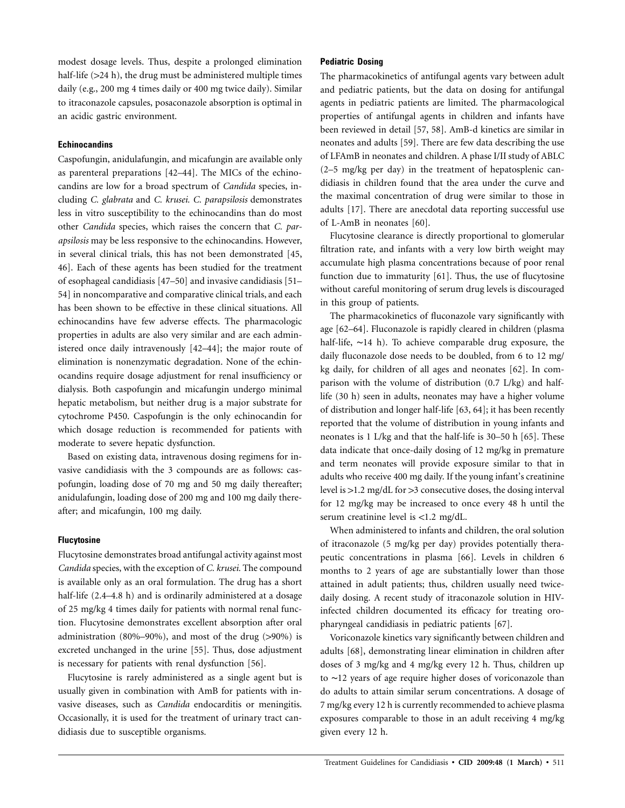modest dosage levels. Thus, despite a prolonged elimination half-life  $(>24 h)$ , the drug must be administered multiple times daily (e.g., 200 mg 4 times daily or 400 mg twice daily). Similar to itraconazole capsules, posaconazole absorption is optimal in an acidic gastric environment.

## **Echinocandins**

Caspofungin, anidulafungin, and micafungin are available only as parenteral preparations [42–44]. The MICs of the echinocandins are low for a broad spectrum of *Candida* species, including *C. glabrata* and *C. krusei. C. parapsilosis* demonstrates less in vitro susceptibility to the echinocandins than do most other *Candida* species, which raises the concern that *C. parapsilosis* may be less responsive to the echinocandins. However, in several clinical trials, this has not been demonstrated [45, 46]. Each of these agents has been studied for the treatment of esophageal candidiasis [47–50] and invasive candidiasis [51– 54] in noncomparative and comparative clinical trials, and each has been shown to be effective in these clinical situations. All echinocandins have few adverse effects. The pharmacologic properties in adults are also very similar and are each administered once daily intravenously [42–44]; the major route of elimination is nonenzymatic degradation. None of the echinocandins require dosage adjustment for renal insufficiency or dialysis. Both caspofungin and micafungin undergo minimal hepatic metabolism, but neither drug is a major substrate for cytochrome P450. Caspofungin is the only echinocandin for which dosage reduction is recommended for patients with moderate to severe hepatic dysfunction.

Based on existing data, intravenous dosing regimens for invasive candidiasis with the 3 compounds are as follows: caspofungin, loading dose of 70 mg and 50 mg daily thereafter; anidulafungin, loading dose of 200 mg and 100 mg daily thereafter; and micafungin, 100 mg daily.

#### **Flucytosine**

Flucytosine demonstrates broad antifungal activity against most *Candida* species, with the exception of *C. krusei.* The compound is available only as an oral formulation. The drug has a short half-life (2.4–4.8 h) and is ordinarily administered at a dosage of 25 mg/kg 4 times daily for patients with normal renal function. Flucytosine demonstrates excellent absorption after oral administration  $(80\% - 90\%)$ , and most of the drug  $(>90\%)$  is excreted unchanged in the urine [55]. Thus, dose adjustment is necessary for patients with renal dysfunction [56].

Flucytosine is rarely administered as a single agent but is usually given in combination with AmB for patients with invasive diseases, such as *Candida* endocarditis or meningitis. Occasionally, it is used for the treatment of urinary tract candidiasis due to susceptible organisms.

#### **Pediatric Dosing**

The pharmacokinetics of antifungal agents vary between adult and pediatric patients, but the data on dosing for antifungal agents in pediatric patients are limited. The pharmacological properties of antifungal agents in children and infants have been reviewed in detail [57, 58]. AmB-d kinetics are similar in neonates and adults [59]. There are few data describing the use of LFAmB in neonates and children. A phase I/II study of ABLC (2–5 mg/kg per day) in the treatment of hepatosplenic candidiasis in children found that the area under the curve and the maximal concentration of drug were similar to those in adults [17]. There are anecdotal data reporting successful use of L-AmB in neonates [60].

Flucytosine clearance is directly proportional to glomerular filtration rate, and infants with a very low birth weight may accumulate high plasma concentrations because of poor renal function due to immaturity [61]. Thus, the use of flucytosine without careful monitoring of serum drug levels is discouraged in this group of patients.

The pharmacokinetics of fluconazole vary significantly with age [62–64]. Fluconazole is rapidly cleared in children (plasma half-life, ∼14 h). To achieve comparable drug exposure, the daily fluconazole dose needs to be doubled, from 6 to 12 mg/ kg daily, for children of all ages and neonates [62]. In comparison with the volume of distribution (0.7 L/kg) and halflife (30 h) seen in adults, neonates may have a higher volume of distribution and longer half-life [63, 64]; it has been recently reported that the volume of distribution in young infants and neonates is 1 L/kg and that the half-life is 30–50 h [65]. These data indicate that once-daily dosing of 12 mg/kg in premature and term neonates will provide exposure similar to that in adults who receive 400 mg daily. If the young infant's creatinine level is  $>1.2$  mg/dL for  $>3$  consecutive doses, the dosing interval for 12 mg/kg may be increased to once every 48 h until the serum creatinine level is  $<$ 1.2 mg/dL.

When administered to infants and children, the oral solution of itraconazole (5 mg/kg per day) provides potentially therapeutic concentrations in plasma [66]. Levels in children 6 months to 2 years of age are substantially lower than those attained in adult patients; thus, children usually need twicedaily dosing. A recent study of itraconazole solution in HIVinfected children documented its efficacy for treating oropharyngeal candidiasis in pediatric patients [67].

Voriconazole kinetics vary significantly between children and adults [68], demonstrating linear elimination in children after doses of 3 mg/kg and 4 mg/kg every 12 h. Thus, children up to ∼12 years of age require higher doses of voriconazole than do adults to attain similar serum concentrations. A dosage of 7 mg/kg every 12 h is currently recommended to achieve plasma exposures comparable to those in an adult receiving 4 mg/kg given every 12 h.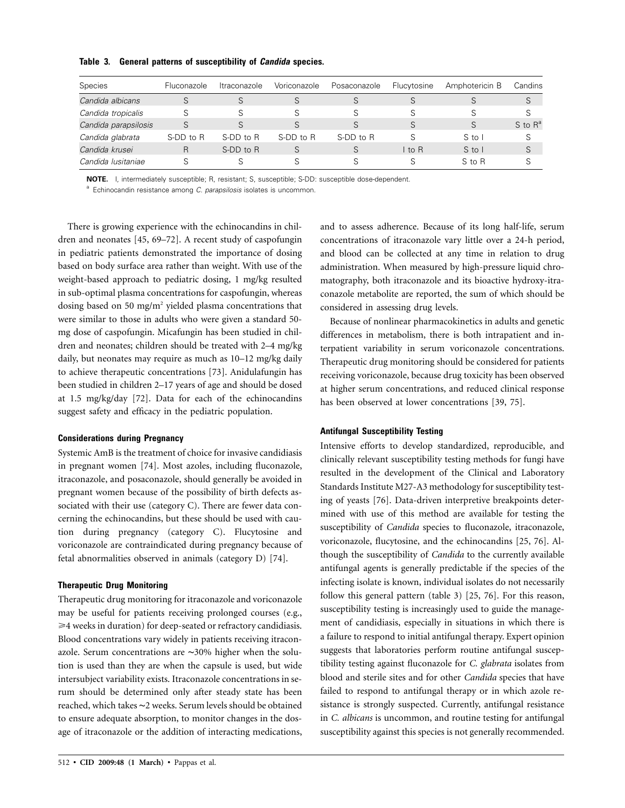| Species              | Fluconazole | Itraconazole | Voriconazole | Posaconazole | Flucytosine | Amphotericin B | Candins    |
|----------------------|-------------|--------------|--------------|--------------|-------------|----------------|------------|
| Candida albicans     |             | S            |              | G            |             |                | S          |
| Candida tropicalis   |             |              |              |              |             |                |            |
| Candida parapsilosis | S           |              |              | S            |             |                | S to $R^a$ |
| Candida glabrata     | S-DD to R   | S-DD to R    | S-DD to R    | S-DD to R    |             | S to I         |            |
| Candida krusei       | R           | S-DD to R    |              |              | l to R      | S to I         | S          |
| Candida Iusitaniae   |             |              |              |              |             | S to R         |            |

#### **Table 3. General patterns of susceptibility of** *Candida* **species.**

**NOTE.** I, intermediately susceptible; R, resistant; S, susceptible; S-DD: susceptible dose-dependent.

<sup>a</sup> Echinocandin resistance among *C. parapsilosis* isolates is uncommon.

There is growing experience with the echinocandins in children and neonates [45, 69–72]. A recent study of caspofungin in pediatric patients demonstrated the importance of dosing based on body surface area rather than weight. With use of the weight-based approach to pediatric dosing, 1 mg/kg resulted in sub-optimal plasma concentrations for caspofungin, whereas dosing based on 50 mg/m<sup>2</sup> yielded plasma concentrations that were similar to those in adults who were given a standard 50 mg dose of caspofungin. Micafungin has been studied in children and neonates; children should be treated with 2–4 mg/kg daily, but neonates may require as much as 10–12 mg/kg daily to achieve therapeutic concentrations [73]. Anidulafungin has been studied in children 2–17 years of age and should be dosed at 1.5 mg/kg/day [72]. Data for each of the echinocandins suggest safety and efficacy in the pediatric population.

#### **Considerations during Pregnancy**

Systemic AmB is the treatment of choice for invasive candidiasis in pregnant women [74]. Most azoles, including fluconazole, itraconazole, and posaconazole, should generally be avoided in pregnant women because of the possibility of birth defects associated with their use (category C). There are fewer data concerning the echinocandins, but these should be used with caution during pregnancy (category C). Flucytosine and voriconazole are contraindicated during pregnancy because of fetal abnormalities observed in animals (category D) [74].

#### **Therapeutic Drug Monitoring**

Therapeutic drug monitoring for itraconazole and voriconazole may be useful for patients receiving prolonged courses (e.g.,  $\geq$ 4 weeks in duration) for deep-seated or refractory candidiasis. Blood concentrations vary widely in patients receiving itraconazole. Serum concentrations are ∼30% higher when the solution is used than they are when the capsule is used, but wide intersubject variability exists. Itraconazole concentrations in serum should be determined only after steady state has been reached, which takes ∼2 weeks. Serum levels should be obtained to ensure adequate absorption, to monitor changes in the dosage of itraconazole or the addition of interacting medications, and to assess adherence. Because of its long half-life, serum concentrations of itraconazole vary little over a 24-h period, and blood can be collected at any time in relation to drug administration. When measured by high-pressure liquid chromatography, both itraconazole and its bioactive hydroxy-itraconazole metabolite are reported, the sum of which should be considered in assessing drug levels.

Because of nonlinear pharmacokinetics in adults and genetic differences in metabolism, there is both intrapatient and interpatient variability in serum voriconazole concentrations. Therapeutic drug monitoring should be considered for patients receiving voriconazole, because drug toxicity has been observed at higher serum concentrations, and reduced clinical response has been observed at lower concentrations [39, 75].

#### **Antifungal Susceptibility Testing**

Intensive efforts to develop standardized, reproducible, and clinically relevant susceptibility testing methods for fungi have resulted in the development of the Clinical and Laboratory Standards Institute M27-A3 methodology for susceptibility testing of yeasts [76]. Data-driven interpretive breakpoints determined with use of this method are available for testing the susceptibility of *Candida* species to fluconazole, itraconazole, voriconazole, flucytosine, and the echinocandins [25, 76]. Although the susceptibility of *Candida* to the currently available antifungal agents is generally predictable if the species of the infecting isolate is known, individual isolates do not necessarily follow this general pattern (table 3) [25, 76]. For this reason, susceptibility testing is increasingly used to guide the management of candidiasis, especially in situations in which there is a failure to respond to initial antifungal therapy. Expert opinion suggests that laboratories perform routine antifungal susceptibility testing against fluconazole for *C. glabrata* isolates from blood and sterile sites and for other *Candida* species that have failed to respond to antifungal therapy or in which azole resistance is strongly suspected. Currently, antifungal resistance in *C. albicans* is uncommon, and routine testing for antifungal susceptibility against this species is not generally recommended.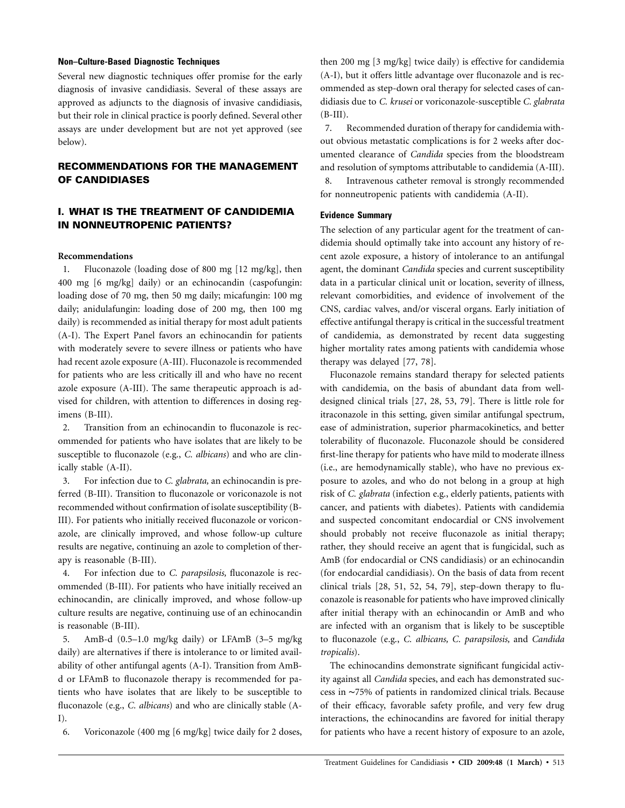#### **Non–Culture-Based Diagnostic Techniques**

Several new diagnostic techniques offer promise for the early diagnosis of invasive candidiasis. Several of these assays are approved as adjuncts to the diagnosis of invasive candidiasis, but their role in clinical practice is poorly defined. Several other assays are under development but are not yet approved (see below).

# **RECOMMENDATIONS FOR THE MANAGEMENT OF CANDIDIASES**

# **I. WHAT IS THE TREATMENT OF CANDIDEMIA IN NONNEUTROPENIC PATIENTS?**

#### **Recommendations**

1. Fluconazole (loading dose of 800 mg [12 mg/kg], then 400 mg [6 mg/kg] daily) or an echinocandin (caspofungin: loading dose of 70 mg, then 50 mg daily; micafungin: 100 mg daily; anidulafungin: loading dose of 200 mg, then 100 mg daily) is recommended as initial therapy for most adult patients (A-I). The Expert Panel favors an echinocandin for patients with moderately severe to severe illness or patients who have had recent azole exposure (A-III). Fluconazole is recommended for patients who are less critically ill and who have no recent azole exposure (A-III). The same therapeutic approach is advised for children, with attention to differences in dosing regimens (B-III).

2. Transition from an echinocandin to fluconazole is recommended for patients who have isolates that are likely to be susceptible to fluconazole (e.g., *C. albicans*) and who are clinically stable (A-II).

3. For infection due to *C. glabrata,* an echinocandin is preferred (B-III). Transition to fluconazole or voriconazole is not recommended without confirmation of isolate susceptibility (B-III). For patients who initially received fluconazole or voriconazole, are clinically improved, and whose follow-up culture results are negative, continuing an azole to completion of therapy is reasonable (B-III).

4. For infection due to *C. parapsilosis,* fluconazole is recommended (B-III). For patients who have initially received an echinocandin, are clinically improved, and whose follow-up culture results are negative, continuing use of an echinocandin is reasonable (B-III).

5. AmB-d (0.5–1.0 mg/kg daily) or LFAmB (3–5 mg/kg daily) are alternatives if there is intolerance to or limited availability of other antifungal agents (A-I). Transition from AmBd or LFAmB to fluconazole therapy is recommended for patients who have isolates that are likely to be susceptible to fluconazole (e.g., *C. albicans*) and who are clinically stable (A-I).

6. Voriconazole (400 mg [6 mg/kg] twice daily for 2 doses,

then 200 mg [3 mg/kg] twice daily) is effective for candidemia (A-I), but it offers little advantage over fluconazole and is recommended as step-down oral therapy for selected cases of candidiasis due to *C. krusei* or voriconazole-susceptible *C. glabrata*  $(B-III).$ 

7. Recommended duration of therapy for candidemia without obvious metastatic complications is for 2 weeks after documented clearance of *Candida* species from the bloodstream and resolution of symptoms attributable to candidemia (A-III).

8. Intravenous catheter removal is strongly recommended for nonneutropenic patients with candidemia (A-II).

## **Evidence Summary**

The selection of any particular agent for the treatment of candidemia should optimally take into account any history of recent azole exposure, a history of intolerance to an antifungal agent, the dominant *Candida* species and current susceptibility data in a particular clinical unit or location, severity of illness, relevant comorbidities, and evidence of involvement of the CNS, cardiac valves, and/or visceral organs. Early initiation of effective antifungal therapy is critical in the successful treatment of candidemia, as demonstrated by recent data suggesting higher mortality rates among patients with candidemia whose therapy was delayed [77, 78].

Fluconazole remains standard therapy for selected patients with candidemia, on the basis of abundant data from welldesigned clinical trials [27, 28, 53, 79]. There is little role for itraconazole in this setting, given similar antifungal spectrum, ease of administration, superior pharmacokinetics, and better tolerability of fluconazole. Fluconazole should be considered first-line therapy for patients who have mild to moderate illness (i.e., are hemodynamically stable), who have no previous exposure to azoles, and who do not belong in a group at high risk of *C. glabrata* (infection e.g., elderly patients, patients with cancer, and patients with diabetes). Patients with candidemia and suspected concomitant endocardial or CNS involvement should probably not receive fluconazole as initial therapy; rather, they should receive an agent that is fungicidal, such as AmB (for endocardial or CNS candidiasis) or an echinocandin (for endocardial candidiasis). On the basis of data from recent clinical trials [28, 51, 52, 54, 79], step-down therapy to fluconazole is reasonable for patients who have improved clinically after initial therapy with an echinocandin or AmB and who are infected with an organism that is likely to be susceptible to fluconazole (e.g., *C. albicans, C. parapsilosis,* and *Candida tropicalis*).

The echinocandins demonstrate significant fungicidal activity against all *Candida* species, and each has demonstrated success in ∼75% of patients in randomized clinical trials. Because of their efficacy, favorable safety profile, and very few drug interactions, the echinocandins are favored for initial therapy for patients who have a recent history of exposure to an azole,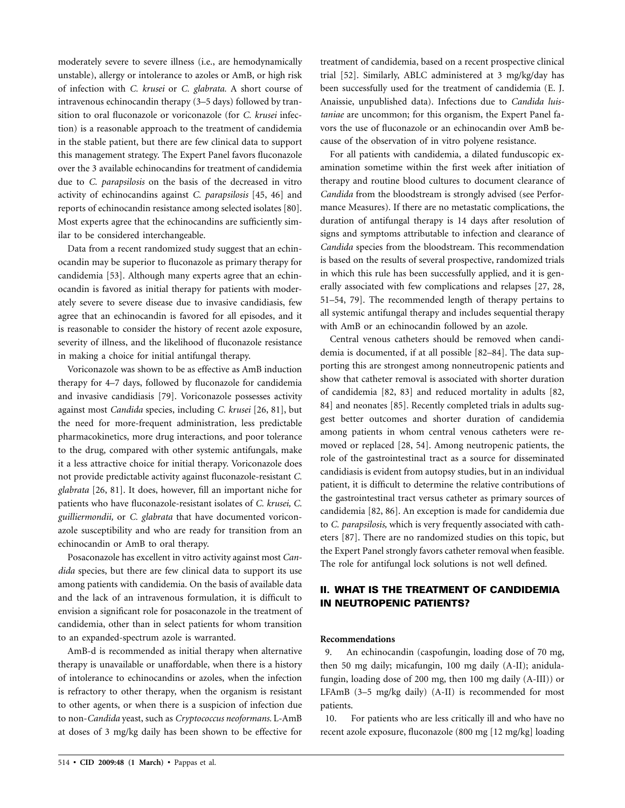moderately severe to severe illness (i.e., are hemodynamically unstable), allergy or intolerance to azoles or AmB, or high risk of infection with *C. krusei* or *C. glabrata.* A short course of intravenous echinocandin therapy (3–5 days) followed by transition to oral fluconazole or voriconazole (for *C. krusei* infection) is a reasonable approach to the treatment of candidemia in the stable patient, but there are few clinical data to support this management strategy. The Expert Panel favors fluconazole over the 3 available echinocandins for treatment of candidemia due to *C. parapsilosis* on the basis of the decreased in vitro activity of echinocandins against *C. parapsilosis* [45, 46] and reports of echinocandin resistance among selected isolates [80]. Most experts agree that the echinocandins are sufficiently similar to be considered interchangeable.

Data from a recent randomized study suggest that an echinocandin may be superior to fluconazole as primary therapy for candidemia [53]. Although many experts agree that an echinocandin is favored as initial therapy for patients with moderately severe to severe disease due to invasive candidiasis, few agree that an echinocandin is favored for all episodes, and it is reasonable to consider the history of recent azole exposure, severity of illness, and the likelihood of fluconazole resistance in making a choice for initial antifungal therapy.

Voriconazole was shown to be as effective as AmB induction therapy for 4–7 days, followed by fluconazole for candidemia and invasive candidiasis [79]. Voriconazole possesses activity against most *Candida* species, including *C. krusei* [26, 81], but the need for more-frequent administration, less predictable pharmacokinetics, more drug interactions, and poor tolerance to the drug, compared with other systemic antifungals, make it a less attractive choice for initial therapy. Voriconazole does not provide predictable activity against fluconazole-resistant *C. glabrata* [26, 81]. It does, however, fill an important niche for patients who have fluconazole-resistant isolates of *C. krusei, C. guilliermondii,* or *C. glabrata* that have documented voriconazole susceptibility and who are ready for transition from an echinocandin or AmB to oral therapy.

Posaconazole has excellent in vitro activity against most *Candida* species, but there are few clinical data to support its use among patients with candidemia. On the basis of available data and the lack of an intravenous formulation, it is difficult to envision a significant role for posaconazole in the treatment of candidemia, other than in select patients for whom transition to an expanded-spectrum azole is warranted.

AmB-d is recommended as initial therapy when alternative therapy is unavailable or unaffordable, when there is a history of intolerance to echinocandins or azoles, when the infection is refractory to other therapy, when the organism is resistant to other agents, or when there is a suspicion of infection due to non-*Candida* yeast, such as *Cryptococcus neoformans.* L-AmB at doses of 3 mg/kg daily has been shown to be effective for

treatment of candidemia, based on a recent prospective clinical trial [52]. Similarly, ABLC administered at 3 mg/kg/day has been successfully used for the treatment of candidemia (E. J. Anaissie, unpublished data). Infections due to *Candida luistaniae* are uncommon; for this organism, the Expert Panel favors the use of fluconazole or an echinocandin over AmB because of the observation of in vitro polyene resistance.

For all patients with candidemia, a dilated funduscopic examination sometime within the first week after initiation of therapy and routine blood cultures to document clearance of *Candida* from the bloodstream is strongly advised (see Performance Measures). If there are no metastatic complications, the duration of antifungal therapy is 14 days after resolution of signs and symptoms attributable to infection and clearance of *Candida* species from the bloodstream. This recommendation is based on the results of several prospective, randomized trials in which this rule has been successfully applied, and it is generally associated with few complications and relapses [27, 28, 51–54, 79]. The recommended length of therapy pertains to all systemic antifungal therapy and includes sequential therapy with AmB or an echinocandin followed by an azole.

Central venous catheters should be removed when candidemia is documented, if at all possible [82–84]. The data supporting this are strongest among nonneutropenic patients and show that catheter removal is associated with shorter duration of candidemia [82, 83] and reduced mortality in adults [82, 84] and neonates [85]. Recently completed trials in adults suggest better outcomes and shorter duration of candidemia among patients in whom central venous catheters were removed or replaced [28, 54]. Among neutropenic patients, the role of the gastrointestinal tract as a source for disseminated candidiasis is evident from autopsy studies, but in an individual patient, it is difficult to determine the relative contributions of the gastrointestinal tract versus catheter as primary sources of candidemia [82, 86]. An exception is made for candidemia due to *C. parapsilosis,* which is very frequently associated with catheters [87]. There are no randomized studies on this topic, but the Expert Panel strongly favors catheter removal when feasible. The role for antifungal lock solutions is not well defined.

# **II. WHAT IS THE TREATMENT OF CANDIDEMIA IN NEUTROPENIC PATIENTS?**

## **Recommendations**

9. An echinocandin (caspofungin, loading dose of 70 mg, then 50 mg daily; micafungin, 100 mg daily (A-II); anidulafungin, loading dose of 200 mg, then 100 mg daily (A-III)) or LFAmB (3–5 mg/kg daily) (A-II) is recommended for most patients.

10. For patients who are less critically ill and who have no recent azole exposure, fluconazole (800 mg [12 mg/kg] loading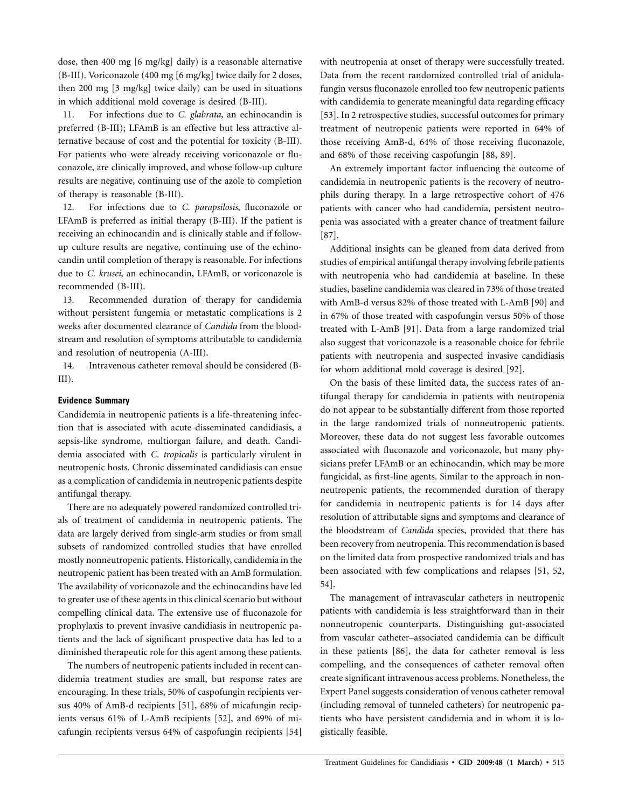dose, then 400 mg [6 mg/kg] daily) is a reasonable alternative (B-III). Voriconazole (400 mg [6 mg/kg] twice daily for 2 doses, then 200 mg [3 mg/kg] twice daily) can be used in situations in which additional mold coverage is desired (B-III).

11. For infections due to *C. glabrata,* an echinocandin is preferred (B-III); LFAmB is an effective but less attractive alternative because of cost and the potential for toxicity (B-III). For patients who were already receiving voriconazole or fluconazole, are clinically improved, and whose follow-up culture results are negative, continuing use of the azole to completion of therapy is reasonable (B-III).

12. For infections due to *C. parapsilosis*, fluconazole or LFAmB is preferred as initial therapy (B-III). If the patient is receiving an echinocandin and is clinically stable and if followup culture results are negative, continuing use of the echinocandin until completion of therapy is reasonable. For infections due to *C. krusei,* an echinocandin, LFAmB, or voriconazole is recommended (B-III).

13. Recommended duration of therapy for candidemia without persistent fungemia or metastatic complications is 2 weeks after documented clearance of *Candida* from the bloodstream and resolution of symptoms attributable to candidemia and resolution of neutropenia (A-III).

14. Intravenous catheter removal should be considered (B-III).

# **Evidence Summary**

Candidemia in neutropenic patients is a life-threatening infection that is associated with acute disseminated candidiasis, a sepsis-like syndrome, multiorgan failure, and death. Candidemia associated with *C. tropicalis* is particularly virulent in neutropenic hosts. Chronic disseminated candidiasis can ensue as a complication of candidemia in neutropenic patients despite antifungal therapy.

There are no adequately powered randomized controlled trials of treatment of candidemia in neutropenic patients. The data are largely derived from single-arm studies or from small subsets of randomized controlled studies that have enrolled mostly nonneutropenic patients. Historically, candidemia in the neutropenic patient has been treated with an AmB formulation. The availability of voriconazole and the echinocandins have led to greater use of these agents in this clinical scenario but without compelling clinical data. The extensive use of fluconazole for prophylaxis to prevent invasive candidiasis in neutropenic patients and the lack of significant prospective data has led to a diminished therapeutic role for this agent among these patients.

The numbers of neutropenic patients included in recent candidemia treatment studies are small, but response rates are encouraging. In these trials, 50% of caspofungin recipients versus 40% of AmB-d recipients [51], 68% of micafungin recipients versus 61% of L-AmB recipients [52], and 69% of micafungin recipients versus 64% of caspofungin recipients [54]

with neutropenia at onset of therapy were successfully treated. Data from the recent randomized controlled trial of anidulafungin versus fluconazole enrolled too few neutropenic patients with candidemia to generate meaningful data regarding efficacy [53]. In 2 retrospective studies, successful outcomes for primary treatment of neutropenic patients were reported in 64% of those receiving AmB-d, 64% of those receiving fluconazole, and 68% of those receiving caspofungin [88, 89].

An extremely important factor influencing the outcome of candidemia in neutropenic patients is the recovery of neutrophils during therapy. In a large retrospective cohort of 476 patients with cancer who had candidemia, persistent neutropenia was associated with a greater chance of treatment failure [87].

Additional insights can be gleaned from data derived from studies of empirical antifungal therapy involving febrile patients with neutropenia who had candidemia at baseline. In these studies, baseline candidemia was cleared in 73% of those treated with AmB-d versus 82% of those treated with L-AmB [90] and in 67% of those treated with caspofungin versus 50% of those treated with L-AmB [91]. Data from a large randomized trial also suggest that voriconazole is a reasonable choice for febrile patients with neutropenia and suspected invasive candidiasis for whom additional mold coverage is desired [92].

On the basis of these limited data, the success rates of antifungal therapy for candidemia in patients with neutropenia do not appear to be substantially different from those reported in the large randomized trials of nonneutropenic patients. Moreover, these data do not suggest less favorable outcomes associated with fluconazole and voriconazole, but many physicians prefer LFAmB or an echinocandin, which may be more fungicidal, as first-line agents. Similar to the approach in nonneutropenic patients, the recommended duration of therapy for candidemia in neutropenic patients is for 14 days after resolution of attributable signs and symptoms and clearance of the bloodstream of *Candida* species, provided that there has been recovery from neutropenia. This recommendation is based on the limited data from prospective randomized trials and has been associated with few complications and relapses [51, 52, 54].

The management of intravascular catheters in neutropenic patients with candidemia is less straightforward than in their nonneutropenic counterparts. Distinguishing gut-associated from vascular catheter–associated candidemia can be difficult in these patients [86], the data for catheter removal is less compelling, and the consequences of catheter removal often create significant intravenous access problems. Nonetheless, the Expert Panel suggests consideration of venous catheter removal (including removal of tunneled catheters) for neutropenic patients who have persistent candidemia and in whom it is logistically feasible.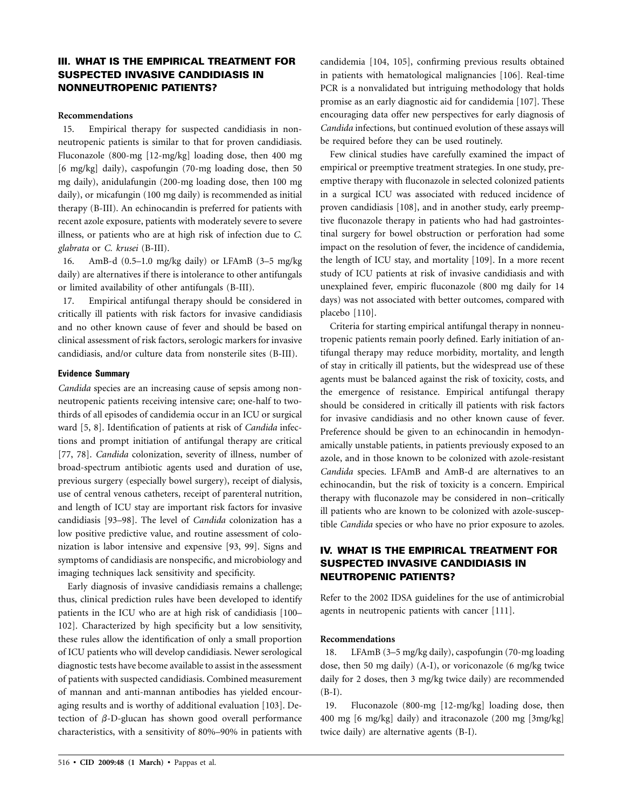# **III. WHAT IS THE EMPIRICAL TREATMENT FOR SUSPECTED INVASIVE CANDIDIASIS IN NONNEUTROPENIC PATIENTS?**

# **Recommendations**

15. Empirical therapy for suspected candidiasis in nonneutropenic patients is similar to that for proven candidiasis. Fluconazole (800-mg [12-mg/kg] loading dose, then 400 mg [6 mg/kg] daily), caspofungin (70-mg loading dose, then 50 mg daily), anidulafungin (200-mg loading dose, then 100 mg daily), or micafungin (100 mg daily) is recommended as initial therapy (B-III). An echinocandin is preferred for patients with recent azole exposure, patients with moderately severe to severe illness, or patients who are at high risk of infection due to *C. glabrata* or *C. krusei* (B-III).

16. AmB-d (0.5–1.0 mg/kg daily) or LFAmB (3–5 mg/kg daily) are alternatives if there is intolerance to other antifungals or limited availability of other antifungals (B-III).

17. Empirical antifungal therapy should be considered in critically ill patients with risk factors for invasive candidiasis and no other known cause of fever and should be based on clinical assessment of risk factors, serologic markers for invasive candidiasis, and/or culture data from nonsterile sites (B-III).

## **Evidence Summary**

*Candida* species are an increasing cause of sepsis among nonneutropenic patients receiving intensive care; one-half to twothirds of all episodes of candidemia occur in an ICU or surgical ward [5, 8]. Identification of patients at risk of *Candida* infections and prompt initiation of antifungal therapy are critical [77, 78]. *Candida* colonization, severity of illness, number of broad-spectrum antibiotic agents used and duration of use, previous surgery (especially bowel surgery), receipt of dialysis, use of central venous catheters, receipt of parenteral nutrition, and length of ICU stay are important risk factors for invasive candidiasis [93–98]. The level of *Candida* colonization has a low positive predictive value, and routine assessment of colonization is labor intensive and expensive [93, 99]. Signs and symptoms of candidiasis are nonspecific, and microbiology and imaging techniques lack sensitivity and specificity.

Early diagnosis of invasive candidiasis remains a challenge; thus, clinical prediction rules have been developed to identify patients in the ICU who are at high risk of candidiasis [100– 102]. Characterized by high specificity but a low sensitivity, these rules allow the identification of only a small proportion of ICU patients who will develop candidiasis. Newer serological diagnostic tests have become available to assist in the assessment of patients with suspected candidiasis. Combined measurement of mannan and anti-mannan antibodies has yielded encouraging results and is worthy of additional evaluation [103]. Detection of  $\beta$ -D-glucan has shown good overall performance characteristics, with a sensitivity of 80%–90% in patients with candidemia [104, 105], confirming previous results obtained in patients with hematological malignancies [106]. Real-time PCR is a nonvalidated but intriguing methodology that holds promise as an early diagnostic aid for candidemia [107]. These encouraging data offer new perspectives for early diagnosis of *Candida* infections, but continued evolution of these assays will be required before they can be used routinely.

Few clinical studies have carefully examined the impact of empirical or preemptive treatment strategies. In one study, preemptive therapy with fluconazole in selected colonized patients in a surgical ICU was associated with reduced incidence of proven candidiasis [108], and in another study, early preemptive fluconazole therapy in patients who had had gastrointestinal surgery for bowel obstruction or perforation had some impact on the resolution of fever, the incidence of candidemia, the length of ICU stay, and mortality [109]. In a more recent study of ICU patients at risk of invasive candidiasis and with unexplained fever, empiric fluconazole (800 mg daily for 14 days) was not associated with better outcomes, compared with placebo [110].

Criteria for starting empirical antifungal therapy in nonneutropenic patients remain poorly defined. Early initiation of antifungal therapy may reduce morbidity, mortality, and length of stay in critically ill patients, but the widespread use of these agents must be balanced against the risk of toxicity, costs, and the emergence of resistance. Empirical antifungal therapy should be considered in critically ill patients with risk factors for invasive candidiasis and no other known cause of fever. Preference should be given to an echinocandin in hemodynamically unstable patients, in patients previously exposed to an azole, and in those known to be colonized with azole-resistant *Candida* species. LFAmB and AmB-d are alternatives to an echinocandin, but the risk of toxicity is a concern. Empirical therapy with fluconazole may be considered in non–critically ill patients who are known to be colonized with azole-susceptible *Candida* species or who have no prior exposure to azoles.

# **IV. WHAT IS THE EMPIRICAL TREATMENT FOR SUSPECTED INVASIVE CANDIDIASIS IN NEUTROPENIC PATIENTS?**

Refer to the 2002 IDSA guidelines for the use of antimicrobial agents in neutropenic patients with cancer [111].

#### **Recommendations**

18. LFAmB (3–5 mg/kg daily), caspofungin (70-mg loading dose, then 50 mg daily) (A-I), or voriconazole (6 mg/kg twice daily for 2 doses, then 3 mg/kg twice daily) are recommended  $(B-I).$ 

19. Fluconazole (800-mg [12-mg/kg] loading dose, then 400 mg [6 mg/kg] daily) and itraconazole (200 mg [3mg/kg] twice daily) are alternative agents (B-I).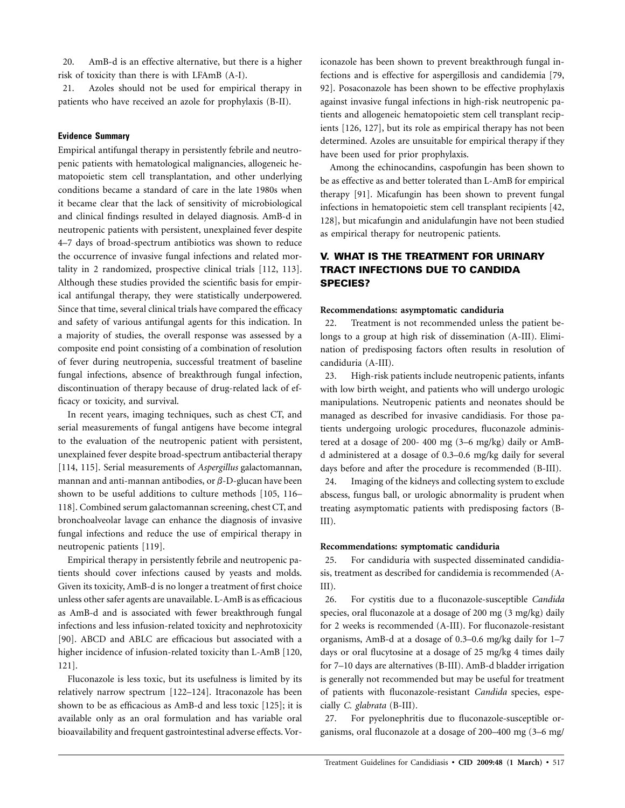20. AmB-d is an effective alternative, but there is a higher risk of toxicity than there is with LFAmB (A-I).

21. Azoles should not be used for empirical therapy in patients who have received an azole for prophylaxis (B-II).

## **Evidence Summary**

Empirical antifungal therapy in persistently febrile and neutropenic patients with hematological malignancies, allogeneic hematopoietic stem cell transplantation, and other underlying conditions became a standard of care in the late 1980s when it became clear that the lack of sensitivity of microbiological and clinical findings resulted in delayed diagnosis. AmB-d in neutropenic patients with persistent, unexplained fever despite 4–7 days of broad-spectrum antibiotics was shown to reduce the occurrence of invasive fungal infections and related mortality in 2 randomized, prospective clinical trials [112, 113]. Although these studies provided the scientific basis for empirical antifungal therapy, they were statistically underpowered. Since that time, several clinical trials have compared the efficacy and safety of various antifungal agents for this indication. In a majority of studies, the overall response was assessed by a composite end point consisting of a combination of resolution of fever during neutropenia, successful treatment of baseline fungal infections, absence of breakthrough fungal infection, discontinuation of therapy because of drug-related lack of efficacy or toxicity, and survival.

In recent years, imaging techniques, such as chest CT, and serial measurements of fungal antigens have become integral to the evaluation of the neutropenic patient with persistent, unexplained fever despite broad-spectrum antibacterial therapy [114, 115]. Serial measurements of *Aspergillus* galactomannan, mannan and anti-mannan antibodies, or  $\beta$ -D-glucan have been shown to be useful additions to culture methods [105, 116– 118]. Combined serum galactomannan screening, chest CT, and bronchoalveolar lavage can enhance the diagnosis of invasive fungal infections and reduce the use of empirical therapy in neutropenic patients [119].

Empirical therapy in persistently febrile and neutropenic patients should cover infections caused by yeasts and molds. Given its toxicity, AmB-d is no longer a treatment of first choice unless other safer agents are unavailable. L-AmB is as efficacious as AmB-d and is associated with fewer breakthrough fungal infections and less infusion-related toxicity and nephrotoxicity [90]. ABCD and ABLC are efficacious but associated with a higher incidence of infusion-related toxicity than L-AmB [120, 121].

Fluconazole is less toxic, but its usefulness is limited by its relatively narrow spectrum [122–124]. Itraconazole has been shown to be as efficacious as AmB-d and less toxic [125]; it is available only as an oral formulation and has variable oral bioavailability and frequent gastrointestinal adverse effects. Vor-

iconazole has been shown to prevent breakthrough fungal infections and is effective for aspergillosis and candidemia [79, 92]. Posaconazole has been shown to be effective prophylaxis against invasive fungal infections in high-risk neutropenic patients and allogeneic hematopoietic stem cell transplant recipients [126, 127], but its role as empirical therapy has not been determined. Azoles are unsuitable for empirical therapy if they have been used for prior prophylaxis.

Among the echinocandins, caspofungin has been shown to be as effective as and better tolerated than L-AmB for empirical therapy [91]. Micafungin has been shown to prevent fungal infections in hematopoietic stem cell transplant recipients [42, 128], but micafungin and anidulafungin have not been studied as empirical therapy for neutropenic patients.

# **V. WHAT IS THE TREATMENT FOR URINARY TRACT INFECTIONS DUE TO CANDIDA SPECIES?**

#### **Recommendations: asymptomatic candiduria**

22. Treatment is not recommended unless the patient belongs to a group at high risk of dissemination (A-III). Elimination of predisposing factors often results in resolution of candiduria (A-III).

23. High-risk patients include neutropenic patients, infants with low birth weight, and patients who will undergo urologic manipulations. Neutropenic patients and neonates should be managed as described for invasive candidiasis. For those patients undergoing urologic procedures, fluconazole administered at a dosage of 200- 400 mg (3–6 mg/kg) daily or AmBd administered at a dosage of 0.3–0.6 mg/kg daily for several days before and after the procedure is recommended (B-III).

24. Imaging of the kidneys and collecting system to exclude abscess, fungus ball, or urologic abnormality is prudent when treating asymptomatic patients with predisposing factors (B-III).

#### **Recommendations: symptomatic candiduria**

25. For candiduria with suspected disseminated candidiasis, treatment as described for candidemia is recommended (A-III).

26. For cystitis due to a fluconazole-susceptible *Candida* species, oral fluconazole at a dosage of 200 mg (3 mg/kg) daily for 2 weeks is recommended (A-III). For fluconazole-resistant organisms, AmB-d at a dosage of 0.3–0.6 mg/kg daily for 1–7 days or oral flucytosine at a dosage of 25 mg/kg 4 times daily for 7–10 days are alternatives (B-III). AmB-d bladder irrigation is generally not recommended but may be useful for treatment of patients with fluconazole-resistant *Candida* species, especially *C. glabrata* (B-III)*.*

27. For pyelonephritis due to fluconazole-susceptible organisms, oral fluconazole at a dosage of 200–400 mg (3–6 mg/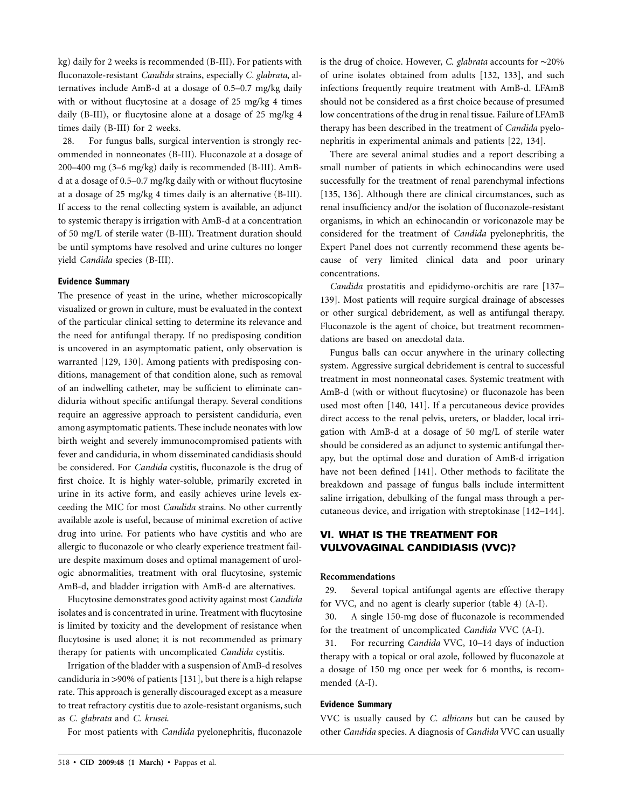kg) daily for 2 weeks is recommended (B-III). For patients with fluconazole-resistant *Candida* strains, especially *C. glabrata*, alternatives include AmB-d at a dosage of 0.5–0.7 mg/kg daily with or without flucytosine at a dosage of 25 mg/kg 4 times daily (B-III), or flucytosine alone at a dosage of 25 mg/kg 4 times daily (B-III) for 2 weeks.

28. For fungus balls, surgical intervention is strongly recommended in nonneonates (B-III). Fluconazole at a dosage of 200–400 mg (3–6 mg/kg) daily is recommended (B-III). AmBd at a dosage of 0.5–0.7 mg/kg daily with or without flucytosine at a dosage of 25 mg/kg 4 times daily is an alternative (B-III). If access to the renal collecting system is available, an adjunct to systemic therapy is irrigation with AmB-d at a concentration of 50 mg/L of sterile water (B-III). Treatment duration should be until symptoms have resolved and urine cultures no longer yield *Candida* species (B-III).

#### **Evidence Summary**

The presence of yeast in the urine, whether microscopically visualized or grown in culture, must be evaluated in the context of the particular clinical setting to determine its relevance and the need for antifungal therapy. If no predisposing condition is uncovered in an asymptomatic patient, only observation is warranted [129, 130]. Among patients with predisposing conditions, management of that condition alone, such as removal of an indwelling catheter, may be sufficient to eliminate candiduria without specific antifungal therapy. Several conditions require an aggressive approach to persistent candiduria, even among asymptomatic patients. These include neonates with low birth weight and severely immunocompromised patients with fever and candiduria, in whom disseminated candidiasis should be considered. For *Candida* cystitis, fluconazole is the drug of first choice. It is highly water-soluble, primarily excreted in urine in its active form, and easily achieves urine levels exceeding the MIC for most *Candida* strains. No other currently available azole is useful, because of minimal excretion of active drug into urine. For patients who have cystitis and who are allergic to fluconazole or who clearly experience treatment failure despite maximum doses and optimal management of urologic abnormalities, treatment with oral flucytosine, systemic AmB-d, and bladder irrigation with AmB-d are alternatives.

Flucytosine demonstrates good activity against most *Candida* isolates and is concentrated in urine. Treatment with flucytosine is limited by toxicity and the development of resistance when flucytosine is used alone; it is not recommended as primary therapy for patients with uncomplicated *Candida* cystitis.

Irrigation of the bladder with a suspension of AmB-d resolves candiduria in  $>90\%$  of patients [131], but there is a high relapse rate. This approach is generally discouraged except as a measure to treat refractory cystitis due to azole-resistant organisms, such as *C. glabrata* and *C. krusei*.

For most patients with *Candida* pyelonephritis, fluconazole

is the drug of choice. However, *C. glabrata* accounts for ∼20% of urine isolates obtained from adults [132, 133], and such infections frequently require treatment with AmB-d. LFAmB should not be considered as a first choice because of presumed low concentrations of the drug in renal tissue. Failure of LFAmB therapy has been described in the treatment of *Candida* pyelonephritis in experimental animals and patients [22, 134].

There are several animal studies and a report describing a small number of patients in which echinocandins were used successfully for the treatment of renal parenchymal infections [135, 136]. Although there are clinical circumstances, such as renal insufficiency and/or the isolation of fluconazole-resistant organisms, in which an echinocandin or voriconazole may be considered for the treatment of *Candida* pyelonephritis, the Expert Panel does not currently recommend these agents because of very limited clinical data and poor urinary concentrations.

*Candida* prostatitis and epididymo-orchitis are rare [137– 139]. Most patients will require surgical drainage of abscesses or other surgical debridement, as well as antifungal therapy. Fluconazole is the agent of choice, but treatment recommendations are based on anecdotal data.

Fungus balls can occur anywhere in the urinary collecting system. Aggressive surgical debridement is central to successful treatment in most nonneonatal cases. Systemic treatment with AmB-d (with or without flucytosine) or fluconazole has been used most often [140, 141]. If a percutaneous device provides direct access to the renal pelvis, ureters, or bladder, local irrigation with AmB-d at a dosage of 50 mg/L of sterile water should be considered as an adjunct to systemic antifungal therapy, but the optimal dose and duration of AmB-d irrigation have not been defined [141]. Other methods to facilitate the breakdown and passage of fungus balls include intermittent saline irrigation, debulking of the fungal mass through a percutaneous device, and irrigation with streptokinase [142–144].

# **VI. WHAT IS THE TREATMENT FOR VULVOVAGINAL CANDIDIASIS (VVC)?**

## **Recommendations**

29. Several topical antifungal agents are effective therapy for VVC, and no agent is clearly superior (table 4) (A-I).

30. A single 150-mg dose of fluconazole is recommended for the treatment of uncomplicated *Candida* VVC (A-I).

31. For recurring *Candida* VVC, 10–14 days of induction therapy with a topical or oral azole, followed by fluconazole at a dosage of 150 mg once per week for 6 months, is recommended (A-I).

# **Evidence Summary**

VVC is usually caused by *C. albicans* but can be caused by other *Candida* species. A diagnosis of *Candida* VVC can usually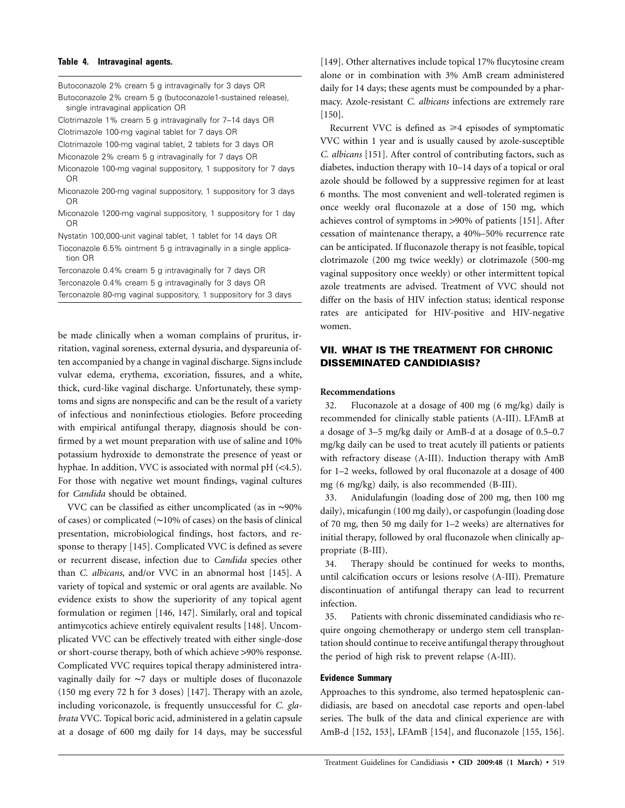#### **Table 4. Intravaginal agents.**

Butoconazole 2% cream 5 g intravaginally for 3 days OR

- Butoconazole 2% cream 5 g (butoconazole1-sustained release). single intravaginal application OR
- Clotrimazole 1% cream 5 g intravaginally for 7–14 days OR
- Clotrimazole 100-mg vaginal tablet for 7 days OR
- Clotrimazole 100-mg vaginal tablet, 2 tablets for 3 days OR
- Miconazole 2% cream 5 g intravaginally for 7 days OR
- Miconazole 100-mg vaginal suppository, 1 suppository for 7 days OR
- Miconazole 200-mg vaginal suppository, 1 suppository for 3 days OR
- Miconazole 1200-mg vaginal suppository, 1 suppository for 1 day OR
- Nystatin 100,000-unit vaginal tablet, 1 tablet for 14 days OR
- Tioconazole 6.5% ointment 5 g intravaginally in a single application OR
- Terconazole 0.4% cream 5 g intravaginally for 7 days OR

Terconazole 0.4% cream 5 g intravaginally for 3 days OR

Terconazole 80-mg vaginal suppository, 1 suppository for 3 days

be made clinically when a woman complains of pruritus, irritation, vaginal soreness, external dysuria, and dyspareunia often accompanied by a change in vaginal discharge. Signs include vulvar edema, erythema, excoriation, fissures, and a white, thick, curd-like vaginal discharge. Unfortunately, these symptoms and signs are nonspecific and can be the result of a variety of infectious and noninfectious etiologies. Before proceeding with empirical antifungal therapy, diagnosis should be confirmed by a wet mount preparation with use of saline and 10% potassium hydroxide to demonstrate the presence of yeast or hyphae. In addition, VVC is associated with normal  $pH$  (<4.5). For those with negative wet mount findings, vaginal cultures for *Candida* should be obtained.

VVC can be classified as either uncomplicated (as in ∼90% of cases) or complicated (∼10% of cases) on the basis of clinical presentation, microbiological findings, host factors, and response to therapy [145]. Complicated VVC is defined as severe or recurrent disease, infection due to *Candida* species other than *C. albicans*, and/or VVC in an abnormal host [145]. A variety of topical and systemic or oral agents are available. No evidence exists to show the superiority of any topical agent formulation or regimen [146, 147]. Similarly, oral and topical antimycotics achieve entirely equivalent results [148]. Uncomplicated VVC can be effectively treated with either single-dose or short-course therapy, both of which achieve >90% response. Complicated VVC requires topical therapy administered intravaginally daily for ∼7 days or multiple doses of fluconazole (150 mg every 72 h for 3 doses) [147]. Therapy with an azole, including voriconazole, is frequently unsuccessful for *C. glabrata* VVC. Topical boric acid, administered in a gelatin capsule at a dosage of 600 mg daily for 14 days, may be successful [149]. Other alternatives include topical 17% flucytosine cream alone or in combination with 3% AmB cream administered daily for 14 days; these agents must be compounded by a pharmacy. Azole-resistant *C. albicans* infections are extremely rare [150].

Recurrent VVC is defined as  $\geq 4$  episodes of symptomatic VVC within 1 year and is usually caused by azole-susceptible *C. albicans* [151]. After control of contributing factors, such as diabetes, induction therapy with 10–14 days of a topical or oral azole should be followed by a suppressive regimen for at least 6 months. The most convenient and well-tolerated regimen is once weekly oral fluconazole at a dose of 150 mg, which achieves control of symptoms in 190% of patients [151]. After cessation of maintenance therapy, a 40%–50% recurrence rate can be anticipated. If fluconazole therapy is not feasible, topical clotrimazole (200 mg twice weekly) or clotrimazole (500-mg vaginal suppository once weekly) or other intermittent topical azole treatments are advised. Treatment of VVC should not differ on the basis of HIV infection status; identical response rates are anticipated for HIV-positive and HIV-negative women.

# **VII. WHAT IS THE TREATMENT FOR CHRONIC DISSEMINATED CANDIDIASIS?**

#### **Recommendations**

32. Fluconazole at a dosage of 400 mg (6 mg/kg) daily is recommended for clinically stable patients (A-III). LFAmB at a dosage of 3–5 mg/kg daily or AmB-d at a dosage of 0.5–0.7 mg/kg daily can be used to treat acutely ill patients or patients with refractory disease (A-III). Induction therapy with AmB for 1–2 weeks, followed by oral fluconazole at a dosage of 400 mg (6 mg/kg) daily, is also recommended (B-III).

33. Anidulafungin (loading dose of 200 mg, then 100 mg daily), micafungin (100 mg daily), or caspofungin (loading dose of 70 mg, then 50 mg daily for 1–2 weeks) are alternatives for initial therapy, followed by oral fluconazole when clinically appropriate (B-III).

34. Therapy should be continued for weeks to months, until calcification occurs or lesions resolve (A-III). Premature discontinuation of antifungal therapy can lead to recurrent infection.

35. Patients with chronic disseminated candidiasis who require ongoing chemotherapy or undergo stem cell transplantation should continue to receive antifungal therapy throughout the period of high risk to prevent relapse (A-III).

## **Evidence Summary**

Approaches to this syndrome, also termed hepatosplenic candidiasis, are based on anecdotal case reports and open-label series. The bulk of the data and clinical experience are with AmB-d [152, 153], LFAmB [154], and fluconazole [155, 156].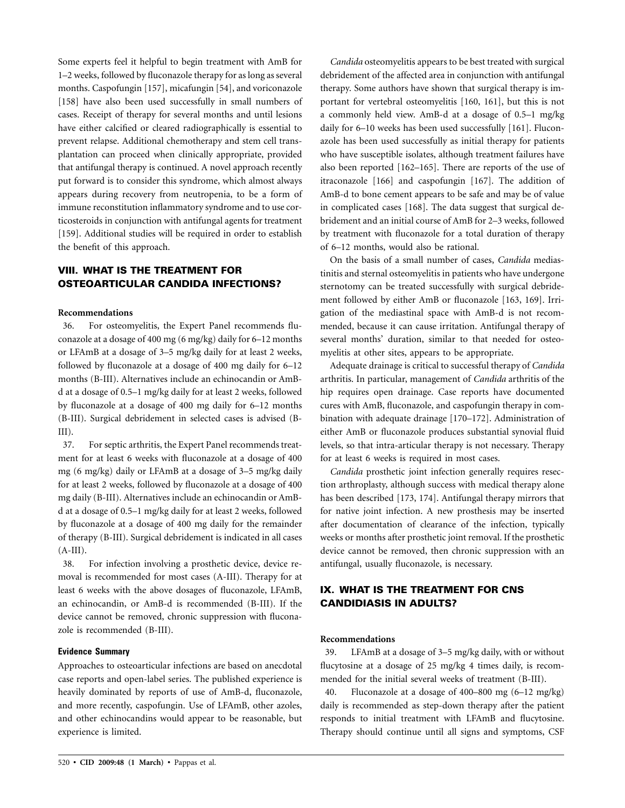Some experts feel it helpful to begin treatment with AmB for 1–2 weeks, followed by fluconazole therapy for as long as several months. Caspofungin [157], micafungin [54], and voriconazole [158] have also been used successfully in small numbers of cases. Receipt of therapy for several months and until lesions have either calcified or cleared radiographically is essential to prevent relapse. Additional chemotherapy and stem cell transplantation can proceed when clinically appropriate, provided that antifungal therapy is continued. A novel approach recently put forward is to consider this syndrome, which almost always appears during recovery from neutropenia, to be a form of immune reconstitution inflammatory syndrome and to use corticosteroids in conjunction with antifungal agents for treatment [159]. Additional studies will be required in order to establish the benefit of this approach.

# **VIII. WHAT IS THE TREATMENT FOR OSTEOARTICULAR CANDIDA INFECTIONS?**

#### **Recommendations**

36. For osteomyelitis, the Expert Panel recommends fluconazole at a dosage of 400 mg (6 mg/kg) daily for 6–12 months or LFAmB at a dosage of 3–5 mg/kg daily for at least 2 weeks, followed by fluconazole at a dosage of 400 mg daily for 6–12 months (B-III). Alternatives include an echinocandin or AmBd at a dosage of 0.5–1 mg/kg daily for at least 2 weeks, followed by fluconazole at a dosage of 400 mg daily for 6–12 months (B-III). Surgical debridement in selected cases is advised (B-III).

37. For septic arthritis, the Expert Panel recommends treatment for at least 6 weeks with fluconazole at a dosage of 400 mg (6 mg/kg) daily or LFAmB at a dosage of 3–5 mg/kg daily for at least 2 weeks, followed by fluconazole at a dosage of 400 mg daily (B-III). Alternatives include an echinocandin or AmBd at a dosage of 0.5–1 mg/kg daily for at least 2 weeks, followed by fluconazole at a dosage of 400 mg daily for the remainder of therapy (B-III). Surgical debridement is indicated in all cases (A-III).

38. For infection involving a prosthetic device, device removal is recommended for most cases (A-III). Therapy for at least 6 weeks with the above dosages of fluconazole, LFAmB, an echinocandin, or AmB-d is recommended (B-III). If the device cannot be removed, chronic suppression with fluconazole is recommended (B-III).

## **Evidence Summary**

Approaches to osteoarticular infections are based on anecdotal case reports and open-label series. The published experience is heavily dominated by reports of use of AmB-d, fluconazole, and more recently, caspofungin. Use of LFAmB, other azoles, and other echinocandins would appear to be reasonable, but experience is limited.

*Candida* osteomyelitis appears to be best treated with surgical debridement of the affected area in conjunction with antifungal therapy. Some authors have shown that surgical therapy is important for vertebral osteomyelitis [160, 161], but this is not a commonly held view. AmB-d at a dosage of 0.5–1 mg/kg daily for 6–10 weeks has been used successfully [161]. Fluconazole has been used successfully as initial therapy for patients who have susceptible isolates, although treatment failures have also been reported [162–165]. There are reports of the use of itraconazole [166] and caspofungin [167]. The addition of AmB-d to bone cement appears to be safe and may be of value in complicated cases [168]. The data suggest that surgical debridement and an initial course of AmB for 2–3 weeks, followed by treatment with fluconazole for a total duration of therapy of 6–12 months, would also be rational.

On the basis of a small number of cases, *Candida* mediastinitis and sternal osteomyelitis in patients who have undergone sternotomy can be treated successfully with surgical debridement followed by either AmB or fluconazole [163, 169]. Irrigation of the mediastinal space with AmB-d is not recommended, because it can cause irritation. Antifungal therapy of several months' duration, similar to that needed for osteomyelitis at other sites, appears to be appropriate.

Adequate drainage is critical to successful therapy of *Candida* arthritis. In particular, management of *Candida* arthritis of the hip requires open drainage. Case reports have documented cures with AmB, fluconazole, and caspofungin therapy in combination with adequate drainage [170–172]. Administration of either AmB or fluconazole produces substantial synovial fluid levels, so that intra-articular therapy is not necessary. Therapy for at least 6 weeks is required in most cases.

*Candida* prosthetic joint infection generally requires resection arthroplasty, although success with medical therapy alone has been described [173, 174]. Antifungal therapy mirrors that for native joint infection. A new prosthesis may be inserted after documentation of clearance of the infection, typically weeks or months after prosthetic joint removal. If the prosthetic device cannot be removed, then chronic suppression with an antifungal, usually fluconazole, is necessary.

# **IX. WHAT IS THE TREATMENT FOR CNS CANDIDIASIS IN ADULTS?**

# **Recommendations**

39. LFAmB at a dosage of 3–5 mg/kg daily, with or without flucytosine at a dosage of 25 mg/kg 4 times daily, is recommended for the initial several weeks of treatment (B-III).

40. Fluconazole at a dosage of 400–800 mg (6–12 mg/kg) daily is recommended as step-down therapy after the patient responds to initial treatment with LFAmB and flucytosine. Therapy should continue until all signs and symptoms, CSF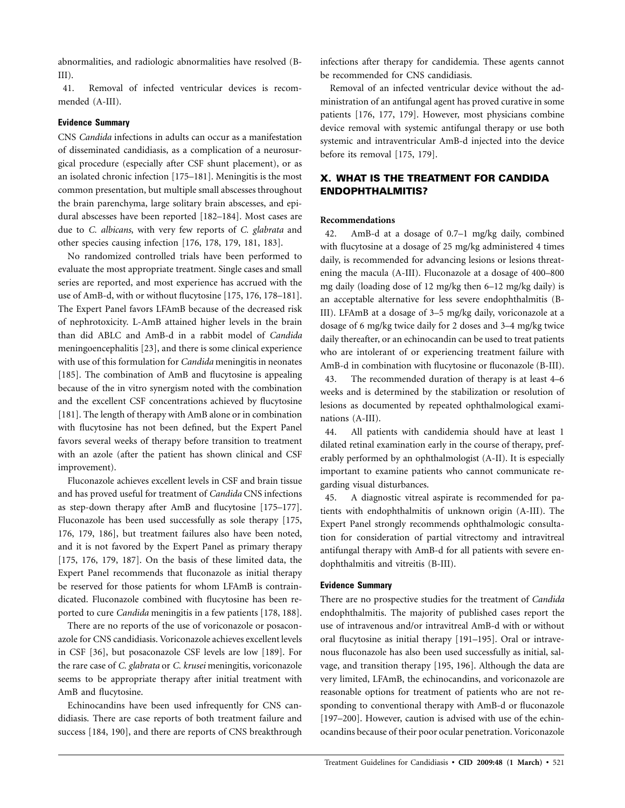abnormalities, and radiologic abnormalities have resolved (B-III).

41. Removal of infected ventricular devices is recommended (A-III).

### **Evidence Summary**

CNS *Candida* infections in adults can occur as a manifestation of disseminated candidiasis, as a complication of a neurosurgical procedure (especially after CSF shunt placement), or as an isolated chronic infection [175–181]. Meningitis is the most common presentation, but multiple small abscesses throughout the brain parenchyma, large solitary brain abscesses, and epidural abscesses have been reported [182–184]. Most cases are due to *C. albicans*, with very few reports of *C. glabrata* and other species causing infection [176, 178, 179, 181, 183].

No randomized controlled trials have been performed to evaluate the most appropriate treatment. Single cases and small series are reported, and most experience has accrued with the use of AmB-d, with or without flucytosine [175, 176, 178–181]. The Expert Panel favors LFAmB because of the decreased risk of nephrotoxicity. L-AmB attained higher levels in the brain than did ABLC and AmB-d in a rabbit model of *Candida* meningoencephalitis [23], and there is some clinical experience with use of this formulation for *Candida* meningitis in neonates [185]. The combination of AmB and flucytosine is appealing because of the in vitro synergism noted with the combination and the excellent CSF concentrations achieved by flucytosine [181]. The length of therapy with AmB alone or in combination with flucytosine has not been defined, but the Expert Panel favors several weeks of therapy before transition to treatment with an azole (after the patient has shown clinical and CSF improvement).

Fluconazole achieves excellent levels in CSF and brain tissue and has proved useful for treatment of *Candida* CNS infections as step-down therapy after AmB and flucytosine [175–177]. Fluconazole has been used successfully as sole therapy [175, 176, 179, 186], but treatment failures also have been noted, and it is not favored by the Expert Panel as primary therapy [175, 176, 179, 187]. On the basis of these limited data, the Expert Panel recommends that fluconazole as initial therapy be reserved for those patients for whom LFAmB is contraindicated. Fluconazole combined with flucytosine has been reported to cure *Candida* meningitis in a few patients [178, 188].

There are no reports of the use of voriconazole or posaconazole for CNS candidiasis. Voriconazole achieves excellent levels in CSF [36], but posaconazole CSF levels are low [189]. For the rare case of *C. glabrata* or *C. krusei* meningitis, voriconazole seems to be appropriate therapy after initial treatment with AmB and flucytosine.

Echinocandins have been used infrequently for CNS candidiasis. There are case reports of both treatment failure and success [184, 190], and there are reports of CNS breakthrough

infections after therapy for candidemia. These agents cannot be recommended for CNS candidiasis.

Removal of an infected ventricular device without the administration of an antifungal agent has proved curative in some patients [176, 177, 179]. However, most physicians combine device removal with systemic antifungal therapy or use both systemic and intraventricular AmB-d injected into the device before its removal [175, 179].

# **X. WHAT IS THE TREATMENT FOR CANDIDA ENDOPHTHALMITIS?**

#### **Recommendations**

42. AmB-d at a dosage of 0.7–1 mg/kg daily, combined with flucytosine at a dosage of 25 mg/kg administered 4 times daily, is recommended for advancing lesions or lesions threatening the macula (A-III). Fluconazole at a dosage of 400–800 mg daily (loading dose of 12 mg/kg then 6–12 mg/kg daily) is an acceptable alternative for less severe endophthalmitis (B-III). LFAmB at a dosage of 3–5 mg/kg daily, voriconazole at a dosage of 6 mg/kg twice daily for 2 doses and 3–4 mg/kg twice daily thereafter, or an echinocandin can be used to treat patients who are intolerant of or experiencing treatment failure with AmB-d in combination with flucytosine or fluconazole (B-III).

43. The recommended duration of therapy is at least 4–6 weeks and is determined by the stabilization or resolution of lesions as documented by repeated ophthalmological examinations (A-III).

44. All patients with candidemia should have at least 1 dilated retinal examination early in the course of therapy, preferably performed by an ophthalmologist (A-II). It is especially important to examine patients who cannot communicate regarding visual disturbances.

45. A diagnostic vitreal aspirate is recommended for patients with endophthalmitis of unknown origin (A-III). The Expert Panel strongly recommends ophthalmologic consultation for consideration of partial vitrectomy and intravitreal antifungal therapy with AmB-d for all patients with severe endophthalmitis and vitreitis (B-III).

#### **Evidence Summary**

There are no prospective studies for the treatment of *Candida* endophthalmitis. The majority of published cases report the use of intravenous and/or intravitreal AmB-d with or without oral flucytosine as initial therapy [191–195]. Oral or intravenous fluconazole has also been used successfully as initial, salvage, and transition therapy [195, 196]. Although the data are very limited, LFAmB, the echinocandins, and voriconazole are reasonable options for treatment of patients who are not responding to conventional therapy with AmB-d or fluconazole [197–200]. However, caution is advised with use of the echinocandins because of their poor ocular penetration. Voriconazole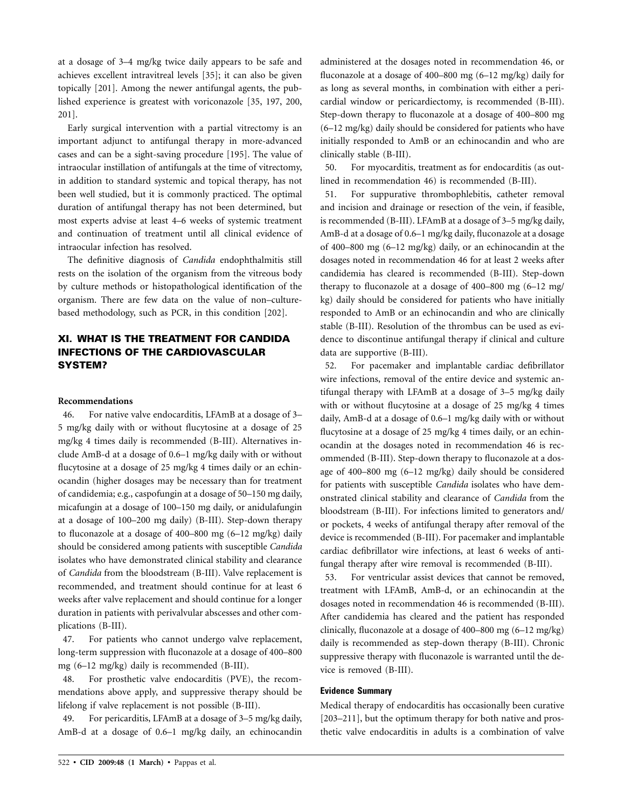at a dosage of 3–4 mg/kg twice daily appears to be safe and achieves excellent intravitreal levels [35]; it can also be given topically [201]. Among the newer antifungal agents, the published experience is greatest with voriconazole [35, 197, 200, 201].

Early surgical intervention with a partial vitrectomy is an important adjunct to antifungal therapy in more-advanced cases and can be a sight-saving procedure [195]. The value of intraocular instillation of antifungals at the time of vitrectomy, in addition to standard systemic and topical therapy, has not been well studied, but it is commonly practiced. The optimal duration of antifungal therapy has not been determined, but most experts advise at least 4–6 weeks of systemic treatment and continuation of treatment until all clinical evidence of intraocular infection has resolved.

The definitive diagnosis of *Candida* endophthalmitis still rests on the isolation of the organism from the vitreous body by culture methods or histopathological identification of the organism. There are few data on the value of non–culturebased methodology, such as PCR, in this condition [202].

# **XI. WHAT IS THE TREATMENT FOR CANDIDA INFECTIONS OF THE CARDIOVASCULAR SYSTEM?**

#### **Recommendations**

46. For native valve endocarditis, LFAmB at a dosage of 3– 5 mg/kg daily with or without flucytosine at a dosage of 25 mg/kg 4 times daily is recommended (B-III). Alternatives include AmB-d at a dosage of 0.6–1 mg/kg daily with or without flucytosine at a dosage of 25 mg/kg 4 times daily or an echinocandin (higher dosages may be necessary than for treatment of candidemia; e.g., caspofungin at a dosage of 50–150 mg daily, micafungin at a dosage of 100–150 mg daily, or anidulafungin at a dosage of 100–200 mg daily) (B-III). Step-down therapy to fluconazole at a dosage of 400–800 mg (6–12 mg/kg) daily should be considered among patients with susceptible *Candida* isolates who have demonstrated clinical stability and clearance of *Candida* from the bloodstream (B-III). Valve replacement is recommended, and treatment should continue for at least 6 weeks after valve replacement and should continue for a longer duration in patients with perivalvular abscesses and other complications (B-III).

47. For patients who cannot undergo valve replacement, long-term suppression with fluconazole at a dosage of 400–800 mg (6–12 mg/kg) daily is recommended (B-III).

48. For prosthetic valve endocarditis (PVE), the recommendations above apply, and suppressive therapy should be lifelong if valve replacement is not possible (B-III).

49. For pericarditis, LFAmB at a dosage of 3–5 mg/kg daily, AmB-d at a dosage of 0.6–1 mg/kg daily, an echinocandin administered at the dosages noted in recommendation 46, or fluconazole at a dosage of 400–800 mg (6–12 mg/kg) daily for as long as several months, in combination with either a pericardial window or pericardiectomy, is recommended (B-III). Step-down therapy to fluconazole at a dosage of 400–800 mg (6–12 mg/kg) daily should be considered for patients who have initially responded to AmB or an echinocandin and who are clinically stable (B-III).

50. For myocarditis, treatment as for endocarditis (as outlined in recommendation 46) is recommended (B-III).

51. For suppurative thrombophlebitis, catheter removal and incision and drainage or resection of the vein, if feasible, is recommended (B-III). LFAmB at a dosage of 3–5 mg/kg daily, AmB-d at a dosage of 0.6–1 mg/kg daily, fluconazole at a dosage of 400–800 mg (6–12 mg/kg) daily, or an echinocandin at the dosages noted in recommendation 46 for at least 2 weeks after candidemia has cleared is recommended (B-III). Step-down therapy to fluconazole at a dosage of 400–800 mg (6–12 mg/ kg) daily should be considered for patients who have initially responded to AmB or an echinocandin and who are clinically stable (B-III). Resolution of the thrombus can be used as evidence to discontinue antifungal therapy if clinical and culture data are supportive (B-III).

52. For pacemaker and implantable cardiac defibrillator wire infections, removal of the entire device and systemic antifungal therapy with LFAmB at a dosage of 3–5 mg/kg daily with or without flucytosine at a dosage of 25 mg/kg 4 times daily, AmB-d at a dosage of 0.6–1 mg/kg daily with or without flucytosine at a dosage of 25 mg/kg 4 times daily, or an echinocandin at the dosages noted in recommendation 46 is recommended (B-III). Step-down therapy to fluconazole at a dosage of 400–800 mg (6–12 mg/kg) daily should be considered for patients with susceptible *Candida* isolates who have demonstrated clinical stability and clearance of *Candida* from the bloodstream (B-III). For infections limited to generators and/ or pockets, 4 weeks of antifungal therapy after removal of the device is recommended (B-III). For pacemaker and implantable cardiac defibrillator wire infections, at least 6 weeks of antifungal therapy after wire removal is recommended (B-III).

53. For ventricular assist devices that cannot be removed, treatment with LFAmB, AmB-d, or an echinocandin at the dosages noted in recommendation 46 is recommended (B-III). After candidemia has cleared and the patient has responded clinically, fluconazole at a dosage of 400–800 mg (6–12 mg/kg) daily is recommended as step-down therapy (B-III). Chronic suppressive therapy with fluconazole is warranted until the device is removed (B-III).

#### **Evidence Summary**

Medical therapy of endocarditis has occasionally been curative [203–211], but the optimum therapy for both native and prosthetic valve endocarditis in adults is a combination of valve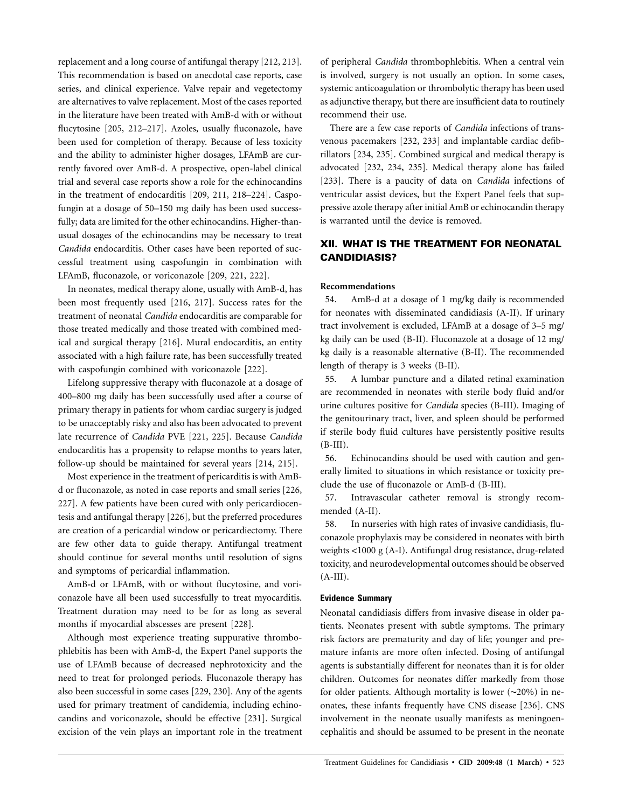replacement and a long course of antifungal therapy [212, 213]. This recommendation is based on anecdotal case reports, case series, and clinical experience. Valve repair and vegetectomy are alternatives to valve replacement. Most of the cases reported in the literature have been treated with AmB-d with or without flucytosine [205, 212–217]. Azoles, usually fluconazole, have been used for completion of therapy. Because of less toxicity and the ability to administer higher dosages, LFAmB are currently favored over AmB-d. A prospective, open-label clinical trial and several case reports show a role for the echinocandins in the treatment of endocarditis [209, 211, 218–224]. Caspofungin at a dosage of 50–150 mg daily has been used successfully; data are limited for the other echinocandins. Higher-thanusual dosages of the echinocandins may be necessary to treat *Candida* endocarditis. Other cases have been reported of successful treatment using caspofungin in combination with LFAmB, fluconazole, or voriconazole [209, 221, 222].

In neonates, medical therapy alone, usually with AmB-d, has been most frequently used [216, 217]. Success rates for the treatment of neonatal *Candida* endocarditis are comparable for those treated medically and those treated with combined medical and surgical therapy [216]. Mural endocarditis, an entity associated with a high failure rate, has been successfully treated with caspofungin combined with voriconazole [222].

Lifelong suppressive therapy with fluconazole at a dosage of 400–800 mg daily has been successfully used after a course of primary therapy in patients for whom cardiac surgery is judged to be unacceptably risky and also has been advocated to prevent late recurrence of *Candida* PVE [221, 225]. Because *Candida* endocarditis has a propensity to relapse months to years later, follow-up should be maintained for several years [214, 215].

Most experience in the treatment of pericarditis is with AmBd or fluconazole, as noted in case reports and small series [226, 227]. A few patients have been cured with only pericardiocentesis and antifungal therapy [226], but the preferred procedures are creation of a pericardial window or pericardiectomy. There are few other data to guide therapy. Antifungal treatment should continue for several months until resolution of signs and symptoms of pericardial inflammation.

AmB**-**d or LFAmB, with or without flucytosine, and voriconazole have all been used successfully to treat myocarditis. Treatment duration may need to be for as long as several months if myocardial abscesses are present [228].

Although most experience treating suppurative thrombophlebitis has been with AmB-d, the Expert Panel supports the use of LFAmB because of decreased nephrotoxicity and the need to treat for prolonged periods. Fluconazole therapy has also been successful in some cases [229, 230]. Any of the agents used for primary treatment of candidemia, including echinocandins and voriconazole, should be effective [231]. Surgical excision of the vein plays an important role in the treatment of peripheral *Candida* thrombophlebitis. When a central vein is involved, surgery is not usually an option. In some cases, systemic anticoagulation or thrombolytic therapy has been used as adjunctive therapy, but there are insufficient data to routinely recommend their use.

There are a few case reports of *Candida* infections of transvenous pacemakers [232, 233] and implantable cardiac defibrillators [234, 235]. Combined surgical and medical therapy is advocated [232, 234, 235]. Medical therapy alone has failed [233]. There is a paucity of data on *Candida* infections of ventricular assist devices, but the Expert Panel feels that suppressive azole therapy after initial AmB or echinocandin therapy is warranted until the device is removed.

# **XII. WHAT IS THE TREATMENT FOR NEONATAL CANDIDIASIS?**

## **Recommendations**

54. AmB-d at a dosage of 1 mg/kg daily is recommended for neonates with disseminated candidiasis (A-II). If urinary tract involvement is excluded, LFAmB at a dosage of 3–5 mg/ kg daily can be used (B-II). Fluconazole at a dosage of 12 mg/ kg daily is a reasonable alternative (B-II). The recommended length of therapy is 3 weeks (B-II).

55. A lumbar puncture and a dilated retinal examination are recommended in neonates with sterile body fluid and/or urine cultures positive for *Candida* species (B-III). Imaging of the genitourinary tract, liver, and spleen should be performed if sterile body fluid cultures have persistently positive results  $(B-III).$ 

56. Echinocandins should be used with caution and generally limited to situations in which resistance or toxicity preclude the use of fluconazole or AmB-d (B-III).

57. Intravascular catheter removal is strongly recommended (A-II).

58. In nurseries with high rates of invasive candidiasis, fluconazole prophylaxis may be considered in neonates with birth weights <1000 g (A-I). Antifungal drug resistance, drug-related toxicity, and neurodevelopmental outcomes should be observed  $(A-III).$ 

## **Evidence Summary**

Neonatal candidiasis differs from invasive disease in older patients. Neonates present with subtle symptoms. The primary risk factors are prematurity and day of life; younger and premature infants are more often infected. Dosing of antifungal agents is substantially different for neonates than it is for older children. Outcomes for neonates differ markedly from those for older patients. Although mortality is lower (∼20%) in neonates, these infants frequently have CNS disease [236]. CNS involvement in the neonate usually manifests as meningoencephalitis and should be assumed to be present in the neonate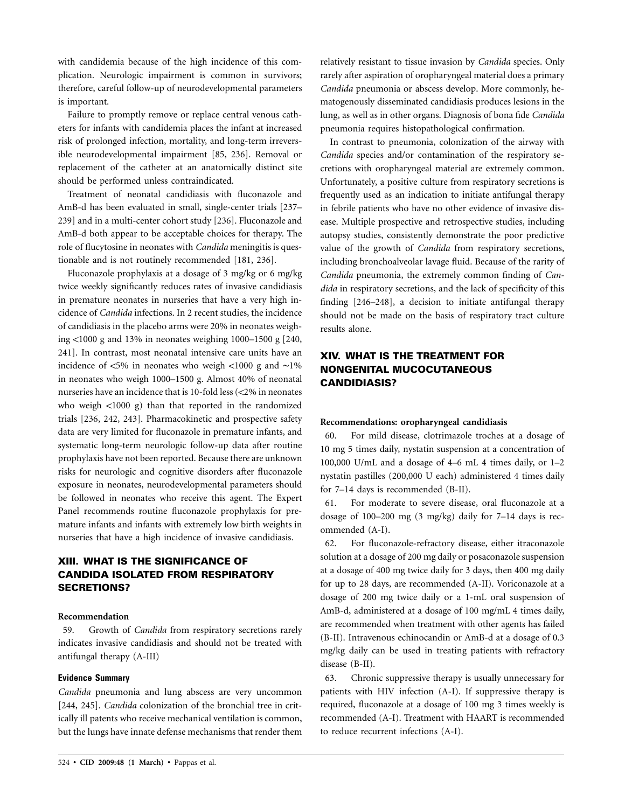with candidemia because of the high incidence of this complication. Neurologic impairment is common in survivors; therefore, careful follow-up of neurodevelopmental parameters is important.

Failure to promptly remove or replace central venous catheters for infants with candidemia places the infant at increased risk of prolonged infection, mortality, and long-term irreversible neurodevelopmental impairment [85, 236]. Removal or replacement of the catheter at an anatomically distinct site should be performed unless contraindicated.

Treatment of neonatal candidiasis with fluconazole and AmB-d has been evaluated in small, single-center trials [237– 239] and in a multi-center cohort study [236]. Fluconazole and AmB-d both appear to be acceptable choices for therapy. The role of flucytosine in neonates with *Candida* meningitis is questionable and is not routinely recommended [181, 236].

Fluconazole prophylaxis at a dosage of 3 mg/kg or 6 mg/kg twice weekly significantly reduces rates of invasive candidiasis in premature neonates in nurseries that have a very high incidence of *Candida* infections. In 2 recent studies, the incidence of candidiasis in the placebo arms were 20% in neonates weighing  $\lt$ 1000 g and 13% in neonates weighing 1000–1500 g [240, 241]. In contrast, most neonatal intensive care units have an incidence of  $<5\%$  in neonates who weigh  $<1000$  g and ∼1% in neonates who weigh 1000–1500 g. Almost 40% of neonatal nurseries have an incidence that is 10-fold less  $\langle$  <2% in neonates who weigh  $\langle 1000 \text{ g} \rangle$  than that reported in the randomized trials [236, 242, 243]. Pharmacokinetic and prospective safety data are very limited for fluconazole in premature infants, and systematic long-term neurologic follow-up data after routine prophylaxis have not been reported. Because there are unknown risks for neurologic and cognitive disorders after fluconazole exposure in neonates, neurodevelopmental parameters should be followed in neonates who receive this agent. The Expert Panel recommends routine fluconazole prophylaxis for premature infants and infants with extremely low birth weights in nurseries that have a high incidence of invasive candidiasis.

# **XIII. WHAT IS THE SIGNIFICANCE OF CANDIDA ISOLATED FROM RESPIRATORY SECRETIONS?**

#### **Recommendation**

59. Growth of *Candida* from respiratory secretions rarely indicates invasive candidiasis and should not be treated with antifungal therapy (A-III)

#### **Evidence Summary**

*Candida* pneumonia and lung abscess are very uncommon [244, 245]. *Candida* colonization of the bronchial tree in critically ill patents who receive mechanical ventilation is common, but the lungs have innate defense mechanisms that render them relatively resistant to tissue invasion by *Candida* species. Only rarely after aspiration of oropharyngeal material does a primary *Candida* pneumonia or abscess develop. More commonly, hematogenously disseminated candidiasis produces lesions in the lung, as well as in other organs. Diagnosis of bona fide *Candida* pneumonia requires histopathological confirmation.

In contrast to pneumonia, colonization of the airway with *Candida* species and/or contamination of the respiratory secretions with oropharyngeal material are extremely common. Unfortunately, a positive culture from respiratory secretions is frequently used as an indication to initiate antifungal therapy in febrile patients who have no other evidence of invasive disease. Multiple prospective and retrospective studies, including autopsy studies, consistently demonstrate the poor predictive value of the growth of *Candida* from respiratory secretions, including bronchoalveolar lavage fluid. Because of the rarity of *Candida* pneumonia, the extremely common finding of *Candida* in respiratory secretions, and the lack of specificity of this finding [246–248], a decision to initiate antifungal therapy should not be made on the basis of respiratory tract culture results alone.

# **XIV. WHAT IS THE TREATMENT FOR NONGENITAL MUCOCUTANEOUS CANDIDIASIS?**

#### **Recommendations: oropharyngeal candidiasis**

60. For mild disease, clotrimazole troches at a dosage of 10 mg 5 times daily, nystatin suspension at a concentration of 100,000 U/mL and a dosage of 4–6 mL 4 times daily, or 1–2 nystatin pastilles (200,000 U each) administered 4 times daily for 7–14 days is recommended (B-II).

61. For moderate to severe disease, oral fluconazole at a dosage of 100–200 mg (3 mg/kg) daily for 7–14 days is recommended (A-I).

62. For fluconazole-refractory disease, either itraconazole solution at a dosage of 200 mg daily or posaconazole suspension at a dosage of 400 mg twice daily for 3 days, then 400 mg daily for up to 28 days, are recommended (A-II). Voriconazole at a dosage of 200 mg twice daily or a 1-mL oral suspension of AmB-d, administered at a dosage of 100 mg/mL 4 times daily, are recommended when treatment with other agents has failed (B-II). Intravenous echinocandin or AmB-d at a dosage of 0.3 mg/kg daily can be used in treating patients with refractory disease (B-II).

63. Chronic suppressive therapy is usually unnecessary for patients with HIV infection (A-I). If suppressive therapy is required, fluconazole at a dosage of 100 mg 3 times weekly is recommended (A-I). Treatment with HAART is recommended to reduce recurrent infections (A-I).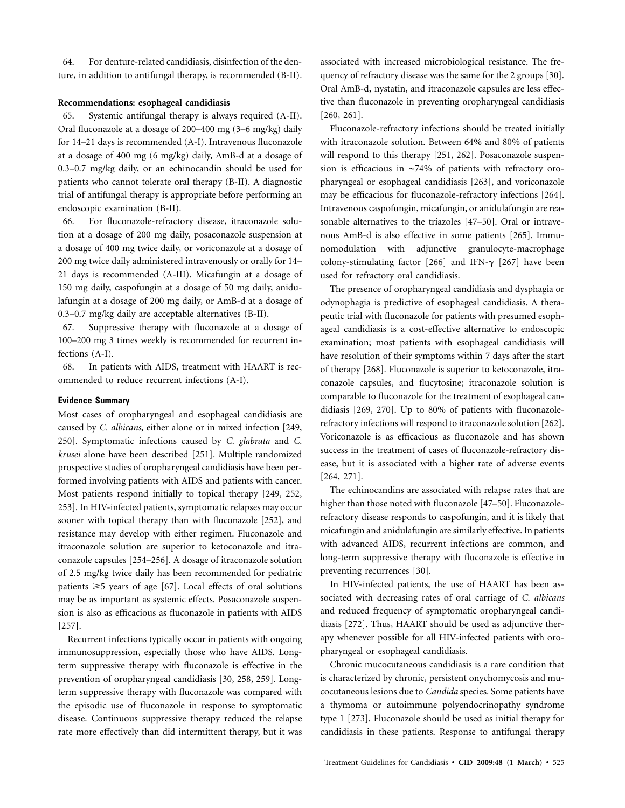64. For denture-related candidiasis, disinfection of the denture, in addition to antifungal therapy, is recommended (B-II).

#### **Recommendations: esophageal candidiasis**

65. Systemic antifungal therapy is always required (A-II). Oral fluconazole at a dosage of 200–400 mg (3–6 mg/kg) daily for 14–21 days is recommended (A-I). Intravenous fluconazole at a dosage of 400 mg (6 mg/kg) daily, AmB-d at a dosage of 0.3–0.7 mg/kg daily, or an echinocandin should be used for patients who cannot tolerate oral therapy (B-II). A diagnostic trial of antifungal therapy is appropriate before performing an endoscopic examination (B-II).

66. For fluconazole-refractory disease, itraconazole solution at a dosage of 200 mg daily, posaconazole suspension at a dosage of 400 mg twice daily, or voriconazole at a dosage of 200 mg twice daily administered intravenously or orally for 14– 21 days is recommended (A-III). Micafungin at a dosage of 150 mg daily, caspofungin at a dosage of 50 mg daily, anidulafungin at a dosage of 200 mg daily, or AmB-d at a dosage of 0.3–0.7 mg/kg daily are acceptable alternatives (B-II).

67. Suppressive therapy with fluconazole at a dosage of 100–200 mg 3 times weekly is recommended for recurrent infections (A-I).

68. In patients with AIDS, treatment with HAART is recommended to reduce recurrent infections (A-I).

#### **Evidence Summary**

Most cases of oropharyngeal and esophageal candidiasis are caused by *C. albicans*, either alone or in mixed infection [249, 250]. Symptomatic infections caused by *C. glabrata* and *C. krusei* alone have been described [251]. Multiple randomized prospective studies of oropharyngeal candidiasis have been performed involving patients with AIDS and patients with cancer. Most patients respond initially to topical therapy [249, 252, 253]. In HIV-infected patients, symptomatic relapses may occur sooner with topical therapy than with fluconazole [252], and resistance may develop with either regimen. Fluconazole and itraconazole solution are superior to ketoconazole and itraconazole capsules [254–256]. A dosage of itraconazole solution of 2.5 mg/kg twice daily has been recommended for pediatric patients  $\geq 5$  years of age [67]. Local effects of oral solutions may be as important as systemic effects. Posaconazole suspension is also as efficacious as fluconazole in patients with AIDS [257].

Recurrent infections typically occur in patients with ongoing immunosuppression, especially those who have AIDS. Longterm suppressive therapy with fluconazole is effective in the prevention of oropharyngeal candidiasis [30, 258, 259]. Longterm suppressive therapy with fluconazole was compared with the episodic use of fluconazole in response to symptomatic disease. Continuous suppressive therapy reduced the relapse rate more effectively than did intermittent therapy, but it was associated with increased microbiological resistance. The frequency of refractory disease was the same for the 2 groups [30]. Oral AmB-d, nystatin, and itraconazole capsules are less effective than fluconazole in preventing oropharyngeal candidiasis [260, 261].

Fluconazole-refractory infections should be treated initially with itraconazole solution. Between 64% and 80% of patients will respond to this therapy [251, 262]. Posaconazole suspension is efficacious in ∼74% of patients with refractory oropharyngeal or esophageal candidiasis [263], and voriconazole may be efficacious for fluconazole-refractory infections [264]. Intravenous caspofungin, micafungin, or anidulafungin are reasonable alternatives to the triazoles [47–50]. Oral or intravenous AmB-d is also effective in some patients [265]. Immunomodulation with adjunctive granulocyte-macrophage colony-stimulating factor [266] and IFN- $\gamma$  [267] have been used for refractory oral candidiasis.

The presence of oropharyngeal candidiasis and dysphagia or odynophagia is predictive of esophageal candidiasis. A therapeutic trial with fluconazole for patients with presumed esophageal candidiasis is a cost-effective alternative to endoscopic examination; most patients with esophageal candidiasis will have resolution of their symptoms within 7 days after the start of therapy [268]. Fluconazole is superior to ketoconazole, itraconazole capsules, and flucytosine; itraconazole solution is comparable to fluconazole for the treatment of esophageal candidiasis [269, 270]. Up to 80% of patients with fluconazolerefractory infections will respond to itraconazole solution [262]. Voriconazole is as efficacious as fluconazole and has shown success in the treatment of cases of fluconazole-refractory disease, but it is associated with a higher rate of adverse events [264, 271].

The echinocandins are associated with relapse rates that are higher than those noted with fluconazole [47-50]. Fluconazolerefractory disease responds to caspofungin, and it is likely that micafungin and anidulafungin are similarly effective. In patients with advanced AIDS, recurrent infections are common, and long-term suppressive therapy with fluconazole is effective in preventing recurrences [30].

In HIV-infected patients, the use of HAART has been associated with decreasing rates of oral carriage of *C. albicans* and reduced frequency of symptomatic oropharyngeal candidiasis [272]. Thus, HAART should be used as adjunctive therapy whenever possible for all HIV-infected patients with oropharyngeal or esophageal candidiasis.

Chronic mucocutaneous candidiasis is a rare condition that is characterized by chronic, persistent onychomycosis and mucocutaneous lesions due to *Candida* species. Some patients have a thymoma or autoimmune polyendocrinopathy syndrome type 1 [273]. Fluconazole should be used as initial therapy for candidiasis in these patients. Response to antifungal therapy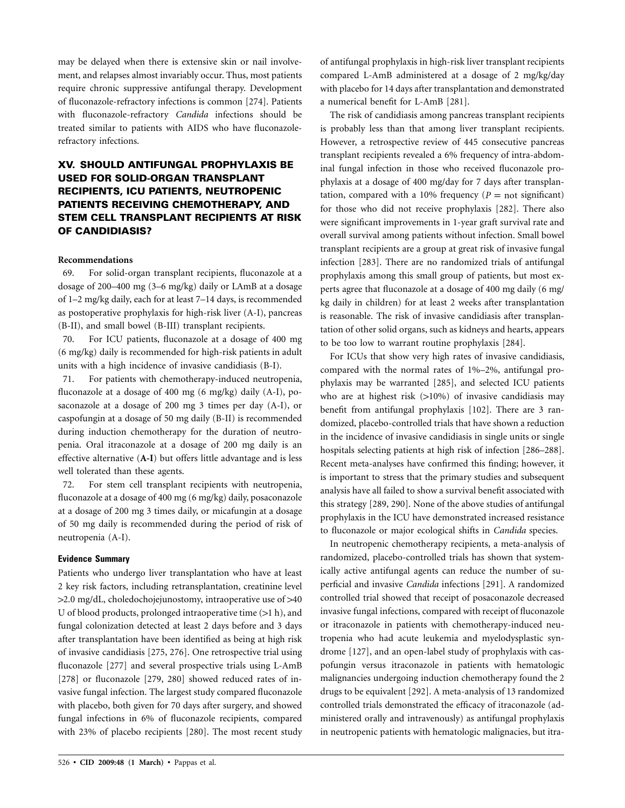may be delayed when there is extensive skin or nail involvement, and relapses almost invariably occur. Thus, most patients require chronic suppressive antifungal therapy. Development of fluconazole-refractory infections is common [274]. Patients with fluconazole-refractory *Candida* infections should be treated similar to patients with AIDS who have fluconazolerefractory infections.

# **XV. SHOULD ANTIFUNGAL PROPHYLAXIS BE USED FOR SOLID-ORGAN TRANSPLANT RECIPIENTS, ICU PATIENTS, NEUTROPENIC PATIENTS RECEIVING CHEMOTHERAPY, AND STEM CELL TRANSPLANT RECIPIENTS AT RISK OF CANDIDIASIS?**

## **Recommendations**

69. For solid-organ transplant recipients, fluconazole at a dosage of 200–400 mg (3–6 mg/kg) daily or LAmB at a dosage of 1–2 mg/kg daily, each for at least 7–14 days, is recommended as postoperative prophylaxis for high-risk liver (A-I), pancreas (B-II), and small bowel (B-III) transplant recipients.

70. For ICU patients, fluconazole at a dosage of 400 mg (6 mg/kg) daily is recommended for high-risk patients in adult units with a high incidence of invasive candidiasis (B-I).

71. For patients with chemotherapy-induced neutropenia, fluconazole at a dosage of 400 mg (6 mg/kg) daily (A-I), posaconazole at a dosage of 200 mg 3 times per day (A-I), or caspofungin at a dosage of 50 mg daily (B-II) is recommended during induction chemotherapy for the duration of neutropenia. Oral itraconazole at a dosage of 200 mg daily is an effective alternative (**A-I**) but offers little advantage and is less well tolerated than these agents.

72. For stem cell transplant recipients with neutropenia, fluconazole at a dosage of 400 mg (6 mg/kg) daily, posaconazole at a dosage of 200 mg 3 times daily, or micafungin at a dosage of 50 mg daily is recommended during the period of risk of neutropenia (A-I).

#### **Evidence Summary**

Patients who undergo liver transplantation who have at least 2 key risk factors, including retransplantation, creatinine level  $>2.0$  mg/dL, choledochojejunostomy, intraoperative use of  $>40$ U of blood products, prolonged intraoperative time  $(1 h)$ , and fungal colonization detected at least 2 days before and 3 days after transplantation have been identified as being at high risk of invasive candidiasis [275, 276]. One retrospective trial using fluconazole [277] and several prospective trials using L-AmB [278] or fluconazole [279, 280] showed reduced rates of invasive fungal infection. The largest study compared fluconazole with placebo, both given for 70 days after surgery, and showed fungal infections in 6% of fluconazole recipients, compared with 23% of placebo recipients [280]. The most recent study

526 • **CID 2009:48 (1 March)** • Pappas et al.

of antifungal prophylaxis in high-risk liver transplant recipients compared L-AmB administered at a dosage of 2 mg/kg/day with placebo for 14 days after transplantation and demonstrated a numerical benefit for L-AmB [281].

The risk of candidiasis among pancreas transplant recipients is probably less than that among liver transplant recipients. However, a retrospective review of 445 consecutive pancreas transplant recipients revealed a 6% frequency of intra-abdominal fungal infection in those who received fluconazole prophylaxis at a dosage of 400 mg/day for 7 days after transplantation, compared with a 10% frequency ( $P =$  not significant) for those who did not receive prophylaxis [282]. There also were significant improvements in 1-year graft survival rate and overall survival among patients without infection. Small bowel transplant recipients are a group at great risk of invasive fungal infection [283]. There are no randomized trials of antifungal prophylaxis among this small group of patients, but most experts agree that fluconazole at a dosage of 400 mg daily (6 mg/ kg daily in children) for at least 2 weeks after transplantation is reasonable. The risk of invasive candidiasis after transplantation of other solid organs, such as kidneys and hearts, appears to be too low to warrant routine prophylaxis [284].

For ICUs that show very high rates of invasive candidiasis, compared with the normal rates of 1%–2%, antifungal prophylaxis may be warranted [285], and selected ICU patients who are at highest risk  $(>10\%)$  of invasive candidiasis may benefit from antifungal prophylaxis [102]. There are 3 randomized, placebo-controlled trials that have shown a reduction in the incidence of invasive candidiasis in single units or single hospitals selecting patients at high risk of infection [286–288]. Recent meta-analyses have confirmed this finding; however, it is important to stress that the primary studies and subsequent analysis have all failed to show a survival benefit associated with this strategy [289, 290]. None of the above studies of antifungal prophylaxis in the ICU have demonstrated increased resistance to fluconazole or major ecological shifts in *Candida* species.

In neutropenic chemotherapy recipients, a meta-analysis of randomized, placebo-controlled trials has shown that systemically active antifungal agents can reduce the number of superficial and invasive *Candida* infections [291]. A randomized controlled trial showed that receipt of posaconazole decreased invasive fungal infections, compared with receipt of fluconazole or itraconazole in patients with chemotherapy-induced neutropenia who had acute leukemia and myelodysplastic syndrome [127], and an open-label study of prophylaxis with caspofungin versus itraconazole in patients with hematologic malignancies undergoing induction chemotherapy found the 2 drugs to be equivalent [292]. A meta-analysis of 13 randomized controlled trials demonstrated the efficacy of itraconazole (administered orally and intravenously) as antifungal prophylaxis in neutropenic patients with hematologic malignacies, but itra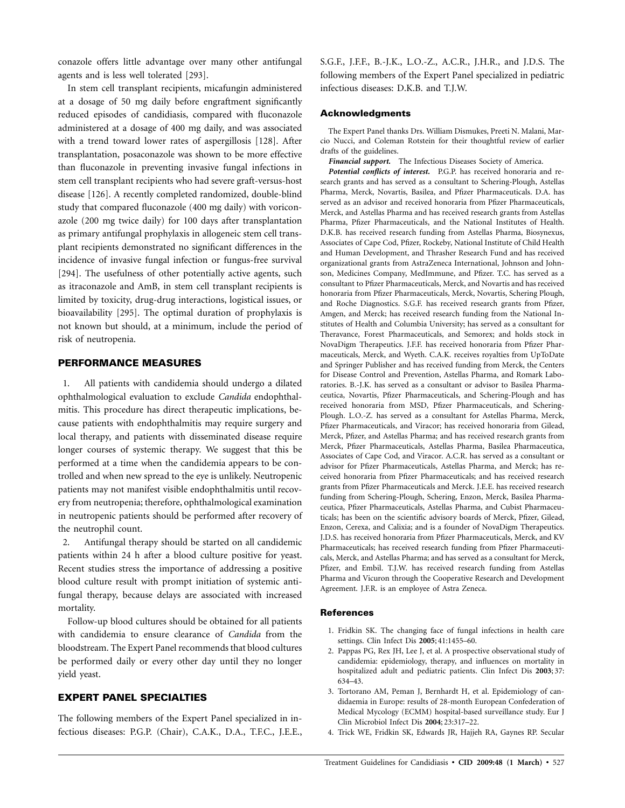conazole offers little advantage over many other antifungal agents and is less well tolerated [293].

In stem cell transplant recipients, micafungin administered at a dosage of 50 mg daily before engraftment significantly reduced episodes of candidiasis, compared with fluconazole administered at a dosage of 400 mg daily, and was associated with a trend toward lower rates of aspergillosis [128]. After transplantation, posaconazole was shown to be more effective than fluconazole in preventing invasive fungal infections in stem cell transplant recipients who had severe graft-versus-host disease [126]. A recently completed randomized, double-blind study that compared fluconazole (400 mg daily) with voriconazole (200 mg twice daily) for 100 days after transplantation as primary antifungal prophylaxis in allogeneic stem cell transplant recipients demonstrated no significant differences in the incidence of invasive fungal infection or fungus-free survival [294]. The usefulness of other potentially active agents, such as itraconazole and AmB, in stem cell transplant recipients is limited by toxicity, drug-drug interactions, logistical issues, or bioavailability [295]. The optimal duration of prophylaxis is not known but should, at a minimum, include the period of risk of neutropenia.

#### **PERFORMANCE MEASURES**

1. All patients with candidemia should undergo a dilated ophthalmological evaluation to exclude *Candida* endophthalmitis. This procedure has direct therapeutic implications, because patients with endophthalmitis may require surgery and local therapy, and patients with disseminated disease require longer courses of systemic therapy. We suggest that this be performed at a time when the candidemia appears to be controlled and when new spread to the eye is unlikely. Neutropenic patients may not manifest visible endophthalmitis until recovery from neutropenia; therefore, ophthalmological examination in neutropenic patients should be performed after recovery of the neutrophil count.

2. Antifungal therapy should be started on all candidemic patients within 24 h after a blood culture positive for yeast. Recent studies stress the importance of addressing a positive blood culture result with prompt initiation of systemic antifungal therapy, because delays are associated with increased mortality.

Follow-up blood cultures should be obtained for all patients with candidemia to ensure clearance of *Candida* from the bloodstream. The Expert Panel recommends that blood cultures be performed daily or every other day until they no longer yield yeast.

# **EXPERT PANEL SPECIALTIES**

The following members of the Expert Panel specialized in infectious diseases: P.G.P. (Chair), C.A.K., D.A., T.F.C., J.E.E., S.G.F., J.F.F., B.-J.K., L.O.-Z., A.C.R., J.H.R., and J.D.S. The following members of the Expert Panel specialized in pediatric infectious diseases: D.K.B. and T.J.W.

#### **Acknowledgments**

The Expert Panel thanks Drs. William Dismukes, Preeti N. Malani, Marcio Nucci, and Coleman Rotstein for their thoughtful review of earlier drafts of the guidelines.

*Financial support.* The Infectious Diseases Society of America.

*Potential conflicts of interest.* P.G.P. has received honoraria and research grants and has served as a consultant to Schering-Plough, Astellas Pharma, Merck, Novartis, Basilea, and Pfizer Pharmaceuticals. D.A. has served as an advisor and received honoraria from Pfizer Pharmaceuticals, Merck, and Astellas Pharma and has received research grants from Astellas Pharma, Pfizer Pharmaceuticals, and the National Institutes of Health. D.K.B. has received research funding from Astellas Pharma, Biosynexus, Associates of Cape Cod, Pfizer, Rockeby, National Institute of Child Health and Human Development, and Thrasher Research Fund and has received organizational grants from AstraZeneca International, Johnson and Johnson, Medicines Company, MedImmune, and Pfizer. T.C. has served as a consultant to Pfizer Pharmaceuticals, Merck, and Novartis and has received honoraria from Pfizer Pharmaceuticals, Merck, Novartis, Schering Plough, and Roche Diagnostics. S.G.F. has received research grants from Pfizer, Amgen, and Merck; has received research funding from the National Institutes of Health and Columbia University; has served as a consultant for Theravance, Forest Pharmaceuticals, and Semorex; and holds stock in NovaDigm Therapeutics. J.F.F. has received honoraria from Pfizer Pharmaceuticals, Merck, and Wyeth. C.A.K. receives royalties from UpToDate and Springer Publisher and has received funding from Merck, the Centers for Disease Control and Prevention, Astellas Pharma, and Romark Laboratories. B.-J.K. has served as a consultant or advisor to Basilea Pharmaceutica, Novartis, Pfizer Pharmaceuticals, and Schering-Plough and has received honoraria from MSD, Pfizer Pharmaceuticals, and Schering-Plough. L.O.-Z. has served as a consultant for Astellas Pharma, Merck, Pfizer Pharmaceuticals, and Viracor; has received honoraria from Gilead, Merck, Pfizer, and Astellas Pharma; and has received research grants from Merck, Pfizer Pharmaceuticals, Astellas Pharma, Basilea Pharmaceutica, Associates of Cape Cod, and Viracor. A.C.R. has served as a consultant or advisor for Pfizer Pharmaceuticals, Astellas Pharma, and Merck; has received honoraria from Pfizer Pharmaceuticals; and has received research grants from Pfizer Pharmaceuticals and Merck. J.E.E. has received research funding from Schering-Plough, Schering, Enzon, Merck, Basilea Pharmaceutica, Pfizer Pharmaceuticals, Astellas Pharma, and Cubist Pharmaceuticals; has been on the scientific advisory boards of Merck, Pfizer, Gilead, Enzon, Cerexa, and Calixia; and is a founder of NovaDigm Therapeutics. J.D.S. has received honoraria from Pfizer Pharmaceuticals, Merck, and KV Pharmaceuticals; has received research funding from Pfizer Pharmaceuticals, Merck, and Astellas Pharma; and has served as a consultant for Merck, Pfizer, and Embil. T.J.W. has received research funding from Astellas Pharma and Vicuron through the Cooperative Research and Development Agreement. J.F.R. is an employee of Astra Zeneca.

#### **References**

- 1. Fridkin SK. The changing face of fungal infections in health care settings. Clin Infect Dis **2005**; 41:1455–60.
- 2. Pappas PG, Rex JH, Lee J, et al. A prospective observational study of candidemia: epidemiology, therapy, and influences on mortality in hospitalized adult and pediatric patients. Clin Infect Dis **2003**; 37: 634–43.
- 3. Tortorano AM, Peman J, Bernhardt H, et al. Epidemiology of candidaemia in Europe: results of 28-month European Confederation of Medical Mycology (ECMM) hospital-based surveillance study. Eur J Clin Microbiol Infect Dis **2004**; 23:317–22.
- 4. Trick WE, Fridkin SK, Edwards JR, Hajjeh RA, Gaynes RP. Secular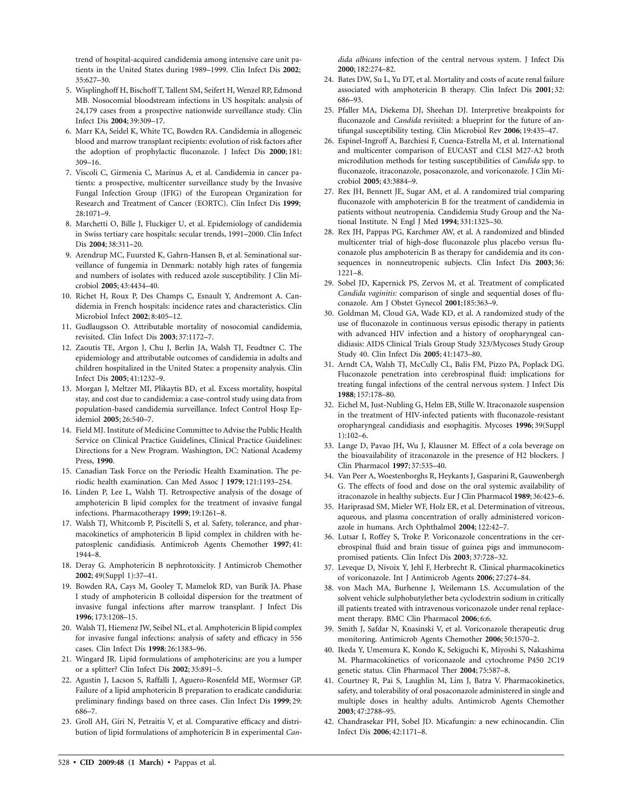trend of hospital-acquired candidemia among intensive care unit patients in the United States during 1989–1999. Clin Infect Dis **2002**; 35:627–30.

- 5. Wisplinghoff H, Bischoff T, Tallent SM, Seifert H, Wenzel RP, Edmond MB. Nosocomial bloodstream infections in US hospitals: analysis of 24,179 cases from a prospective nationwide surveillance study. Clin Infect Dis **2004**; 39:309–17.
- 6. Marr KA, Seidel K, White TC, Bowden RA. Candidemia in allogeneic blood and marrow transplant recipients: evolution of risk factors after the adoption of prophylactic fluconazole. J Infect Dis **2000**; 181: 309–16.
- 7. Viscoli C, Girmenia C, Marinus A, et al. Candidemia in cancer patients: a prospective, multicenter surveillance study by the Invasive Fungal Infection Group (IFIG) of the European Organization for Research and Treatment of Cancer (EORTC). Clin Infect Dis **1999**; 28:1071–9.
- 8. Marchetti O, Bille J, Fluckiger U, et al. Epidemiology of candidemia in Swiss tertiary care hospitals: secular trends, 1991–2000. Clin Infect Dis **2004**; 38:311–20.
- 9. Arendrup MC, Fuursted K, Gahrn-Hansen B, et al. Seminational surveillance of fungemia in Denmark: notably high rates of fungemia and numbers of isolates with reduced azole susceptibility. J Clin Microbiol **2005**; 43:4434–40.
- 10. Richet H, Roux P, Des Champs C, Esnault Y, Andremont A. Candidemia in French hospitals: incidence rates and characteristics. Clin Microbiol Infect **2002**; 8:405–12.
- 11. Gudlaugsson O. Attributable mortality of nosocomial candidemia, revisited. Clin Infect Dis **2003**; 37:1172–7.
- 12. Zaoutis TE, Argon J, Chu J, Berlin JA, Walsh TJ, Feudtner C. The epidemiology and attributable outcomes of candidemia in adults and children hospitalized in the United States: a propensity analysis. Clin Infect Dis **2005**; 41:1232–9.
- 13. Morgan J, Meltzer MI, Plikaytis BD, et al. Excess mortality, hospital stay, and cost due to candidemia: a case-control study using data from population-based candidemia surveillance. Infect Control Hosp Epidemiol **2005**; 26:540–7.
- 14. Field MJ. Institute of Medicine Committee to Advise the Public Health Service on Clinical Practice Guidelines, Clinical Practice Guidelines: Directions for a New Program. Washington, DC: National Academy Press, **1990**.
- 15. Canadian Task Force on the Periodic Health Examination. The periodic health examination. Can Med Assoc J **1979**; 121:1193–254.
- 16. Linden P, Lee L, Walsh TJ. Retrospective analysis of the dosage of amphotericin B lipid complex for the treatment of invasive fungal infections. Pharmacotherapy **1999**; 19:1261–8.
- 17. Walsh TJ, Whitcomb P, Piscitelli S, et al. Safety, tolerance, and pharmacokinetics of amphotericin B lipid complex in children with hepatosplenic candidiasis. Antimicrob Agents Chemother **1997**; 41: 1944–8.
- 18. Deray G. Amphotericin B nephrotoxicity. J Antimicrob Chemother **2002**; 49(Suppl 1):37–41.
- 19. Bowden RA, Cays M, Gooley T, Mamelok RD, van Burik JA. Phase I study of amphotericin B colloidal dispersion for the treatment of invasive fungal infections after marrow transplant. J Infect Dis **1996**; 173:1208–15.
- 20. Walsh TJ, Hiemenz JW, Seibel NL, et al. Amphotericin B lipid complex for invasive fungal infections: analysis of safety and efficacy in 556 cases. Clin Infect Dis **1998**; 26:1383–96.
- 21. Wingard JR. Lipid formulations of amphotericins: are you a lumper or a splitter? Clin Infect Dis **2002**; 35:891–5.
- 22. Agustin J, Lacson S, Raffalli J, Aguero-Rosenfeld ME, Wormser GP. Failure of a lipid amphotericin B preparation to eradicate candiduria: preliminary findings based on three cases. Clin Infect Dis **1999**; 29: 686–7.
- 23. Groll AH, Giri N, Petraitis V, et al. Comparative efficacy and distribution of lipid formulations of amphotericin B in experimental *Can-*

*dida albicans* infection of the central nervous system. J Infect Dis **2000**; 182:274–82.

- 24. Bates DW, Su L, Yu DT, et al. Mortality and costs of acute renal failure associated with amphotericin B therapy. Clin Infect Dis **2001**; 32: 686–93.
- 25. Pfaller MA, Diekema DJ, Sheehan DJ. Interpretive breakpoints for fluconazole and *Candida* revisited: a blueprint for the future of antifungal susceptibility testing. Clin Microbiol Rev **2006**; 19:435–47.
- 26. Espinel-Ingroff A, Barchiesi F, Cuenca-Estrella M, et al. International and multicenter comparison of EUCAST and CLSI M27-A2 broth microdilution methods for testing susceptibilities of *Candida* spp. to fluconazole, itraconazole, posaconazole, and voriconazole. J Clin Microbiol **2005**; 43:3884–9.
- 27. Rex JH, Bennett JE, Sugar AM, et al. A randomized trial comparing fluconazole with amphotericin B for the treatment of candidemia in patients without neutropenia. Candidemia Study Group and the National Institute. N Engl J Med **1994**; 331:1325–30.
- 28. Rex JH, Pappas PG, Karchmer AW, et al. A randomized and blinded multicenter trial of high-dose fluconazole plus placebo versus fluconazole plus amphotericin B as therapy for candidemia and its consequences in nonneutropenic subjects. Clin Infect Dis **2003**; 36: 1221–8.
- 29. Sobel JD, Kapernick PS, Zervos M, et al. Treatment of complicated *Candida vaginitis:* comparison of single and sequential doses of fluconazole. Am J Obstet Gynecol **2001**;185:363–9.
- 30. Goldman M, Cloud GA, Wade KD, et al. A randomized study of the use of fluconazole in continuous versus episodic therapy in patients with advanced HIV infection and a history of oropharyngeal candidiasis: AIDS Clinical Trials Group Study 323/Mycoses Study Group Study 40. Clin Infect Dis **2005**; 41:1473–80.
- 31. Arndt CA, Walsh TJ, McCully CL, Balis FM, Pizzo PA, Poplack DG. Fluconazole penetration into cerebrospinal fluid: implications for treating fungal infections of the central nervous system. J Infect Dis **1988**; 157:178–80.
- 32. Eichel M, Just-Nubling G, Helm EB, Stille W. Itraconazole suspension in the treatment of HIV-infected patients with fluconazole-resistant oropharyngeal candidiasis and esophagitis. Mycoses **1996**; 39(Suppl 1):102–6.
- 33. Lange D, Pavao JH, Wu J, Klausner M. Effect of a cola beverage on the bioavailability of itraconazole in the presence of H2 blockers. J Clin Pharmacol **1997**; 37:535–40.
- 34. Van Peer A, Woestenborghs R, Heykants J, Gasparini R, Gauwenbergh G. The effects of food and dose on the oral systemic availability of itraconazole in healthy subjects. Eur J Clin Pharmacol **1989**; 36:423–6.
- 35. Hariprasad SM, Mieler WF, Holz ER, et al. Determination of vitreous, aqueous, and plasma concentration of orally administered voriconazole in humans. Arch Ophthalmol **2004**; 122:42–7.
- 36. Lutsar I, Roffey S, Troke P. Voriconazole concentrations in the cerebrospinal fluid and brain tissue of guinea pigs and immunocompromised patients. Clin Infect Dis **2003**; 37:728–32.
- 37. Leveque D, Nivoix Y, Jehl F, Herbrecht R. Clinical pharmacokinetics of voriconazole. Int J Antimicrob Agents **2006**; 27:274–84.
- 38. von Mach MA, Burhenne J, Weilemann LS. Accumulation of the solvent vehicle sulphobutylether beta cyclodextrin sodium in critically ill patients treated with intravenous voriconazole under renal replacement therapy. BMC Clin Pharmacol **2006**; 6:6.
- 39. Smith J, Safdar N, Knasinski V, et al. Voriconazole therapeutic drug monitoring. Antimicrob Agents Chemother **2006**; 50:1570–2.
- 40. Ikeda Y, Umemura K, Kondo K, Sekiguchi K, Miyoshi S, Nakashima M. Pharmacokinetics of voriconazole and cytochrome P450 2C19 genetic status. Clin Pharmacol Ther **2004**; 75:587–8.
- 41. Courtney R, Pai S, Laughlin M, Lim J, Batra V. Pharmacokinetics, safety, and tolerability of oral posaconazole administered in single and multiple doses in healthy adults. Antimicrob Agents Chemother **2003**; 47:2788–95.
- 42. Chandrasekar PH, Sobel JD. Micafungin: a new echinocandin. Clin Infect Dis **2006**; 42:1171–8.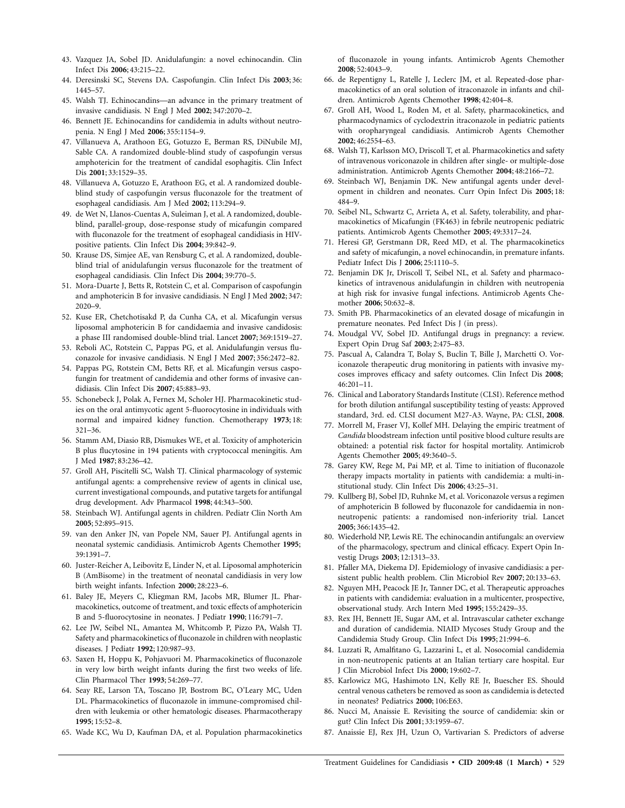- 43. Vazquez JA, Sobel JD. Anidulafungin: a novel echinocandin. Clin Infect Dis **2006**; 43:215–22.
- 44. Deresinski SC, Stevens DA. Caspofungin. Clin Infect Dis **2003**; 36: 1445–57.
- 45. Walsh TJ. Echinocandins—an advance in the primary treatment of invasive candidiasis. N Engl J Med **2002**; 347:2070–2.
- 46. Bennett JE. Echinocandins for candidemia in adults without neutropenia. N Engl J Med **2006**; 355:1154–9.
- 47. Villanueva A, Arathoon EG, Gotuzzo E, Berman RS, DiNubile MJ, Sable CA. A randomized double-blind study of caspofungin versus amphotericin for the treatment of candidal esophagitis. Clin Infect Dis **2001**; 33:1529–35.
- 48. Villanueva A, Gotuzzo E, Arathoon EG, et al. A randomized doubleblind study of caspofungin versus fluconazole for the treatment of esophageal candidiasis. Am J Med **2002**; 113:294–9.
- 49. de Wet N, Llanos-Cuentas A, Suleiman J, et al. A randomized, doubleblind, parallel-group, dose-response study of micafungin compared with fluconazole for the treatment of esophageal candidiasis in HIVpositive patients. Clin Infect Dis **2004**; 39:842–9.
- 50. Krause DS, Simjee AE, van Rensburg C, et al. A randomized, doubleblind trial of anidulafungin versus fluconazole for the treatment of esophageal candidiasis. Clin Infect Dis **2004**; 39:770–5.
- 51. Mora-Duarte J, Betts R, Rotstein C, et al. Comparison of caspofungin and amphotericin B for invasive candidiasis. N Engl J Med **2002**; 347: 2020–9.
- 52. Kuse ER, Chetchotisakd P, da Cunha CA, et al. Micafungin versus liposomal amphotericin B for candidaemia and invasive candidosis: a phase III randomised double-blind trial. Lancet **2007**; 369:1519–27.
- 53. Reboli AC, Rotstein C, Pappas PG, et al. Anidulafungin versus fluconazole for invasive candidiasis. N Engl J Med **2007**; 356:2472–82.
- 54. Pappas PG, Rotstein CM, Betts RF, et al. Micafungin versus caspofungin for treatment of candidemia and other forms of invasive candidiasis. Clin Infect Dis **2007**; 45:883–93.
- 55. Schonebeck J, Polak A, Fernex M, Scholer HJ. Pharmacokinetic studies on the oral antimycotic agent 5-fluorocytosine in individuals with normal and impaired kidney function. Chemotherapy **1973**; 18: 321–36.
- 56. Stamm AM, Diasio RB, Dismukes WE, et al. Toxicity of amphotericin B plus flucytosine in 194 patients with cryptococcal meningitis. Am J Med **1987**; 83:236–42.
- 57. Groll AH, Piscitelli SC, Walsh TJ. Clinical pharmacology of systemic antifungal agents: a comprehensive review of agents in clinical use, current investigational compounds, and putative targets for antifungal drug development. Adv Pharmacol **1998**; 44:343–500.
- 58. Steinbach WJ. Antifungal agents in children. Pediatr Clin North Am **2005**; 52:895–915.
- 59. van den Anker JN, van Popele NM, Sauer PJ. Antifungal agents in neonatal systemic candidiasis. Antimicrob Agents Chemother **1995**; 39:1391–7.
- 60. Juster-Reicher A, Leibovitz E, Linder N, et al. Liposomal amphotericin B (AmBisome) in the treatment of neonatal candidiasis in very low birth weight infants. Infection **2000**; 28:223–6.
- 61. Baley JE, Meyers C, Kliegman RM, Jacobs MR, Blumer JL. Pharmacokinetics, outcome of treatment, and toxic effects of amphotericin B and 5-fluorocytosine in neonates. J Pediatr **1990**; 116:791–7.
- 62. Lee JW, Seibel NL, Amantea M, Whitcomb P, Pizzo PA, Walsh TJ. Safety and pharmacokinetics of fluconazole in children with neoplastic diseases. J Pediatr **1992**; 120:987–93.
- 63. Saxen H, Hoppu K, Pohjavuori M. Pharmacokinetics of fluconazole in very low birth weight infants during the first two weeks of life. Clin Pharmacol Ther **1993**; 54:269–77.
- 64. Seay RE, Larson TA, Toscano JP, Bostrom BC, O'Leary MC, Uden DL. Pharmacokinetics of fluconazole in immune-compromised children with leukemia or other hematologic diseases. Pharmacotherapy **1995**; 15:52–8.
- 65. Wade KC, Wu D, Kaufman DA, et al. Population pharmacokinetics

of fluconazole in young infants. Antimicrob Agents Chemother **2008**; 52:4043–9.

- 66. de Repentigny L, Ratelle J, Leclerc JM, et al. Repeated-dose pharmacokinetics of an oral solution of itraconazole in infants and children. Antimicrob Agents Chemother **1998**; 42:404–8.
- 67. Groll AH, Wood L, Roden M, et al. Safety, pharmacokinetics, and pharmacodynamics of cyclodextrin itraconazole in pediatric patients with oropharyngeal candidiasis. Antimicrob Agents Chemother **2002**; 46:2554–63.
- 68. Walsh TJ, Karlsson MO, Driscoll T, et al. Pharmacokinetics and safety of intravenous voriconazole in children after single- or multiple-dose administration. Antimicrob Agents Chemother **2004**; 48:2166–72.
- 69. Steinbach WJ, Benjamin DK. New antifungal agents under development in children and neonates. Curr Opin Infect Dis **2005**; 18: 484–9.
- 70. Seibel NL, Schwartz C, Arrieta A, et al. Safety, tolerability, and pharmacokinetics of Micafungin (FK463) in febrile neutropenic pediatric patients. Antimicrob Agents Chemother **2005**; 49:3317–24.
- 71. Heresi GP, Gerstmann DR, Reed MD, et al. The pharmacokinetics and safety of micafungin, a novel echinocandin, in premature infants. Pediatr Infect Dis J **2006**; 25:1110–5.
- 72. Benjamin DK Jr, Driscoll T, Seibel NL, et al. Safety and pharmacokinetics of intravenous anidulafungin in children with neutropenia at high risk for invasive fungal infections. Antimicrob Agents Chemother **2006**; 50:632–8.
- 73. Smith PB. Pharmacokinetics of an elevated dosage of micafungin in premature neonates. Ped Infect Dis J (in press).
- 74. Moudgal VV, Sobel JD. Antifungal drugs in pregnancy: a review. Expert Opin Drug Saf **2003**; 2:475–83.
- 75. Pascual A, Calandra T, Bolay S, Buclin T, Bille J, Marchetti O. Voriconazole therapeutic drug monitoring in patients with invasive mycoses improves efficacy and safety outcomes. Clin Infect Dis **2008**; 46:201–11.
- 76. Clinical and Laboratory Standards Institute (CLSI). Reference method for broth dilution antifungal susceptibility testing of yeasts: Approved standard, 3rd. ed. CLSI document M27-A3. Wayne, PA: CLSI, **2008**.
- 77. Morrell M, Fraser VJ, Kollef MH. Delaying the empiric treatment of *Candida* bloodstream infection until positive blood culture results are obtained: a potential risk factor for hospital mortality. Antimicrob Agents Chemother **2005**; 49:3640–5.
- 78. Garey KW, Rege M, Pai MP, et al. Time to initiation of fluconazole therapy impacts mortality in patients with candidemia: a multi-institutional study. Clin Infect Dis **2006**; 43:25–31.
- 79. Kullberg BJ, Sobel JD, Ruhnke M, et al. Voriconazole versus a regimen of amphotericin B followed by fluconazole for candidaemia in nonneutropenic patients: a randomised non-inferiority trial. Lancet **2005**; 366:1435–42.
- 80. Wiederhold NP, Lewis RE. The echinocandin antifungals: an overview of the pharmacology, spectrum and clinical efficacy. Expert Opin Investig Drugs **2003**; 12:1313–33.
- 81. Pfaller MA, Diekema DJ. Epidemiology of invasive candidiasis: a persistent public health problem. Clin Microbiol Rev **2007**; 20:133–63.
- 82. Nguyen MH, Peacock JE Jr, Tanner DC, et al. Therapeutic approaches in patients with candidemia: evaluation in a multicenter, prospective, observational study. Arch Intern Med **1995**; 155:2429–35.
- 83. Rex JH, Bennett JE, Sugar AM, et al. Intravascular catheter exchange and duration of candidemia. NIAID Mycoses Study Group and the Candidemia Study Group. Clin Infect Dis **1995**; 21:994–6.
- 84. Luzzati R, Amalfitano G, Lazzarini L, et al. Nosocomial candidemia in non-neutropenic patients at an Italian tertiary care hospital. Eur J Clin Microbiol Infect Dis **2000**; 19:602–7.
- 85. Karlowicz MG, Hashimoto LN, Kelly RE Jr, Buescher ES. Should central venous catheters be removed as soon as candidemia is detected in neonates? Pediatrics **2000**; 106:E63.
- 86. Nucci M, Anaissie E. Revisiting the source of candidemia: skin or gut? Clin Infect Dis **2001**; 33:1959–67.
- 87. Anaissie EJ, Rex JH, Uzun O, Vartivarian S. Predictors of adverse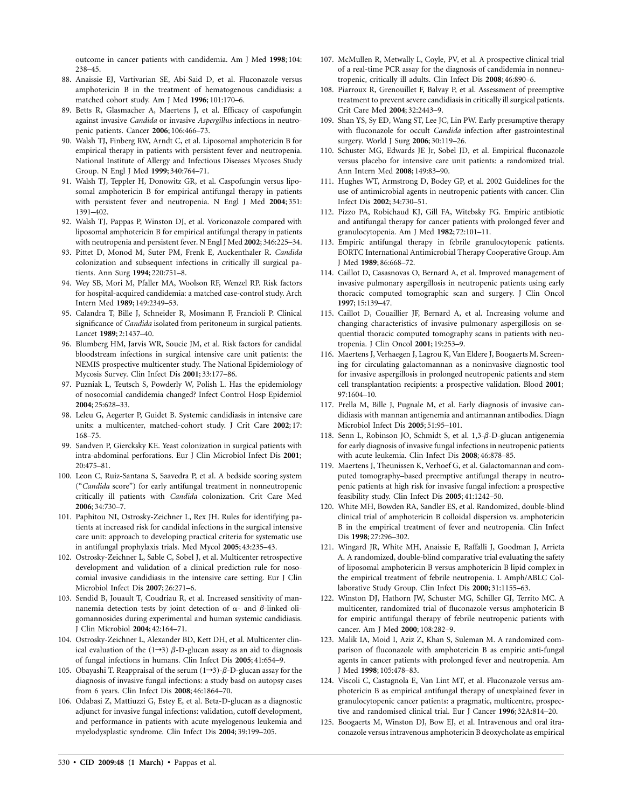outcome in cancer patients with candidemia. Am J Med **1998**; 104: 238–45.

- 88. Anaissie EJ, Vartivarian SE, Abi-Said D, et al. Fluconazole versus amphotericin B in the treatment of hematogenous candidiasis: a matched cohort study. Am J Med **1996**; 101:170–6.
- 89. Betts R, Glasmacher A, Maertens J, et al. Efficacy of caspofungin against invasive *Candida* or invasive *Aspergillus* infections in neutropenic patients. Cancer **2006**; 106:466–73.
- 90. Walsh TJ, Finberg RW, Arndt C, et al. Liposomal amphotericin B for empirical therapy in patients with persistent fever and neutropenia. National Institute of Allergy and Infectious Diseases Mycoses Study Group. N Engl J Med **1999**; 340:764–71.
- 91. Walsh TJ, Teppler H, Donowitz GR, et al. Caspofungin versus liposomal amphotericin B for empirical antifungal therapy in patients with persistent fever and neutropenia. N Engl J Med **2004**; 351: 1391–402.
- 92. Walsh TJ, Pappas P, Winston DJ, et al. Voriconazole compared with liposomal amphotericin B for empirical antifungal therapy in patients with neutropenia and persistent fever. N Engl J Med **2002**; 346:225–34.
- 93. Pittet D, Monod M, Suter PM, Frenk E, Auckenthaler R. *Candida* colonization and subsequent infections in critically ill surgical patients. Ann Surg **1994**; 220:751–8.
- 94. Wey SB, Mori M, Pfaller MA, Woolson RF, Wenzel RP. Risk factors for hospital-acquired candidemia: a matched case-control study. Arch Intern Med **1989**; 149:2349–53.
- 95. Calandra T, Bille J, Schneider R, Mosimann F, Francioli P. Clinical significance of *Candida* isolated from peritoneum in surgical patients. Lancet **1989**; 2:1437–40.
- 96. Blumberg HM, Jarvis WR, Soucie JM, et al. Risk factors for candidal bloodstream infections in surgical intensive care unit patients: the NEMIS prospective multicenter study. The National Epidemiology of Mycosis Survey. Clin Infect Dis **2001**; 33:177–86.
- 97. Puzniak L, Teutsch S, Powderly W, Polish L. Has the epidemiology of nosocomial candidemia changed? Infect Control Hosp Epidemiol **2004**; 25:628–33.
- 98. Leleu G, Aegerter P, Guidet B. Systemic candidiasis in intensive care units: a multicenter, matched-cohort study. J Crit Care **2002**; 17: 168–75.
- 99. Sandven P, Giercksky KE. Yeast colonization in surgical patients with intra-abdominal perforations. Eur J Clin Microbiol Infect Dis **2001**; 20:475–81.
- 100. Leon C, Ruiz-Santana S, Saavedra P, et al. A bedside scoring system ("*Candida* score") for early antifungal treatment in nonneutropenic critically ill patients with *Candida* colonization. Crit Care Med **2006**; 34:730–7.
- 101. Paphitou NI, Ostrosky-Zeichner L, Rex JH. Rules for identifying patients at increased risk for candidal infections in the surgical intensive care unit: approach to developing practical criteria for systematic use in antifungal prophylaxis trials. Med Mycol **2005**; 43:235–43.
- 102. Ostrosky-Zeichner L, Sable C, Sobel J, et al. Multicenter retrospective development and validation of a clinical prediction rule for nosocomial invasive candidiasis in the intensive care setting. Eur J Clin Microbiol Infect Dis **2007**; 26:271–6.
- 103. Sendid B, Jouault T, Coudriau R, et al. Increased sensitivity of mannanemia detection tests by joint detection of  $\alpha$ - and  $\beta$ -linked oligomannosides during experimental and human systemic candidiasis. J Clin Microbiol **2004**; 42:164–71.
- 104. Ostrosky-Zeichner L, Alexander BD, Kett DH, et al. Multicenter clinical evaluation of the (1-3)  $\beta$ -D-glucan assay as an aid to diagnosis of fungal infections in humans. Clin Infect Dis **2005**; 41:654–9.
- 105. Obayashi T. Reappraisal of the serum  $(1\rightarrow 3)$ - $\beta$ -D-glucan assay for the diagnosis of invasive fungal infections: a study basd on autopsy cases from 6 years. Clin Infect Dis **2008**; 46:1864–70.
- 106. Odabasi Z, Mattiuzzi G, Estey E, et al. Beta-D-glucan as a diagnostic adjunct for invasive fungal infections: validation, cutoff development, and performance in patients with acute myelogenous leukemia and myelodysplastic syndrome. Clin Infect Dis **2004**; 39:199–205.
- 107. McMullen R, Metwally L, Coyle, PV, et al. A prospective clinical trial of a real-time PCR assay for the diagnosis of candidemia in nonneutropenic, critically ill adults. Clin Infect Dis **2008**; 46:890–6.
- 108. Piarroux R, Grenouillet F, Balvay P, et al. Assessment of preemptive treatment to prevent severe candidiasis in critically ill surgical patients. Crit Care Med **2004**; 32:2443–9.
- 109. Shan YS, Sy ED, Wang ST, Lee JC, Lin PW. Early presumptive therapy with fluconazole for occult *Candida* infection after gastrointestinal surgery. World J Surg **2006**; 30:119–26.
- 110. Schuster MG, Edwards JE Jr, Sobel JD, et al. Empirical fluconazole versus placebo for intensive care unit patients: a randomized trial. Ann Intern Med **2008**; 149:83–90.
- 111. Hughes WT, Armstrong D, Bodey GP, et al. 2002 Guidelines for the use of antimicrobial agents in neutropenic patients with cancer. Clin Infect Dis **2002**; 34:730–51.
- 112. Pizzo PA, Robichaud KJ, Gill FA, Witebsky FG. Empiric antibiotic and antifungal therapy for cancer patients with prolonged fever and granulocytopenia. Am J Med **1982**; 72:101–11.
- 113. Empiric antifungal therapy in febrile granulocytopenic patients. EORTC International Antimicrobial Therapy Cooperative Group. Am J Med **1989**; 86:668–72.
- 114. Caillot D, Casasnovas O, Bernard A, et al. Improved management of invasive pulmonary aspergillosis in neutropenic patients using early thoracic computed tomographic scan and surgery. J Clin Oncol **1997**; 15:139–47.
- 115. Caillot D, Couaillier JF, Bernard A, et al. Increasing volume and changing characteristics of invasive pulmonary aspergillosis on sequential thoracic computed tomography scans in patients with neutropenia. J Clin Oncol **2001**; 19:253–9.
- 116. Maertens J, Verhaegen J, Lagrou K, Van Eldere J, Boogaerts M. Screening for circulating galactomannan as a noninvasive diagnostic tool for invasive aspergillosis in prolonged neutropenic patients and stem cell transplantation recipients: a prospective validation. Blood **2001**; 97:1604–10.
- 117. Prella M, Bille J, Pugnale M, et al. Early diagnosis of invasive candidiasis with mannan antigenemia and antimannan antibodies. Diagn Microbiol Infect Dis **2005**; 51:95–101.
- 118. Senn L, Robinson JO, Schmidt S, et al. 1,3- $\beta$ -D-glucan antigenemia for early diagnosis of invasive fungal infections in neutropenic patients with acute leukemia. Clin Infect Dis **2008**; 46:878–85.
- 119. Maertens J, Theunissen K, Verhoef G, et al. Galactomannan and computed tomography–based preemptive antifungal therapy in neutropenic patients at high risk for invasive fungal infection: a prospective feasibility study. Clin Infect Dis **2005**; 41:1242–50.
- 120. White MH, Bowden RA, Sandler ES, et al. Randomized, double-blind clinical trial of amphotericin B colloidal dispersion vs. amphotericin B in the empirical treatment of fever and neutropenia. Clin Infect Dis **1998**; 27:296–302.
- 121. Wingard JR, White MH, Anaissie E, Raffalli J, Goodman J, Arrieta A. A randomized, double-blind comparative trial evaluating the safety of liposomal amphotericin B versus amphotericin B lipid complex in the empirical treatment of febrile neutropenia. L Amph/ABLC Collaborative Study Group. Clin Infect Dis **2000**; 31:1155–63.
- 122. Winston DJ, Hathorn JW, Schuster MG, Schiller GJ, Territo MC. A multicenter, randomized trial of fluconazole versus amphotericin B for empiric antifungal therapy of febrile neutropenic patients with cancer. Am J Med **2000**; 108:282–9.
- 123. Malik IA, Moid I, Aziz Z, Khan S, Suleman M. A randomized comparison of fluconazole with amphotericin B as empiric anti-fungal agents in cancer patients with prolonged fever and neutropenia. Am J Med **1998**; 105:478–83.
- 124. Viscoli C, Castagnola E, Van Lint MT, et al. Fluconazole versus amphotericin B as empirical antifungal therapy of unexplained fever in granulocytopenic cancer patients: a pragmatic, multicentre, prospective and randomised clinical trial. Eur J Cancer **1996**; 32A:814–20.
- 125. Boogaerts M, Winston DJ, Bow EJ, et al. Intravenous and oral itraconazole versus intravenous amphotericin B deoxycholate as empirical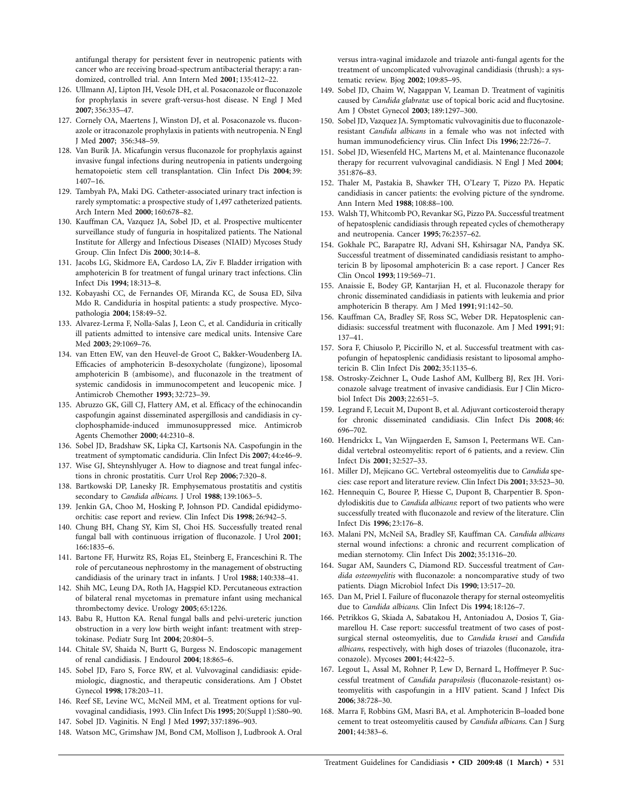antifungal therapy for persistent fever in neutropenic patients with cancer who are receiving broad-spectrum antibacterial therapy: a randomized, controlled trial. Ann Intern Med **2001**; 135:412–22.

- 126. Ullmann AJ, Lipton JH, Vesole DH, et al. Posaconazole or fluconazole for prophylaxis in severe graft-versus-host disease. N Engl J Med **2007**; 356:335–47.
- 127. Cornely OA, Maertens J, Winston DJ, et al. Posaconazole vs. fluconazole or itraconazole prophylaxis in patients with neutropenia. N Engl J Med **2007**; 356:348–59.
- 128. Van Burik JA. Micafungin versus fluconazole for prophylaxis against invasive fungal infections during neutropenia in patients undergoing hematopoietic stem cell transplantation. Clin Infect Dis **2004**; 39: 1407–16.
- 129. Tambyah PA, Maki DG. Catheter-associated urinary tract infection is rarely symptomatic: a prospective study of 1,497 catheterized patients. Arch Intern Med **2000**; 160:678–82.
- 130. Kauffman CA, Vazquez JA, Sobel JD, et al. Prospective multicenter surveillance study of funguria in hospitalized patients. The National Institute for Allergy and Infectious Diseases (NIAID) Mycoses Study Group. Clin Infect Dis **2000**; 30:14–8.
- 131. Jacobs LG, Skidmore EA, Cardoso LA, Ziv F. Bladder irrigation with amphotericin B for treatment of fungal urinary tract infections. Clin Infect Dis **1994**; 18:313–8.
- 132. Kobayashi CC, de Fernandes OF, Miranda KC, de Sousa ED, Silva Mdo R. Candiduria in hospital patients: a study prospective. Mycopathologia **2004**; 158:49–52.
- 133. Alvarez-Lerma F, Nolla-Salas J, Leon C, et al. Candiduria in critically ill patients admitted to intensive care medical units. Intensive Care Med **2003**; 29:1069–76.
- 134. van Etten EW, van den Heuvel-de Groot C, Bakker-Woudenberg IA. Efficacies of amphotericin B-desoxycholate (fungizone), liposomal amphotericin B (ambisome), and fluconazole in the treatment of systemic candidosis in immunocompetent and leucopenic mice. J Antimicrob Chemother **1993**; 32:723–39.
- 135. Abruzzo GK, Gill CJ, Flattery AM, et al. Efficacy of the echinocandin caspofungin against disseminated aspergillosis and candidiasis in cyclophosphamide-induced immunosuppressed mice. Antimicrob Agents Chemother **2000**; 44:2310–8.
- 136. Sobel JD, Bradshaw SK, Lipka CJ, Kartsonis NA. Caspofungin in the treatment of symptomatic candiduria. Clin Infect Dis **2007**; 44:e46–9.
- 137. Wise GJ, Shteynshlyuger A. How to diagnose and treat fungal infections in chronic prostatitis. Curr Urol Rep **2006**; 7:320–8.
- 138. Bartkowski DP, Lanesky JR. Emphysematous prostatitis and cystitis secondary to *Candida albicans*. J Urol **1988**; 139:1063–5.
- 139. Jenkin GA, Choo M, Hosking P, Johnson PD. Candidal epididymoorchitis: case report and review. Clin Infect Dis **1998**; 26:942–5.
- 140. Chung BH, Chang SY, Kim SI, Choi HS. Successfully treated renal fungal ball with continuous irrigation of fluconazole. J Urol **2001**; 166:1835–6.
- 141. Bartone FF, Hurwitz RS, Rojas EL, Steinberg E, Franceschini R. The role of percutaneous nephrostomy in the management of obstructing candidiasis of the urinary tract in infants. J Urol **1988**; 140:338–41.
- 142. Shih MC, Leung DA, Roth JA, Hagspiel KD. Percutaneous extraction of bilateral renal mycetomas in premature infant using mechanical thrombectomy device. Urology **2005**; 65:1226.
- 143. Babu R, Hutton KA. Renal fungal balls and pelvi-ureteric junction obstruction in a very low birth weight infant: treatment with streptokinase. Pediatr Surg Int **2004**; 20:804–5.
- 144. Chitale SV, Shaida N, Burtt G, Burgess N. Endoscopic management of renal candidiasis. J Endourol **2004**; 18:865–6.
- 145. Sobel JD, Faro S, Force RW, et al. Vulvovaginal candidiasis: epidemiologic, diagnostic, and therapeutic considerations. Am J Obstet Gynecol **1998**; 178:203–11.
- 146. Reef SE, Levine WC, McNeil MM, et al. Treatment options for vulvovaginal candidiasis, 1993. Clin Infect Dis **1995**; 20(Suppl 1):S80–90. 147. Sobel JD. Vaginitis. N Engl J Med **1997**; 337:1896–903.
- 148. Watson MC, Grimshaw JM, Bond CM, Mollison J, Ludbrook A. Oral

versus intra-vaginal imidazole and triazole anti-fungal agents for the treatment of uncomplicated vulvovaginal candidiasis (thrush): a systematic review. Bjog **2002**; 109:85–95.

- 149. Sobel JD, Chaim W, Nagappan V, Leaman D. Treatment of vaginitis caused by *Candida glabrata*: use of topical boric acid and flucytosine. Am J Obstet Gynecol **2003**; 189:1297–300.
- 150. Sobel JD, Vazquez JA. Symptomatic vulvovaginitis due to fluconazoleresistant *Candida albicans* in a female who was not infected with human immunodeficiency virus. Clin Infect Dis **1996**; 22:726–7.
- 151. Sobel JD, Wiesenfeld HC, Martens M, et al. Maintenance fluconazole therapy for recurrent vulvovaginal candidiasis. N Engl J Med **2004**; 351:876–83.
- 152. Thaler M, Pastakia B, Shawker TH, O'Leary T, Pizzo PA. Hepatic candidiasis in cancer patients: the evolving picture of the syndrome. Ann Intern Med **1988**; 108:88–100.
- 153. Walsh TJ, Whitcomb PO, Revankar SG, Pizzo PA. Successful treatment of hepatosplenic candidiasis through repeated cycles of chemotherapy and neutropenia. Cancer **1995**; 76:2357–62.
- 154. Gokhale PC, Barapatre RJ, Advani SH, Kshirsagar NA, Pandya SK. Successful treatment of disseminated candidiasis resistant to amphotericin B by liposomal amphotericin B: a case report. J Cancer Res Clin Oncol **1993**; 119:569–71.
- 155. Anaissie E, Bodey GP, Kantarjian H, et al. Fluconazole therapy for chronic disseminated candidiasis in patients with leukemia and prior amphotericin B therapy. Am J Med **1991**; 91:142–50.
- 156. Kauffman CA, Bradley SF, Ross SC, Weber DR. Hepatosplenic candidiasis: successful treatment with fluconazole. Am J Med **1991**; 91: 137–41.
- 157. Sora F, Chiusolo P, Piccirillo N, et al. Successful treatment with caspofungin of hepatosplenic candidiasis resistant to liposomal amphotericin B. Clin Infect Dis **2002**; 35:1135–6.
- 158. Ostrosky-Zeichner L, Oude Lashof AM, Kullberg BJ, Rex JH. Voriconazole salvage treatment of invasive candidiasis. Eur J Clin Microbiol Infect Dis **2003**; 22:651–5.
- 159. Legrand F, Lecuit M, Dupont B, et al. Adjuvant corticosteroid therapy for chronic disseminated candidiasis. Clin Infect Dis **2008**; 46: 696–702.
- 160. Hendrickx L, Van Wijngaerden E, Samson I, Peetermans WE. Candidal vertebral osteomyelitis: report of 6 patients, and a review. Clin Infect Dis **2001**; 32:527–33.
- 161. Miller DJ, Mejicano GC. Vertebral osteomyelitis due to *Candida* species: case report and literature review. Clin Infect Dis **2001**; 33:523–30.
- 162. Hennequin C, Bouree P, Hiesse C, Dupont B, Charpentier B. Spondylodiskitis due to *Candida albicans*: report of two patients who were successfully treated with fluconazole and review of the literature. Clin Infect Dis **1996**; 23:176–8.
- 163. Malani PN, McNeil SA, Bradley SF, Kauffman CA. *Candida albicans* sternal wound infections: a chronic and recurrent complication of median sternotomy. Clin Infect Dis **2002**; 35:1316–20.
- 164. Sugar AM, Saunders C, Diamond RD. Successful treatment of *Candida osteomyelitis* with fluconazole: a noncomparative study of two patients. Diagn Microbiol Infect Dis **1990**; 13:517–20.
- 165. Dan M, Priel I. Failure of fluconazole therapy for sternal osteomyelitis due to *Candida albicans*. Clin Infect Dis **1994**; 18:126–7.
- 166. Petrikkos G, Skiada A, Sabatakou H, Antoniadou A, Dosios T, Giamarellou H. Case report: successful treatment of two cases of postsurgical sternal osteomyelitis, due to *Candida krusei* and *Candida albicans,* respectively, with high doses of triazoles (fluconazole, itraconazole). Mycoses **2001**; 44:422–5.
- 167. Legout L, Assal M, Rohner P, Lew D, Bernard L, Hoffmeyer P. Successful treatment of *Candida parapsilosis* (fluconazole-resistant) osteomyelitis with caspofungin in a HIV patient. Scand J Infect Dis **2006**; 38:728–30.
- 168. Marra F, Robbins GM, Masri BA, et al. Amphotericin B–loaded bone cement to treat osteomyelitis caused by *Candida albicans*. Can J Surg **2001**; 44:383–6.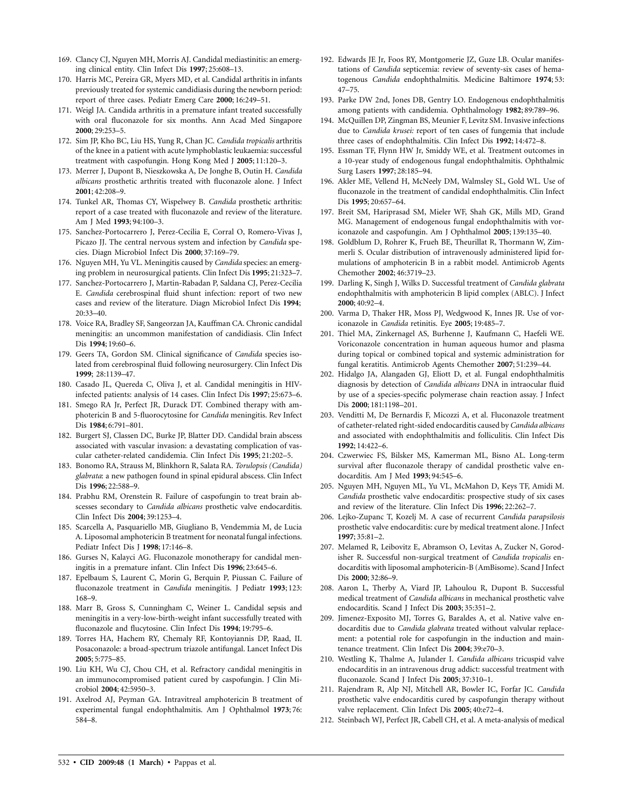- 169. Clancy CJ, Nguyen MH, Morris AJ. Candidal mediastinitis: an emerging clinical entity. Clin Infect Dis **1997**; 25:608–13.
- 170. Harris MC, Pereira GR, Myers MD, et al. Candidal arthritis in infants previously treated for systemic candidiasis during the newborn period: report of three cases. Pediatr Emerg Care **2000**; 16:249–51.
- 171. Weigl JA. Candida arthritis in a premature infant treated successfully with oral fluconazole for six months. Ann Acad Med Singapore **2000**; 29:253–5.
- 172. Sim JP, Kho BC, Liu HS, Yung R, Chan JC. *Candida tropicalis* arthritis of the knee in a patient with acute lymphoblastic leukaemia: successful treatment with caspofungin. Hong Kong Med J **2005**; 11:120–3.
- 173. Merrer J, Dupont B, Nieszkowska A, De Jonghe B, Outin H. *Candida albicans* prosthetic arthritis treated with fluconazole alone. J Infect **2001**; 42:208–9.
- 174. Tunkel AR, Thomas CY, Wispelwey B. *Candida* prosthetic arthritis: report of a case treated with fluconazole and review of the literature. Am J Med **1993**; 94:100–3.
- 175. Sanchez-Portocarrero J, Perez-Cecilia E, Corral O, Romero-Vivas J, Picazo JJ. The central nervous system and infection by *Candida* species. Diagn Microbiol Infect Dis **2000**; 37:169–79.
- 176. Nguyen MH, Yu VL. Meningitis caused by *Candida* species: an emerging problem in neurosurgical patients. Clin Infect Dis **1995**; 21:323–7.
- 177. Sanchez-Portocarrero J, Martin-Rabadan P, Saldana CJ, Perez-Cecilia E. *Candida* cerebrospinal fluid shunt infection: report of two new cases and review of the literature. Diagn Microbiol Infect Dis **1994**;  $20:33-40.$
- 178. Voice RA, Bradley SF, Sangeorzan JA, Kauffman CA. Chronic candidal meningitis: an uncommon manifestation of candidiasis. Clin Infect Dis **1994**; 19:60–6.
- 179. Geers TA, Gordon SM. Clinical significance of *Candida* species isolated from cerebrospinal fluid following neurosurgery. Clin Infect Dis **1999**; 28:1139–47.
- 180. Casado JL, Quereda C, Oliva J, et al. Candidal meningitis in HIVinfected patients: analysis of 14 cases. Clin Infect Dis **1997**; 25:673–6.
- 181. Smego RA Jr, Perfect JR, Durack DT. Combined therapy with amphotericin B and 5-fluorocytosine for *Candida* meningitis. Rev Infect Dis **1984**; 6:791–801.
- 182. Burgert SJ, Classen DC, Burke JP, Blatter DD. Candidal brain abscess associated with vascular invasion: a devastating complication of vascular catheter-related candidemia. Clin Infect Dis **1995**; 21:202–5.
- 183. Bonomo RA, Strauss M, Blinkhorn R, Salata RA. *Torulopsis (Candida) glabrata*: a new pathogen found in spinal epidural abscess. Clin Infect Dis **1996**; 22:588–9.
- 184. Prabhu RM, Orenstein R. Failure of caspofungin to treat brain abscesses secondary to *Candida albicans* prosthetic valve endocarditis. Clin Infect Dis **2004**; 39:1253–4.
- 185. Scarcella A, Pasquariello MB, Giugliano B, Vendemmia M, de Lucia A. Liposomal amphotericin B treatment for neonatal fungal infections. Pediatr Infect Dis J **1998**; 17:146–8.
- 186. Gurses N, Kalayci AG. Fluconazole monotherapy for candidal meningitis in a premature infant. Clin Infect Dis **1996**; 23:645–6.
- 187. Epelbaum S, Laurent C, Morin G, Berquin P, Piussan C. Failure of fluconazole treatment in *Candida* meningitis. J Pediatr **1993**; 123: 168–9.
- 188. Marr B, Gross S, Cunningham C, Weiner L. Candidal sepsis and meningitis in a very-low-birth-weight infant successfully treated with fluconazole and flucytosine. Clin Infect Dis **1994**; 19:795–6.
- 189. Torres HA, Hachem RY, Chemaly RF, Kontoyiannis DP, Raad, II. Posaconazole: a broad-spectrum triazole antifungal. Lancet Infect Dis **2005**; 5:775–85.
- 190. Liu KH, Wu CJ, Chou CH, et al. Refractory candidal meningitis in an immunocompromised patient cured by caspofungin. J Clin Microbiol **2004**; 42:5950–3.
- 191. Axelrod AJ, Peyman GA. Intravitreal amphotericin B treatment of experimental fungal endophthalmitis. Am J Ophthalmol **1973**; 76: 584–8.
- 192. Edwards JE Jr, Foos RY, Montgomerie JZ, Guze LB. Ocular manifestations of *Candida* septicemia: review of seventy-six cases of hematogenous *Candida* endophthalmitis. Medicine Baltimore **1974**; 53: 47–75.
- 193. Parke DW 2nd, Jones DB, Gentry LO. Endogenous endophthalmitis among patients with candidemia. Ophthalmology **1982**; 89:789–96.
- 194. McQuillen DP, Zingman BS, Meunier F, Levitz SM. Invasive infections due to *Candida krusei:* report of ten cases of fungemia that include three cases of endophthalmitis. Clin Infect Dis **1992**; 14:472–8.
- 195. Essman TF, Flynn HW Jr, Smiddy WE, et al. Treatment outcomes in a 10-year study of endogenous fungal endophthalmitis. Ophthalmic Surg Lasers **1997**; 28:185–94.
- 196. Akler ME, Vellend H, McNeely DM, Walmsley SL, Gold WL. Use of fluconazole in the treatment of candidal endophthalmitis. Clin Infect Dis **1995**; 20:657–64.
- 197. Breit SM, Hariprasad SM, Mieler WF, Shah GK, Mills MD, Grand MG. Management of endogenous fungal endophthalmitis with voriconazole and caspofungin. Am J Ophthalmol **2005**; 139:135–40.
- 198. Goldblum D, Rohrer K, Frueh BE, Theurillat R, Thormann W, Zimmerli S. Ocular distribution of intravenously administered lipid formulations of amphotericin B in a rabbit model. Antimicrob Agents Chemother **2002**; 46:3719–23.
- 199. Darling K, Singh J, Wilks D. Successful treatment of *Candida glabrata* endophthalmitis with amphotericin B lipid complex (ABLC). J Infect **2000**; 40:92–4.
- 200. Varma D, Thaker HR, Moss PJ, Wedgwood K, Innes JR. Use of voriconazole in *Candida* retinitis. Eye **2005**; 19:485–7.
- 201. Thiel MA, Zinkernagel AS, Burhenne J, Kaufmann C, Haefeli WE. Voriconazole concentration in human aqueous humor and plasma during topical or combined topical and systemic administration for fungal keratitis. Antimicrob Agents Chemother **2007**; 51:239–44.
- 202. Hidalgo JA, Alangaden GJ, Eliott D, et al. Fungal endophthalmitis diagnosis by detection of *Candida albicans* DNA in intraocular fluid by use of a species-specific polymerase chain reaction assay. J Infect Dis **2000**; 181:1198–201.
- 203. Venditti M, De Bernardis F, Micozzi A, et al. Fluconazole treatment of catheter-related right-sided endocarditis caused by *Candida albicans* and associated with endophthalmitis and folliculitis. Clin Infect Dis **1992**; 14:422–6.
- 204. Czwerwiec FS, Bilsker MS, Kamerman ML, Bisno AL. Long-term survival after fluconazole therapy of candidal prosthetic valve endocarditis. Am J Med **1993**; 94:545–6.
- 205. Nguyen MH, Nguyen ML, Yu VL, McMahon D, Keys TF, Amidi M. *Candida* prosthetic valve endocarditis: prospective study of six cases and review of the literature. Clin Infect Dis **1996**; 22:262–7.
- 206. Lejko-Zupanc T, Kozelj M. A case of recurrent *Candida parapsilosis* prosthetic valve endocarditis: cure by medical treatment alone. J Infect **1997**; 35:81–2.
- 207. Melamed R, Leibovitz E, Abramson O, Levitas A, Zucker N, Gorodisher R. Successful non-surgical treatment of *Candida tropicalis* endocarditis with liposomal amphotericin-B (AmBisome). Scand J Infect Dis **2000**; 32:86–9.
- 208. Aaron L, Therby A, Viard JP, Lahoulou R, Dupont B. Successful medical treatment of *Candida albicans* in mechanical prosthetic valve endocarditis. Scand J Infect Dis **2003**; 35:351–2.
- 209. Jimenez-Exposito MJ, Torres G, Baraldes A, et al. Native valve endocarditis due to *Candida glabrata* treated without valvular replacement: a potential role for caspofungin in the induction and maintenance treatment. Clin Infect Dis **2004**; 39:e70–3.
- 210. Westling K, Thalme A, Julander I. *Candida albicans* tricuspid valve endocarditis in an intravenous drug addict: successful treatment with fluconazole. Scand J Infect Dis **2005**; 37:310–1.
- 211. Rajendram R, Alp NJ, Mitchell AR, Bowler IC, Forfar JC. *Candida* prosthetic valve endocarditis cured by caspofungin therapy without valve replacement. Clin Infect Dis **2005**; 40:e72–4.
- 212. Steinbach WJ, Perfect JR, Cabell CH, et al. A meta-analysis of medical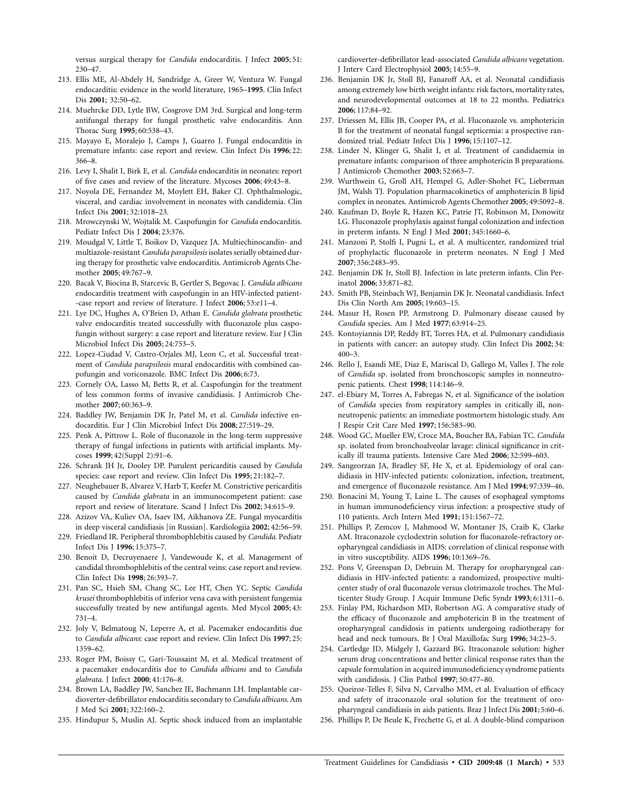versus surgical therapy for *Candida* endocarditis. J Infect **2005**; 51: 230–47.

- 213. Ellis ME, Al-Abdely H, Sandridge A, Greer W, Ventura W. Fungal endocarditis: evidence in the world literature, 1965–**1995**. Clin Infect Dis **2001**; 32:50–62.
- 214. Muehrcke DD, Lytle BW, Cosgrove DM 3rd. Surgical and long-term antifungal therapy for fungal prosthetic valve endocarditis. Ann Thorac Surg **1995**; 60:538–43.
- 215. Mayayo E, Moralejo J, Camps J, Guarro J. Fungal endocarditis in premature infants: case report and review. Clin Infect Dis **1996**; 22: 366–8.
- 216. Levy I, Shalit I, Birk E, et al. *Candida* endocarditis in neonates: report of five cases and review of the literature. Mycoses **2006**; 49:43–8.
- 217. Noyola DE, Fernandez M, Moylett EH, Baker CJ. Ophthalmologic, visceral, and cardiac involvement in neonates with candidemia. Clin Infect Dis **2001**; 32:1018–23.
- 218. Mrowczynski W, Wojtalik M. Caspofungin for *Candida* endocarditis. Pediatr Infect Dis J **2004**; 23:376.
- 219. Moudgal V, Little T, Boikov D, Vazquez JA. Multiechinocandin- and multiazole-resistant *Candida parapsilosis* isolates serially obtained during therapy for prosthetic valve endocarditis. Antimicrob Agents Chemother **2005**; 49:767–9.
- 220. Bacak V, Biocina B, Starcevic B, Gertler S, Begovac J. *Candida albicans* endocarditis treatment with caspofungin in an HIV-infected patient- -case report and review of literature. J Infect **2006**; 53:e11–4.
- 221. Lye DC, Hughes A, O'Brien D, Athan E. *Candida glabrata* prosthetic valve endocarditis treated successfully with fluconazole plus caspofungin without surgery: a case report and literature review. Eur J Clin Microbiol Infect Dis **2005**; 24:753–5.
- 222. Lopez-Ciudad V, Castro-Orjales MJ, Leon C, et al. Successful treatment of *Candida parapsilosis* mural endocarditis with combined caspofungin and voriconazole. BMC Infect Dis **2006**; 6:73.
- 223. Cornely OA, Lasso M, Betts R, et al. Caspofungin for the treatment of less common forms of invasive candidiasis. J Antimicrob Chemother **2007**; 60:363–9.
- 224. Baddley JW, Benjamin DK Jr, Patel M, et al. *Candida* infective endocarditis. Eur J Clin Microbiol Infect Dis **2008**; 27:519–29.
- 225. Penk A, Pittrow L. Role of fluconazole in the long-term suppressive therapy of fungal infections in patients with artificial implants. Mycoses **1999**; 42(Suppl 2):91–6.
- 226. Schrank JH Jr, Dooley DP. Purulent pericarditis caused by *Candida* species: case report and review. Clin Infect Dis **1995**; 21:182–7.
- 227. Neughebauer B, Alvarez V, Harb T, Keefer M. Constrictive pericarditis caused by *Candida glabrata* in an immunocompetent patient: case report and review of literature. Scand J Infect Dis **2002**; 34:615–9.
- 228. Azizov VA, Kuliev OA, Isaev IM, Aikhanova ZE. Fungal myocarditis in deep visceral candidiasis [in Russian]. Kardiologiia **2002**; 42:56–59.
- 229. Friedland IR. Peripheral thrombophlebitis caused by *Candida.* Pediatr Infect Dis J **1996**; 15:375–7.
- 230. Benoit D, Decruyenaere J, Vandewoude K, et al. Management of candidal thrombophlebitis of the central veins: case report and review. Clin Infect Dis **1998**; 26:393–7.
- 231. Pan SC, Hsieh SM, Chang SC, Lee HT, Chen YC. Septic *Candida krusei* thrombophlebitis of inferior vena cava with persistent fungemia successfully treated by new antifungal agents. Med Mycol **2005**; 43: 731–4.
- 232. Joly V, Belmatoug N, Leperre A, et al. Pacemaker endocarditis due to *Candida albicans*: case report and review. Clin Infect Dis **1997**; 25: 1359–62.
- 233. Roger PM, Boissy C, Gari-Toussaint M, et al. Medical treatment of a pacemaker endocarditis due to *Candida albicans* and to *Candida glabrata.* J Infect **2000**; 41:176–8.
- 234. Brown LA, Baddley JW, Sanchez JE, Bachmann LH. Implantable cardioverter-defibrillator endocarditis secondary to *Candida albicans*. Am J Med Sci **2001**; 322:160–2.
- 235. Hindupur S, Muslin AJ. Septic shock induced from an implantable

cardioverter-defibrillator lead-associated *Candida albicans* vegetation. J Interv Card Electrophysiol **2005**; 14:55–9.

- 236. Benjamin DK Jr, Stoll BJ, Fanaroff AA, et al. Neonatal candidiasis among extremely low birth weight infants: risk factors, mortality rates, and neurodevelopmental outcomes at 18 to 22 months. Pediatrics **2006**; 117:84–92.
- 237. Driessen M, Ellis JB, Cooper PA, et al. Fluconazole vs. amphotericin B for the treatment of neonatal fungal septicemia: a prospective randomized trial. Pediatr Infect Dis J **1996**; 15:1107–12.
- 238. Linder N, Klinger G, Shalit I, et al. Treatment of candidaemia in premature infants: comparison of three amphotericin B preparations. J Antimicrob Chemother **2003**; 52:663–7.
- 239. Wurthwein G, Groll AH, Hempel G, Adler-Shohet FC, Lieberman JM, Walsh TJ. Population pharmacokinetics of amphotericin B lipid complex in neonates. Antimicrob Agents Chemother **2005**; 49:5092–8.
- 240. Kaufman D, Boyle R, Hazen KC, Patrie JT, Robinson M, Donowitz LG. Fluconazole prophylaxis against fungal colonization and infection in preterm infants. N Engl J Med **2001**; 345:1660–6.
- 241. Manzoni P, Stolfi I, Pugni L, et al. A multicenter, randomized trial of prophylactic fluconazole in preterm neonates. N Engl J Med **2007**; 356:2483–95.
- 242. Benjamin DK Jr, Stoll BJ. Infection in late preterm infants. Clin Perinatol **2006**; 33:871–82.
- 243. Smith PB, Steinbach WJ, Benjamin DK Jr. Neonatal candidiasis. Infect Dis Clin North Am **2005**; 19:603–15.
- 244. Masur H, Rosen PP, Armstrong D. Pulmonary disease caused by *Candida* species. Am J Med **1977**; 63:914–25.
- 245. Kontoyiannis DP, Reddy BT, Torres HA, et al. Pulmonary candidiasis in patients with cancer: an autopsy study. Clin Infect Dis **2002**; 34: 400–3.
- 246. Rello J, Esandi ME, Diaz E, Mariscal D, Gallego M, Valles J. The role of *Candida* sp. isolated from bronchoscopic samples in nonneutropenic patients. Chest **1998**; 114:146–9.
- 247. el-Ebiary M, Torres A, Fabregas N, et al. Significance of the isolation of *Candida* species from respiratory samples in critically ill, nonneutropenic patients: an immediate postmortem histologic study. Am J Respir Crit Care Med **1997**; 156:583–90.
- 248. Wood GC, Mueller EW, Croce MA, Boucher BA, Fabian TC. *Candida* sp. isolated from bronchoalveolar lavage: clinical significance in critically ill trauma patients. Intensive Care Med **2006**; 32:599–603.
- 249. Sangeorzan JA, Bradley SF, He X, et al. Epidemiology of oral candidiasis in HIV-infected patients: colonization, infection, treatment, and emergence of fluconazole resistance. Am J Med **1994**; 97:339–46.
- 250. Bonacini M, Young T, Laine L. The causes of esophageal symptoms in human immunodeficiency virus infection: a prospective study of 110 patients. Arch Intern Med **1991**; 151:1567–72.
- 251. Phillips P, Zemcov J, Mahmood W, Montaner JS, Craib K, Clarke AM. Itraconazole cyclodextrin solution for fluconazole-refractory oropharyngeal candidiasis in AIDS: correlation of clinical response with in vitro susceptibility. AIDS **1996**; 10:1369–76.
- 252. Pons V, Greenspan D, Debruin M. Therapy for oropharyngeal candidiasis in HIV-infected patients: a randomized, prospective multicenter study of oral fluconazole versus clotrimazole troches. The Multicenter Study Group. J Acquir Immune Defic Syndr **1993**; 6:1311–6.
- 253. Finlay PM, Richardson MD, Robertson AG. A comparative study of the efficacy of fluconazole and amphotericin B in the treatment of oropharyngeal candidosis in patients undergoing radiotherapy for head and neck tumours. Br J Oral Maxillofac Surg **1996**; 34:23–5.
- 254. Cartledge JD, Midgely J, Gazzard BG. Itraconazole solution: higher serum drug concentrations and better clinical response rates than the capsule formulation in acquired immunodeficiency syndrome patients with candidosis. J Clin Pathol **1997**; 50:477–80.
- 255. Queiroz-Telles F, Silva N, Carvalho MM, et al. Evaluation of efficacy and safety of itraconazole oral solution for the treatment of oropharyngeal candidiasis in aids patients. Braz J Infect Dis **2001**; 5:60–6.
- 256. Phillips P, De Beule K, Frechette G, et al. A double-blind comparison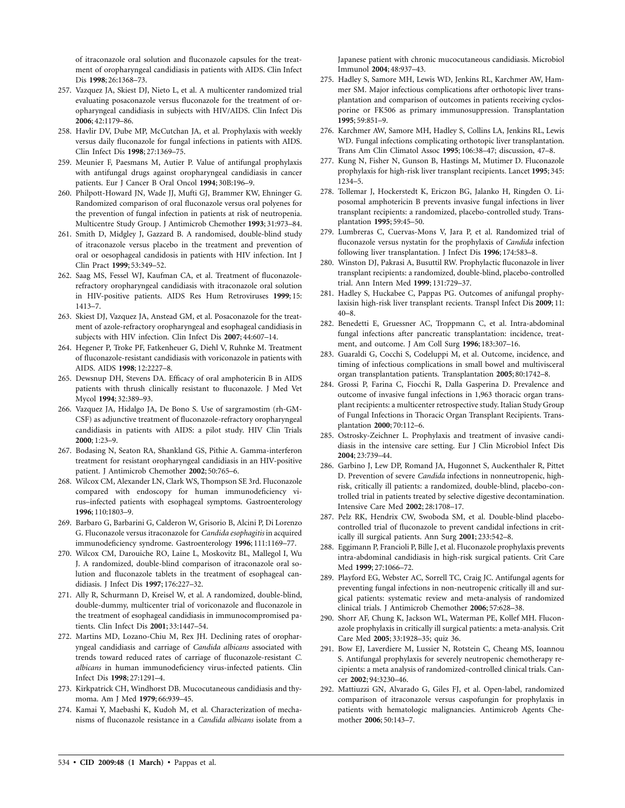of itraconazole oral solution and fluconazole capsules for the treatment of oropharyngeal candidiasis in patients with AIDS. Clin Infect Dis **1998**; 26:1368–73.

- 257. Vazquez JA, Skiest DJ, Nieto L, et al. A multicenter randomized trial evaluating posaconazole versus fluconazole for the treatment of oropharyngeal candidiasis in subjects with HIV/AIDS. Clin Infect Dis **2006**; 42:1179–86.
- 258. Havlir DV, Dube MP, McCutchan JA, et al. Prophylaxis with weekly versus daily fluconazole for fungal infections in patients with AIDS. Clin Infect Dis **1998**; 27:1369–75.
- 259. Meunier F, Paesmans M, Autier P. Value of antifungal prophylaxis with antifungal drugs against oropharyngeal candidiasis in cancer patients. Eur J Cancer B Oral Oncol **1994**; 30B:196–9.
- 260. Philpott-Howard JN, Wade JJ, Mufti GJ, Brammer KW, Ehninger G. Randomized comparison of oral fluconazole versus oral polyenes for the prevention of fungal infection in patients at risk of neutropenia. Multicentre Study Group. J Antimicrob Chemother **1993**; 31:973–84.
- 261. Smith D, Midgley J, Gazzard B. A randomised, double-blind study of itraconazole versus placebo in the treatment and prevention of oral or oesophageal candidosis in patients with HIV infection. Int J Clin Pract **1999**; 53:349–52.
- 262. Saag MS, Fessel WJ, Kaufman CA, et al. Treatment of fluconazolerefractory oropharyngeal candidiasis with itraconazole oral solution in HIV-positive patients. AIDS Res Hum Retroviruses **1999**; 15: 1413–7.
- 263. Skiest DJ, Vazquez JA, Anstead GM, et al. Posaconazole for the treatment of azole-refractory oropharyngeal and esophageal candidiasis in subjects with HIV infection. Clin Infect Dis **2007**; 44:607–14.
- 264. Hegener P, Troke PF, Fatkenheuer G, Diehl V, Ruhnke M. Treatment of fluconazole-resistant candidiasis with voriconazole in patients with AIDS. AIDS **1998**; 12:2227–8.
- 265. Dewsnup DH, Stevens DA. Efficacy of oral amphotericin B in AIDS patients with thrush clinically resistant to fluconazole. J Med Vet Mycol **1994**; 32:389–93.
- 266. Vazquez JA, Hidalgo JA, De Bono S. Use of sargramostim (rh-GM-CSF) as adjunctive treatment of fluconazole-refractory oropharyngeal candidiasis in patients with AIDS: a pilot study. HIV Clin Trials **2000**; 1:23–9.
- 267. Bodasing N, Seaton RA, Shankland GS, Pithie A. Gamma-interferon treatment for resistant oropharyngeal candidiasis in an HIV-positive patient. J Antimicrob Chemother **2002**; 50:765–6.
- 268. Wilcox CM, Alexander LN, Clark WS, Thompson SE 3rd. Fluconazole compared with endoscopy for human immunodeficiency virus–infected patients with esophageal symptoms. Gastroenterology **1996**; 110:1803–9.
- 269. Barbaro G, Barbarini G, Calderon W, Grisorio B, Alcini P, Di Lorenzo G. Fluconazole versus itraconazole for *Candida esophagitis* in acquired immunodeficiency syndrome. Gastroenterology **1996**; 111:1169–77.
- 270. Wilcox CM, Darouiche RO, Laine L, Moskovitz BL, Mallegol I, Wu J. A randomized, double-blind comparison of itraconazole oral solution and fluconazole tablets in the treatment of esophageal candidiasis. J Infect Dis **1997**; 176:227–32.
- 271. Ally R, Schurmann D, Kreisel W, et al. A randomized, double-blind, double-dummy, multicenter trial of voriconazole and fluconazole in the treatment of esophageal candidiasis in immunocompromised patients. Clin Infect Dis **2001**; 33:1447–54.
- 272. Martins MD, Lozano-Chiu M, Rex JH. Declining rates of oropharyngeal candidiasis and carriage of *Candida albicans* associated with trends toward reduced rates of carriage of fluconazole-resistant *C. albicans* in human immunodeficiency virus-infected patients. Clin Infect Dis **1998**; 27:1291–4.
- 273. Kirkpatrick CH, Windhorst DB. Mucocutaneous candidiasis and thymoma. Am J Med **1979**; 66:939–45.
- 274. Kamai Y, Maebashi K, Kudoh M, et al. Characterization of mechanisms of fluconazole resistance in a *Candida albicans* isolate from a

Japanese patient with chronic mucocutaneous candidiasis. Microbiol Immunol **2004**; 48:937–43.

- 275. Hadley S, Samore MH, Lewis WD, Jenkins RL, Karchmer AW, Hammer SM. Major infectious complications after orthotopic liver transplantation and comparison of outcomes in patients receiving cyclosporine or FK506 as primary immunosuppression. Transplantation **1995**; 59:851–9.
- 276. Karchmer AW, Samore MH, Hadley S, Collins LA, Jenkins RL, Lewis WD. Fungal infections complicating orthotopic liver transplantation. Trans Am Clin Climatol Assoc **1995**; 106:38–47; discussion, 47–8.
- 277. Kung N, Fisher N, Gunson B, Hastings M, Mutimer D. Fluconazole prophylaxis for high-risk liver transplant recipients. Lancet **1995**; 345: 1234–5.
- 278. Tollemar J, Hockerstedt K, Ericzon BG, Jalanko H, Ringden O. Liposomal amphotericin B prevents invasive fungal infections in liver transplant recipients: a randomized, placebo-controlled study. Transplantation **1995**; 59:45–50.
- 279. Lumbreras C, Cuervas-Mons V, Jara P, et al. Randomized trial of fluconazole versus nystatin for the prophylaxis of *Candida* infection following liver transplantation. J Infect Dis **1996**; 174:583–8.
- 280. Winston DJ, Pakrasi A, Busuttil RW. Prophylactic fluconazole in liver transplant recipients: a randomized, double-blind, placebo-controlled trial. Ann Intern Med **1999**; 131:729–37.
- 281. Hadley S, Huckabee C, Pappas PG. Outcomes of anifungal prophylaxisin high-risk liver transplant recients. Transpl Infect Dis **2009**; 11: 40–8.
- 282. Benedetti E, Gruessner AC, Troppmann C, et al. Intra-abdominal fungal infections after pancreatic transplantation: incidence, treatment, and outcome. J Am Coll Surg **1996**; 183:307–16.
- 283. Guaraldi G, Cocchi S, Codeluppi M, et al. Outcome, incidence, and timing of infectious complications in small bowel and multivisceral organ transplantation patients. Transplantation **2005**; 80:1742–8.
- 284. Grossi P, Farina C, Fiocchi R, Dalla Gasperina D. Prevalence and outcome of invasive fungal infections in 1,963 thoracic organ transplant recipients: a multicenter retrospective study. Italian Study Group of Fungal Infections in Thoracic Organ Transplant Recipients. Transplantation **2000**; 70:112–6.
- 285. Ostrosky-Zeichner L. Prophylaxis and treatment of invasive candidiasis in the intensive care setting. Eur J Clin Microbiol Infect Dis **2004**; 23:739–44.
- 286. Garbino J, Lew DP, Romand JA, Hugonnet S, Auckenthaler R, Pittet D. Prevention of severe *Candida* infections in nonneutropenic, highrisk, critically ill patients: a randomized, double-blind, placebo-controlled trial in patients treated by selective digestive decontamination. Intensive Care Med **2002**; 28:1708–17.
- 287. Pelz RK, Hendrix CW, Swoboda SM, et al. Double-blind placebocontrolled trial of fluconazole to prevent candidal infections in critically ill surgical patients. Ann Surg **2001**; 233:542–8.
- 288. Eggimann P, Francioli P, Bille J, et al. Fluconazole prophylaxis prevents intra-abdominal candidiasis in high-risk surgical patients. Crit Care Med **1999**; 27:1066–72.
- 289. Playford EG, Webster AC, Sorrell TC, Craig JC. Antifungal agents for preventing fungal infections in non-neutropenic critically ill and surgical patients: systematic review and meta-analysis of randomized clinical trials. J Antimicrob Chemother **2006**; 57:628–38.
- 290. Shorr AF, Chung K, Jackson WL, Waterman PE, Kollef MH. Fluconazole prophylaxis in critically ill surgical patients: a meta-analysis. Crit Care Med **2005**; 33:1928–35; quiz 36.
- 291. Bow EJ, Laverdiere M, Lussier N, Rotstein C, Cheang MS, Ioannou S. Antifungal prophylaxis for severely neutropenic chemotherapy recipients: a meta analysis of randomized-controlled clinical trials. Cancer **2002**; 94:3230–46.
- 292. Mattiuzzi GN, Alvarado G, Giles FJ, et al. Open-label, randomized comparison of itraconazole versus caspofungin for prophylaxis in patients with hematologic malignancies. Antimicrob Agents Chemother **2006**; 50:143–7.